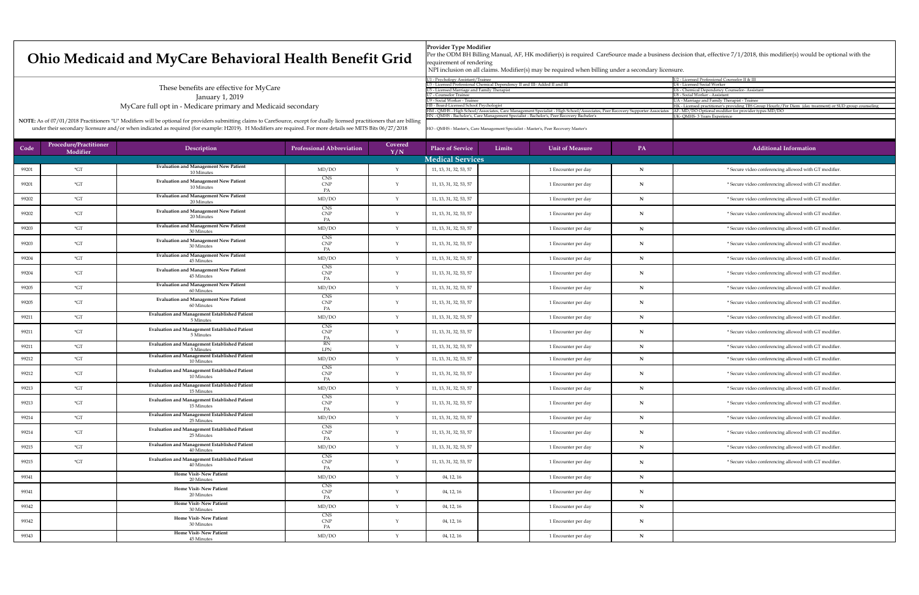|                                                                              | U2 - Licensed Professional Counselor II & III               |
|------------------------------------------------------------------------------|-------------------------------------------------------------|
| d III- Added II and III                                                      | U4 - Licensed Social Worker                                 |
|                                                                              | <b>U6 - Chemical Dependency Counselor-Assistant</b>         |
|                                                                              | U8 - Social Worker - Assistant                              |
|                                                                              | UA - Marriage and Family Therapist - Trainee                |
|                                                                              | HK - Licensed practitioner's providing TBS Group Hourly/Per |
| nent Specialist - High School/Associates, Peer Recovery Supporter Associates | AF-MD/DO Optional modifier for provider types MD/DO         |
| - Bachelor's, Peer Recovery Bachelor's                                       | UK-QMHS-3 Years Experience                                  |
|                                                                              |                                                             |
|                                                                              |                                                             |

## **Ohio Medicaid and MyCare Behavioral**

These benefits are effective for MyCare January 1, 2019 MyCare full opt in - Medicare primary and Medicaid

NOTE: As of 07/01/2018 Practitioners "U" Modifiers will be optional for providers submitting claims to CareSour under their secondary licensure and/or when indicated as required (for example: H2019). H Modifiers are required. For more details see MITS Bits 06/27/2018

| Code  | <b>Procedure/Practitioner</b><br>Modifier | Description                                                        | <b>Professional Abbreviation</b>                | Covered<br>Y/N | <b>Place of Service</b> | Limits | <b>Unit of Measure</b> | PA                 | <b>Additional Information</b>                         |
|-------|-------------------------------------------|--------------------------------------------------------------------|-------------------------------------------------|----------------|-------------------------|--------|------------------------|--------------------|-------------------------------------------------------|
|       |                                           |                                                                    |                                                 |                | <b>Medical Services</b> |        |                        |                    |                                                       |
| 99201 | $*GT$                                     | <b>Evaluation and Management New Patient</b><br>10 Minutes         | MD/DO                                           |                | 11, 13, 31, 32, 53, 57  |        | 1 Encounter per day    |                    | * Secure video conferencing allowed with GT modifier. |
| 99201 | $*GT$                                     | <b>Evaluation and Management New Patient</b><br>10 Minutes         | <b>CNS</b><br><b>CNP</b><br>PA                  |                | 11, 13, 31, 32, 53, 57  |        | 1 Encounter per day    | N                  | * Secure video conferencing allowed with GT modifier. |
| 99202 | $*GT$                                     | <b>Evaluation and Management New Patient</b><br>20 Minutes         | MD/DO                                           |                | 11, 13, 31, 32, 53, 57  |        | 1 Encounter per day    | $\mathbf N$        | * Secure video conferencing allowed with GT modifier. |
| 99202 | $*$ GT                                    | <b>Evaluation and Management New Patient</b><br>20 Minutes         | <b>CNS</b><br><b>CNP</b><br>$P_{\rm A}$         |                | 11, 13, 31, 32, 53, 57  |        | 1 Encounter per day    | N                  | * Secure video conferencing allowed with GT modifier. |
| 99203 | $\mathbf{G}$                              | <b>Evaluation and Management New Patient</b><br>30 Minutes         | MD/DO                                           |                | 11, 13, 31, 32, 53, 57  |        | 1 Encounter per day    |                    | * Secure video conferencing allowed with GT modifier. |
| 99203 | $*$ GT                                    | <b>Evaluation and Management New Patient</b><br>30 Minutes         | <b>CNS</b><br>CNP<br>PA                         |                | 11, 13, 31, 32, 53, 57  |        | 1 Encounter per day    | <b>NT</b><br>- 1 N | * Secure video conferencing allowed with GT modifier. |
| 99204 | $*$ GT                                    | <b>Evaluation and Management New Patient</b><br>45 Minutes         | MD/DO                                           |                | 11, 13, 31, 32, 53, 57  |        | 1 Encounter per day    | - IN               | * Secure video conferencing allowed with GT modifier. |
| 99204 | $*GT$                                     | <b>Evaluation and Management New Patient</b><br>45 Minutes         | <b>CNS</b><br><b>CNP</b><br>PA                  |                | 11, 13, 31, 32, 53, 57  |        | 1 Encounter per day    |                    | * Secure video conferencing allowed with GT modifier. |
| 99205 | $*GT$                                     | <b>Evaluation and Management New Patient</b><br>60 Minutes         | MD/DO                                           |                | 11, 13, 31, 32, 53, 57  |        | 1 Encounter per day    | N                  | * Secure video conferencing allowed with GT modifier. |
| 99205 | $*GT$                                     | <b>Evaluation and Management New Patient</b><br>60 Minutes         | <b>CNS</b><br><b>CNP</b>                        |                | 11, 13, 31, 32, 53, 57  |        | 1 Encounter per day    | $\mathbf N$        | * Secure video conferencing allowed with GT modifier. |
| 99211 | $*GT$                                     | <b>Evaluation and Management Established Patient</b><br>5 Minutes  | MD/DO                                           |                | 11, 13, 31, 32, 53, 57  |        | 1 Encounter per day    | $\blacksquare$     | * Secure video conferencing allowed with GT modifier. |
| 99211 | $*GT$                                     | <b>Evaluation and Management Established Patient</b><br>5 Minutes  | <b>CNS</b><br><b>CNP</b>                        |                | 11, 13, 31, 32, 53, 57  |        | 1 Encounter per day    | $\mathbf N$        | * Secure video conferencing allowed with GT modifier. |
| 99211 | $*GT$                                     | <b>Evaluation and Management Established Patient</b><br>5 Minutes  | <b>RN</b><br>LPN                                |                | 11, 13, 31, 32, 53, 57  |        | 1 Encounter per day    |                    | * Secure video conferencing allowed with GT modifier. |
| 99212 | $\mathbf{G}$ T                            | <b>Evaluation and Management Established Patient</b><br>10 Minutes | MD/DO                                           |                | 11, 13, 31, 32, 53, 57  |        | 1 Encounter per day    |                    | * Secure video conferencing allowed with GT modifier. |
| 99212 | $*GT$                                     | <b>Evaluation and Management Established Patient</b><br>10 Minutes | <b>CNS</b><br><b>CNP</b><br>PA                  |                | 11, 13, 31, 32, 53, 57  |        | 1 Encounter per day    | $\blacksquare$     | * Secure video conferencing allowed with GT modifier. |
| 99213 | $\mathbf{C}$                              | <b>Evaluation and Management Established Patient</b><br>15 Minutes | MD/DO                                           |                | 11, 13, 31, 32, 53, 57  |        | 1 Encounter per day    | N                  | * Secure video conferencing allowed with GT modifier. |
| 99213 | $\mathrm{^*GT}$                           | <b>Evaluation and Management Established Patient</b><br>15 Minutes | <b>CNS</b><br><b>CNP</b><br>PA                  |                | 11, 13, 31, 32, 53, 57  |        | 1 Encounter per day    |                    | * Secure video conferencing allowed with GT modifier. |
| 99214 | $*GT$                                     | <b>Evaluation and Management Established Patient</b><br>25 Minutes | MD/DO                                           |                | 11, 13, 31, 32, 53, 57  |        | 1 Encounter per day    | N                  | * Secure video conferencing allowed with GT modifier. |
| 99214 | $*$ GT                                    | <b>Evaluation and Management Established Patient</b><br>25 Minutes | <b>CNS</b><br>CNP                               |                | 11, 13, 31, 32, 53, 57  |        | 1 Encounter per day    | N                  | * Secure video conferencing allowed with GT modifier. |
| 99215 | $*$ GT                                    | <b>Evaluation and Management Established Patient</b><br>40 Minutes | MD/DO                                           |                | 11, 13, 31, 32, 53, 57  |        | 1 Encounter per day    | N                  | * Secure video conferencing allowed with GT modifier. |
| 99215 | $*$ GT                                    | <b>Evaluation and Management Established Patient</b><br>40 Minutes | <b>CNS</b><br>CNP<br>PA                         |                | 11, 13, 31, 32, 53, 57  |        | 1 Encounter per day    | N                  | * Secure video conferencing allowed with GT modifier. |
| 99341 |                                           | <b>Home Visit-New Patient</b><br>20 Minutes                        | MD/DO                                           |                | 04, 12, 16              |        | 1 Encounter per day    | N                  |                                                       |
| 99341 |                                           | <b>Home Visit-New Patient</b><br>20 Minutes                        | <b>CNS</b><br>$\ensuremath{\mathrm{CNP}}$<br>PA |                | 04, 12, 16              |        | 1 Encounter per day    | N                  |                                                       |
| 99342 |                                           | <b>Home Visit-New Patient</b><br>30 Minutes                        | MD/DO                                           |                | 04, 12, 16              |        | 1 Encounter per day    | $\mathbf N$        |                                                       |
| 99342 |                                           | <b>Home Visit-New Patient</b><br>30 Minutes                        | CNS<br><b>CNP</b>                               |                | 04, 12, 16              |        | 1 Encounter per day    | N                  |                                                       |
| 99343 |                                           | <b>Home Visit-New Patient</b><br>45 Minutes                        | MD/DO                                           |                | 04, 12, 16              |        | 1 Encounter per day    |                    |                                                       |

| <b>Health Benefit Grid</b>                                      | <b>Provider Type Modifier</b><br>Per the ODM BH Billing Manual, AF, HK modifier(s) is<br>requirement of rendering<br>NPI inclusion on all claims. Modifier(s) may be require |
|-----------------------------------------------------------------|------------------------------------------------------------------------------------------------------------------------------------------------------------------------------|
|                                                                 | U1 - Psychology Assistant/Trainee                                                                                                                                            |
|                                                                 | U3 - Licensed Professional Chemical Dependency II and III- Added II and III                                                                                                  |
|                                                                 | U5 - Licensed Marriage and Family Therapist                                                                                                                                  |
|                                                                 | <b>U7 - Counselor Trainee</b>                                                                                                                                                |
|                                                                 | U9 - Social Worker - Trainee                                                                                                                                                 |
| d secondary                                                     | HB - Board-Licensed School Psychologist                                                                                                                                      |
|                                                                 | HM - QMHS - High School/Associates, Care Management Specialist - High S                                                                                                      |
|                                                                 | HN - QMHS - Bachelor's, Care Management Specialist - Bachelor's, Peer Reco                                                                                                   |
| urce, except for dually licensed practitioners that are billing |                                                                                                                                                                              |
| required For more details see MITS Bits 06/27/2018              | HO - OMHS - Master's Care Management Specialist - Master's Peer Recovery                                                                                                     |

## ing Manual, AF, HK modifier(s) is required CareSource made a business decision that, effective 7/1/2018, this modifier(s) would be optional with the

claims. Modifier(s) may be required when billing under a secondary licensure.

HO - QMHS - Master's, Care Management Specialist - Master's, Peer Recovery Master's

Diem (day treatment) or SUD group counseling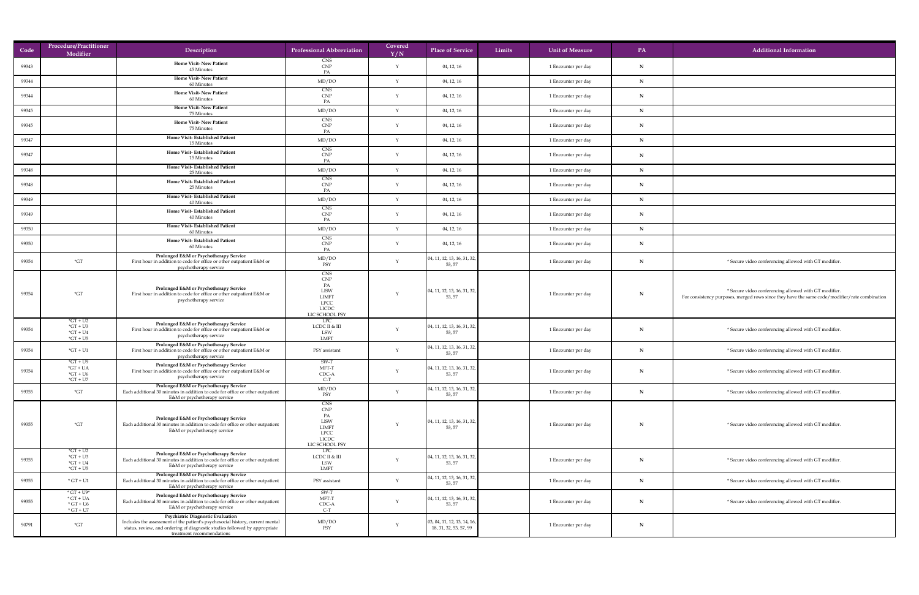| Code  | <b>Procedure/Practitioner</b><br>Modifier                                                  | Description                                                                                                                                                                                                                          | <b>Professional Abbreviation</b>                                                                               | Covered<br>Y/N | Limits<br><b>Place of Service</b>                             | <b>Unit of Measure</b> | <b>PA</b>    | <b>Additional Information</b>                                                                                                                          |
|-------|--------------------------------------------------------------------------------------------|--------------------------------------------------------------------------------------------------------------------------------------------------------------------------------------------------------------------------------------|----------------------------------------------------------------------------------------------------------------|----------------|---------------------------------------------------------------|------------------------|--------------|--------------------------------------------------------------------------------------------------------------------------------------------------------|
| 99343 |                                                                                            | <b>Home Visit-New Patient</b><br>45 Minutes                                                                                                                                                                                          | <b>CNS</b><br>CNP<br>PA                                                                                        |                | 04, 12, 16                                                    | 1 Encounter per day    | $\mathbf N$  |                                                                                                                                                        |
| 99344 |                                                                                            | <b>Home Visit-New Patient</b><br>60 Minutes                                                                                                                                                                                          | MD/DO                                                                                                          |                | 04, 12, 16                                                    | 1 Encounter per day    | N            |                                                                                                                                                        |
| 99344 |                                                                                            | <b>Home Visit-New Patient</b><br>60 Minutes                                                                                                                                                                                          | <b>CNS</b><br>CNP<br>PA                                                                                        |                | 04, 12, 16                                                    | 1 Encounter per day    | N            |                                                                                                                                                        |
| 99345 |                                                                                            | <b>Home Visit-New Patient</b><br>75 Minutes                                                                                                                                                                                          | MD/DO                                                                                                          |                | 04, 12, 16                                                    | 1 Encounter per day    | TA.          |                                                                                                                                                        |
| 99345 |                                                                                            | <b>Home Visit-New Patient</b><br>75 Minutes                                                                                                                                                                                          | <b>CNS</b><br>CNP                                                                                              |                | 04, 12, 16                                                    | 1 Encounter per day    | $\mathbf N$  |                                                                                                                                                        |
| 99347 |                                                                                            | <b>Home Visit-Established Patient</b><br>15 Minutes                                                                                                                                                                                  | PA<br>MD/DO                                                                                                    |                | 04, 12, 16                                                    | 1 Encounter per day    | $\mathbf N$  |                                                                                                                                                        |
| 99347 |                                                                                            | <b>Home Visit-Established Patient</b><br>15 Minutes                                                                                                                                                                                  | <b>CNS</b><br>CNP<br>PA                                                                                        |                | 04, 12, 16                                                    | 1 Encounter per day    | N            |                                                                                                                                                        |
| 99348 |                                                                                            | <b>Home Visit-Established Patient</b><br>25 Minutes                                                                                                                                                                                  | MD/DO                                                                                                          |                | 04, 12, 16                                                    | 1 Encounter per day    | $\mathbf{N}$ |                                                                                                                                                        |
| 99348 |                                                                                            | <b>Home Visit-Established Patient</b><br>25 Minutes                                                                                                                                                                                  | <b>CNS</b><br><b>CNP</b>                                                                                       |                | 04, 12, 16                                                    | 1 Encounter per day    |              |                                                                                                                                                        |
| 99349 |                                                                                            | <b>Home Visit-Established Patient</b><br>40 Minutes                                                                                                                                                                                  | PA<br>MD/DO                                                                                                    |                | 04, 12, 16                                                    | 1 Encounter per day    |              |                                                                                                                                                        |
| 99349 |                                                                                            | <b>Home Visit-Established Patient</b><br>40 Minutes                                                                                                                                                                                  | <b>CNS</b><br><b>CNP</b>                                                                                       |                | 04, 12, 16                                                    | 1 Encounter per day    | IN.          |                                                                                                                                                        |
| 99350 |                                                                                            | <b>Home Visit-Established Patient</b>                                                                                                                                                                                                | MD/DO                                                                                                          |                | 04, 12, 16                                                    | 1 Encounter per day    |              |                                                                                                                                                        |
| 99350 |                                                                                            | 60 Minutes<br><b>Home Visit-Established Patient</b><br>60 Minutes                                                                                                                                                                    | <b>CNS</b><br><b>CNP</b>                                                                                       |                | 04, 12, 16                                                    | 1 Encounter per day    |              |                                                                                                                                                        |
| 99354 | $*GT$                                                                                      | <b>Prolonged E&amp;M or Psychotherapy Service</b><br>First hour in addition to code for office or other outpatient E&M or<br>psychotherapy service                                                                                   | MD/DO<br>PSY                                                                                                   |                | 04, 11, 12, 13, 16, 31, 32,<br>53, 57                         | 1 Encounter per day    |              | * Secure video conferencing allowed with GT modifier.                                                                                                  |
| 99354 | $\mathbf{G}$ T                                                                             | <b>Prolonged E&amp;M or Psychotherapy Service</b><br>First hour in addition to code for office or other outpatient E&M or<br>psychotherapy service                                                                                   | <b>CNS</b><br><b>CNP</b><br>PA<br><b>LISW</b><br><b>LIMFT</b><br><b>LPCC</b><br><b>LICDC</b><br>LIC SCHOOL PSY |                | $\vert$ 04, 11, 12, 13, 16, 31, 32,<br>53, 57                 | 1 Encounter per day    |              | * Secure video conferencing allowed with GT modifier.<br>For consistency purposes, merged rows since they have the same code/modifier/rate combination |
| 99354 | $\mathrm{G}T + \mathrm{U}2$<br>$*GT + U3$<br>$*GT + U4$<br>$*GT + US$                      | <b>Prolonged E&amp;M or Psychotherapy Service</b><br>First hour in addition to code for office or other outpatient E&M or<br>psychotherapy service                                                                                   | LPC<br>LCDC II & III<br><b>LSW</b><br><b>LMFT</b>                                                              |                | $\vert$ 04, 11, 12, 13, 16, 31, 32, $\vert$<br>53, 57         | 1 Encounter per day    |              | * Secure video conferencing allowed with GT modifier.                                                                                                  |
| 99354 | $*GT + U1$                                                                                 | <b>Prolonged E&amp;M or Psychotherapy Service</b><br>First hour in addition to code for office or other outpatient E&M or<br>psychotherapy service                                                                                   | PSY assistant                                                                                                  |                | 04, 11, 12, 13, 16, 31, 32,<br>53, 57                         | 1 Encounter per day    |              | * Secure video conferencing allowed with GT modifier.                                                                                                  |
| 99354 | $*GT + U9$<br>$*GT + UA$<br>$*GT + U6$<br>$*GT + U7$                                       | <b>Prolonged E&amp;M or Psychotherapy Service</b><br>First hour in addition to code for office or other outpatient E&M or<br>psychotherapy service                                                                                   | SW-T<br>MFT-T<br>CDC-A<br>$C-T$                                                                                |                | 04, 11, 12, 13, 16, 31, 32,<br>53, 57                         | 1 Encounter per day    |              | * Secure video conferencing allowed with GT modifier.                                                                                                  |
| 99355 | $\mathbf{G}$ T                                                                             | <b>Prolonged E&amp;M or Psychotherapy Service</b><br>Each additional 30 minutes in addition to code for office or other outpatient<br>E&M or psychotherapy service                                                                   | MD/DO<br>PSY                                                                                                   |                | 04, 11, 12, 13, 16, 31, 32,<br>53, 57                         | 1 Encounter per day    |              | * Secure video conferencing allowed with GT modifier.                                                                                                  |
| 99355 | $\mathbf{G}$ T                                                                             | <b>Prolonged E&amp;M or Psychotherapy Service</b><br>Each additional 30 minutes in addition to code for office or other outpatient<br>E&M or psychotherapy service                                                                   | <b>CNS</b><br><b>CNP</b><br>PA<br><b>LISW</b><br><b>LIMFT</b><br><b>LPCC</b><br><b>LICDC</b><br>LIC SCHOOL PSY |                | $\vert$ 04, 11, 12, 13, 16, 31, 32, $\vert$<br>53, 57         | 1 Encounter per day    |              | * Secure video conferencing allowed with GT modifier.                                                                                                  |
| 99355 | $*GT + U2$<br>$*GT + U3$<br>$*GT + U4$<br>$*GT + US$                                       | <b>Prolonged E&amp;M or Psychotherapy Service</b><br>Each additional 30 minutes in addition to code for office or other outpatient<br>E&M or psychotherapy service                                                                   | LPC<br>LCDC II & III<br>LSW<br><b>LMFT</b>                                                                     |                | 04, 11, 12, 13, 16, 31, 32,<br>53, 57                         | 1 Encounter per day    |              | * Secure video conferencing allowed with GT modifier.                                                                                                  |
| 99355 | $*$ GT + U1                                                                                | Prolonged E&M or Psychotherapy Service<br>Each additional 30 minutes in addition to code for office or other outpatient<br>E&M or psychotherapy service                                                                              | PSY assistant                                                                                                  |                | 04, 11, 12, 13, 16, 31, 32,<br>53, 57                         | 1 Encounter per day    |              | * Secure video conferencing allowed with GT modifier.                                                                                                  |
| 99355 | $\mathrm{^*GT}$ + U9*<br>$\star$ GT + UA<br>$\mathrm{G}T + \mathrm{U}6$<br>$\star$ GT + U7 | <b>Prolonged E&amp;M or Psychotherapy Service</b><br>Each additional 30 minutes in addition to code for office or other outpatient<br>E&M or psychotherapy service                                                                   | SW-T<br>MFT-T<br>CDC-A<br>$C-I$                                                                                |                | 04, 11, 12, 13, 16, 31, 32,<br>53, 57                         | 1 Encounter per day    |              | * Secure video conferencing allowed with GT modifier.                                                                                                  |
| 90791 | $\mathbf{G}$ T                                                                             | <b>Psychiatric Diagnostic Evaluation</b><br>Includes the assessment of the patient's psychosocial history, current mental<br>status, review, and ordering of diagnostic studies followed by appropriate<br>treatment recommendations | MD/DO<br>PSY                                                                                                   |                | $\vert$ 03, 04, 11, 12, 13, 14, 16,<br>18, 31, 32, 53, 57, 99 | 1 Encounter per day    |              |                                                                                                                                                        |

| formation                                                              |
|------------------------------------------------------------------------|
|                                                                        |
|                                                                        |
|                                                                        |
|                                                                        |
|                                                                        |
|                                                                        |
|                                                                        |
|                                                                        |
|                                                                        |
|                                                                        |
|                                                                        |
|                                                                        |
|                                                                        |
| lowed with GT modifier.                                                |
|                                                                        |
| lowed with GT modifier.<br>ave the same code/modifier/rate combination |
|                                                                        |
| lowed with GT modifier.                                                |
| lowed with GT modifier.                                                |
|                                                                        |
| lowed with GT modifier.                                                |
| lowed with GT modifier.                                                |
|                                                                        |
| lowed with GT modifier.                                                |
|                                                                        |
|                                                                        |
| lowed with GT modifier.                                                |
| lowed with GT modifier.                                                |
| lowed with GT modifier.                                                |
|                                                                        |
|                                                                        |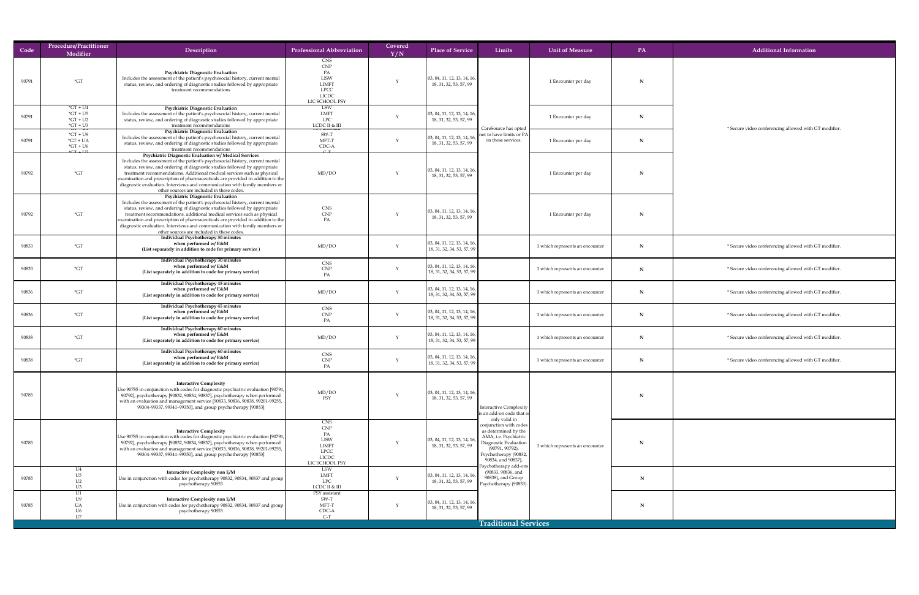| Code  | <b>Procedure/Practitioner</b><br>Modifier                                                    | Description                                                                                                                                                                                                                                                                                                                                                                                                                                                                                                           | <b>Professional Abbreviation</b>                                                                        | Covered<br>Y/N | <b>Place of Service</b>                                                                 | Limits                                                                                                                                                                                 | <b>Unit of Measure</b>          | PA          | <b>Additional Information</b>                        |
|-------|----------------------------------------------------------------------------------------------|-----------------------------------------------------------------------------------------------------------------------------------------------------------------------------------------------------------------------------------------------------------------------------------------------------------------------------------------------------------------------------------------------------------------------------------------------------------------------------------------------------------------------|---------------------------------------------------------------------------------------------------------|----------------|-----------------------------------------------------------------------------------------|----------------------------------------------------------------------------------------------------------------------------------------------------------------------------------------|---------------------------------|-------------|------------------------------------------------------|
| 90791 | $\mathrm{^{\star}GT}$                                                                        | <b>Psychiatric Diagnostic Evaluation</b><br>Includes the assessment of the patient's psychosocial history, current mental<br>status, review, and ordering of diagnostic studies followed by appropriate<br>treatment recommendations                                                                                                                                                                                                                                                                                  | <b>CNS</b><br>CNP<br>PA<br><b>LISW</b><br><b>LIMFT</b><br><b>LPCC</b><br><b>LICDC</b><br>LIC SCHOOL PSY |                | $\vert$ 03, 04, 11, 12, 13, 14, 16,<br>18, 31, 32, 53, 57, 99                           |                                                                                                                                                                                        | 1 Encounter per day             |             |                                                      |
| 90791 | $\mathrm{^*GT}$ + U4<br>$*GT + U5$<br>$*GT + U2$<br>$*GT + U3$                               | <b>Psychiatric Diagnostic Evaluation</b><br>Includes the assessment of the patient's psychosocial history, current mental<br>status, review, and ordering of diagnostic studies followed by appropriate<br>treatment recommendations                                                                                                                                                                                                                                                                                  | LSW<br><b>LMFT</b><br><b>LPC</b><br>LCDC II & III                                                       |                | $\vert$ 03, 04, 11, 12, 13, 14, 16, $\vert$<br>18, 31, 32, 53, 57, 99                   |                                                                                                                                                                                        | 1 Encounter per day             |             |                                                      |
| 90791 | $\overline{u}$ of $\overline{u}$<br>$*GT + U9$<br>$\mathrm{G} \mathrm{T}$ + UA<br>$*GT + U6$ | <b>Psychiatric Diagnostic Evaluation</b><br>Includes the assessment of the patient's psychosocial history, current mental<br>status, review, and ordering of diagnostic studies followed by appropriate<br>treatment recommendations                                                                                                                                                                                                                                                                                  | <u>TƏT assistan</u><br>SW-T<br>MFT-T<br>CDC-A                                                           |                | $\vert$ 03, 04, 11, 12, 13, 14, 16, $\vert$<br>18, 31, 32, 53, 57, 99                   | CareSource has opted<br>not to have limits or PA<br>on these services.                                                                                                                 | 1 Encounter per day             |             | * Secure video conferencing allowed with GT modifier |
| 90792 | $*CT + III$<br>$*GT$                                                                         | <b>Psychiatric Diagnostic Evaluation w/ Medical Services</b><br>Includes the assessment of the patient's psychosocial history, current mental<br>status, review, and ordering of diagnostic studies followed by appropriate<br>treatment recommendations. Additional medical services such as physical<br>examination and prescription of pharmaceuticals are provided in addition to the<br>diagnostic evaluation. Interviews and communication with family members or<br>other sources are included in these codes. | C T<br>MD/DO                                                                                            |                | $\vert$ 03, 04, 11, 12, 13, 14, 16, $\vert$<br>18, 31, 32, 53, 57, 99                   |                                                                                                                                                                                        | 1 Encounter per day             |             |                                                      |
| 90792 | $*GT$                                                                                        | <b>Psychiatric Diagnostic Evaluation</b><br>Includes the assessment of the patient's psychosocial history, current mental<br>status, review, and ordering of diagnostic studies followed by appropriate<br>treatment recommendations. additional medical services such as physical<br>$\vert$ examination and prescription of pharmaceuticals are provided in addition to the $\vert$<br>diagnostic evaluation. Interviews and communication with family members or                                                   | <b>CNS</b><br><b>CNP</b><br>PA                                                                          |                | $\vert$ 03, 04, 11, 12, 13, 14, 16, $\vert$<br>18, 31, 32, 53, 57, 99                   |                                                                                                                                                                                        | 1 Encounter per day             |             |                                                      |
| 90833 | $*GT$                                                                                        | other sources are included in these codes.<br><b>Individual Psychotherapy 30 minutes</b><br>when performed w/ $E$ &M<br>(List separately in addition to code for primary service)                                                                                                                                                                                                                                                                                                                                     | MD/DO                                                                                                   |                | $\vert$ 03, 04, 11, 12, 13, 14, 16, $\vert$<br>$\mid$ 18, 31, 32, 34, 53, 57, 99 $\mid$ |                                                                                                                                                                                        | 1 which represents an encounter |             | * Secure video conferencing allowed with GT modifier |
| 90833 | $*GT$                                                                                        | Individual Psychotherapy 30 minutes<br>when performed w/ E&M<br>(List separately in addition to code for primary service)                                                                                                                                                                                                                                                                                                                                                                                             | <b>CNS</b><br>CNP<br>PA                                                                                 |                | $\vert$ 03, 04, 11, 12, 13, 14, 16, $\vert$<br>18, 31, 32, 34, 53, 57, 99               |                                                                                                                                                                                        | 1 which represents an encounter |             | * Secure video conferencing allowed with GT modifier |
| 90836 | $*GT$                                                                                        | Individual Psychotherapy 45 minutes<br>when performed w/ $E$ &M<br>(List separately in addition to code for primary service)                                                                                                                                                                                                                                                                                                                                                                                          | MD/DO                                                                                                   |                | $\vert$ 03, 04, 11, 12, 13, 14, 16,<br>$\mid$ 18, 31, 32, 34, 53, 57, 99 $\mid$         |                                                                                                                                                                                        | 1 which represents an encounter | N           | * Secure video conferencing allowed with GT modifier |
| 90836 | $*GT$                                                                                        | <b>Individual Psychotherapy 45 minutes</b><br>when performed w/ $E$ &M<br>(List separately in addition to code for primary service)                                                                                                                                                                                                                                                                                                                                                                                   | <b>CNS</b><br>CNP<br>PA                                                                                 |                | $\vert$ 03, 04, 11, 12, 13, 14, 16, $\vert$<br>$\mid$ 18, 31, 32, 34, 53, 57, 99        |                                                                                                                                                                                        | 1 which represents an encounter |             | * Secure video conferencing allowed with GT modifier |
| 90838 | $*GT$                                                                                        | Individual Psychotherapy 60 minutes<br>when performed $w/E\&M$<br>(List separately in addition to code for primary service)                                                                                                                                                                                                                                                                                                                                                                                           | MD/DO                                                                                                   |                | $\vert$ 03, 04, 11, 12, 13, 14, 16, $\vert$<br>18, 31, 32, 34, 53, 57, 99               |                                                                                                                                                                                        | 1 which represents an encounter | $\mathbf N$ | * Secure video conferencing allowed with GT modifier |
| 90838 | $*GT$                                                                                        | Individual Psychotherapy 60 minutes<br>when performed w/ $E$ &M<br>(List separately in addition to code for primary service)                                                                                                                                                                                                                                                                                                                                                                                          | <b>CNS</b><br>CNP<br>PA                                                                                 |                | $\vert$ 03, 04, 11, 12, 13, 14, 16,<br>  18, 31, 32, 34, 53, 57, 99                     |                                                                                                                                                                                        | 1 which represents an encounter | N           | * Secure video conferencing allowed with GT modifier |
| 90785 |                                                                                              | <b>Interactive Complexity</b><br>Use 90785 in conjunction with codes for diagnostic psychiatric evaluation [90791,]<br>90792], psychotherapy [90832, 90834, 90837], psychotherapy when performed<br>with an evaluation and management service [90833, 90836, 90838, 99201-99255,<br>99304-99337, 99341-99350], and group psychotherapy [90853]                                                                                                                                                                        | MD/DO<br>PSY                                                                                            |                | $\vert$ 03, 04, 11, 12, 13, 14, 16,<br>18, 31, 32, 53, 57, 99                           | <b>Interactive Complexity</b><br>is an add-on code that is                                                                                                                             |                                 |             |                                                      |
| 90785 |                                                                                              | <b>Interactive Complexity</b><br>Use 90785 in conjunction with codes for diagnostic psychiatric evaluation [90791,]<br>90792], psychotherapy [90832, 90834, 90837], psychotherapy when performed<br>with an evaluation and management service [90833, 90836, 90838, 99201-99255,<br>99304-99337, 99341-99350], and group psychotherapy [90853]                                                                                                                                                                        | <b>CNS</b><br>CNP<br>PA<br><b>LISW</b><br><b>LIMFT</b><br><b>LPCC</b><br><b>LICDC</b><br>LIC SCHOOL PSY |                | $\vert$ 03, 04, 11, 12, 13, 14, 16, $\vert$<br>18, 31, 32, 53, 57, 99                   | only valid in<br>conjunction with codes<br>as determined by the<br>AMA, i.e. Psychiatric<br>Diagnostic Evaluation<br>$(90791, 90792)$ ,<br>Psychotherapy (90832,<br>90834, and 90837), | 1 which represents an encounter |             |                                                      |
| 90785 |                                                                                              | <b>Interactive Complexity non E/M</b><br>Use in conjunction with codes for psychotherapy 90832, 90834, 90837 and group<br>psychotherapy 90853                                                                                                                                                                                                                                                                                                                                                                         | LSW<br><b>LMFT</b><br><b>LPC</b><br>LCDC II & III                                                       |                | $\vert$ 03, 04, 11, 12, 13, 14, 16,<br>18, 31, 32, 53, 57, 99                           | sychotherapy add-ons!<br>(90833, 90836, and<br>90838), and Group<br>Psychotherapy (90853).                                                                                             |                                 |             |                                                      |
| 90785 | UA                                                                                           | <b>Interactive Complexity non E/M</b><br>Use in conjunction with codes for psychotherapy 90832, 90834, 90837 and group<br>psychotherapy 90853                                                                                                                                                                                                                                                                                                                                                                         | PSY assistant<br>SW-T<br>MFT-T<br>CDC-A                                                                 |                | $\vert$ 03, 04, 11, 12, 13, 14, 16,<br>18, 31, 32, 53, 57, 99                           |                                                                                                                                                                                        |                                 |             |                                                      |
|       |                                                                                              |                                                                                                                                                                                                                                                                                                                                                                                                                                                                                                                       | $C-T$                                                                                                   |                |                                                                                         | <b>Traditional Services</b>                                                                                                                                                            |                                 |             |                                                      |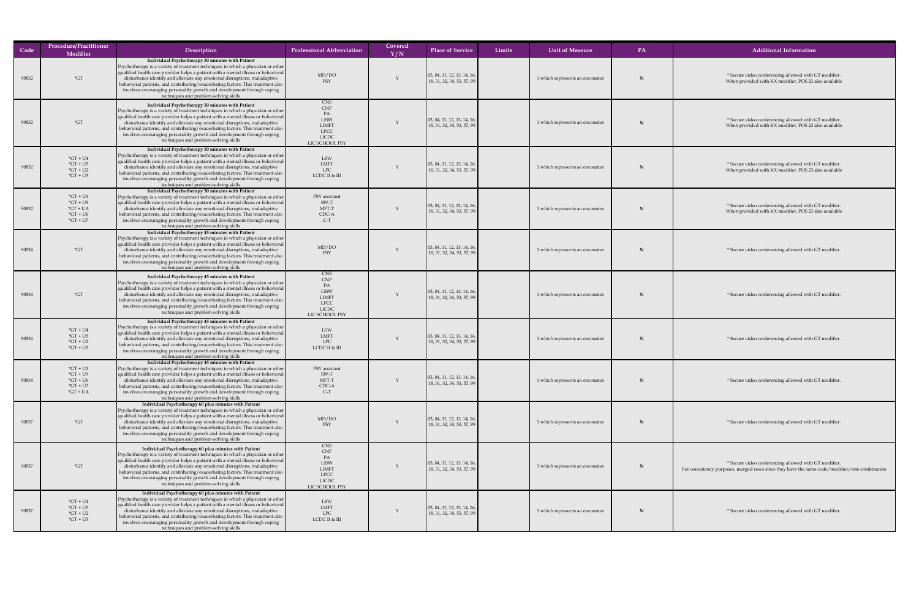| Code  | <b>Procedure/Practitioner</b><br>Modifier                                                                         | Description                                                                                                                                                                                                                                                                                                                                                                                                                                                                                                                           | <b>Professional Abbreviation</b>                                                                                                | Covered<br>Y/N | <b>Place of Service</b>                                                                 | Limits | <b>Unit of Measure</b>          | <b>PA</b> | <b>Additional Information</b>                                                                                                   |
|-------|-------------------------------------------------------------------------------------------------------------------|---------------------------------------------------------------------------------------------------------------------------------------------------------------------------------------------------------------------------------------------------------------------------------------------------------------------------------------------------------------------------------------------------------------------------------------------------------------------------------------------------------------------------------------|---------------------------------------------------------------------------------------------------------------------------------|----------------|-----------------------------------------------------------------------------------------|--------|---------------------------------|-----------|---------------------------------------------------------------------------------------------------------------------------------|
| 90832 | $\mathbf{G}^*$                                                                                                    | Individual Psychotherapy 30 minutes with Patient<br><b>Psychotherapy is a variety of treatment techniques in which a physician or other</b><br>  qualified health care provider helps a patient with a mental illness or behavioral  <br>disturbance identify and alleviate any emotional disruptions, maladaptive<br>behavioral patterns, and contributing/exacerbating factors. This treatment also $\vert$<br>involves encouraging personality growth and development through coping<br>techniques and problem-solving skills      | MD/DO<br>PSY                                                                                                                    |                | $\vert$ 03, 04, 11, 12, 13, 14, 16, $\vert$<br>$\mid$ 18, 31, 32, 34, 53, 57, 99 $\mid$ |        | 1 which represents an encounter |           | * Secure video conferencing allowed with GT modifier<br>When provided with KX modifier, POS 23 also available                   |
| 90832 | $\mathbf{G}$                                                                                                      | Individual Psychotherapy 30 minutes with Patient<br><b>Psychotherapy is a variety of treatment techniques in which a physician or other</b><br>  qualified health care provider helps a patient with a mental illness or behavioral  <br>disturbance identify and alleviate any emotional disruptions, maladaptive<br>behavioral patterns, and contributing/exacerbating factors. This treatment also $\vert$<br>involves encouraging personality growth and development through coping<br>techniques and problem-solving skills      | <b>CNS</b><br>$\ensuremath{\mathrm{CNP}}$<br>PA<br><b>LISW</b><br><b>LIMFT</b><br><b>LPCC</b><br><b>LICDC</b><br>LIC SCHOOL PSY |                | $\vert$ 03, 04, 11, 12, 13, 14, 16, $\vert$<br>18, 31, 32, 34, 53, 57, 99               |        | 1 which represents an encounter |           | * Secure video conferencing allowed with GT modifier<br>When provided with KX modifier, POS 23 also availabl                    |
| 90832 | $*GT + U4$<br>$*GT + U5$<br>$*GT + U2$<br>$*GT + U3$                                                              | Individual Psychotherapy 30 minutes with Patient<br>Psychotherapy is a variety of treatment techniques in which a physician or other<br>qualified health care provider helps a patient with a mental illness or behavioral<br>disturbance identify and alleviate any emotional disruptions, maladaptive<br>behavioral patterns, and contributing/exacerbating factors. This treatment also $\vert$<br>involves encouraging personality growth and development through coping<br>techniques and problem-solving skills                 | LSW<br>LMFT<br>LPC<br>LCDC II & III                                                                                             |                | $\vert$ 03, 04, 11, 12, 13, 14, 16,<br>$\mid$ 18, 31, 32, 34, 53, 57, 99                |        | 1 which represents an encounter |           | * Secure video conferencing allowed with GT modifier<br>When provided with KX modifier, POS 23 also availabl                    |
| 90832 | $*GT + U1$<br>$*GT + U9$<br>$*GT + UA$<br>$*GT + U6$<br>$\mathrm{^*GT}$ + U7                                      | Individual Psychotherapy 30 minutes with Patient<br>Psychotherapy is a variety of treatment techniques in which a physician or other<br>qualified health care provider helps a patient with a mental illness or behavioral<br>disturbance identify and alleviate any emotional disruptions, maladaptive<br>behavioral patterns, and contributing/exacerbating factors. This treatment also $\vert$<br>involves encouraging personality growth and development through coping<br>techniques and problem-solving skills                 | PSY assistant<br>SW-T<br>MFT-T<br>CDC-A<br>$C-T$                                                                                |                | $\vert$ 03, 04, 11, 12, 13, 14, 16, $\vert$<br>$\mid$ 18, 31, 32, 34, 53, 57, 99 $\mid$ |        | 1 which represents an encounter |           | * Secure video conferencing allowed with GT modifier.<br>When provided with KX modifier, POS 23 also availabl                   |
| 90834 | $\mathbf{G}$                                                                                                      | Individual Psychotherapy 45 minutes with Patient<br>Psychotherapy is a variety of treatment techniques in which a physician or other<br>qualified health care provider helps a patient with a mental illness or behavioral<br>disturbance identify and alleviate any emotional disruptions, maladaptive<br>behavioral patterns, and contributing/exacerbating factors. This treatment also $\vert$<br>involves encouraging personality growth and development through coping<br>techniques and problem-solving skills                 | MD/DO<br>PSY                                                                                                                    |                | $\vert$ 03, 04, 11, 12, 13, 14, 16, $\vert$<br>$\mid$ 18, 31, 32, 34, 53, 57, 99 $\mid$ |        | 1 which represents an encounter |           | * Secure video conferencing allowed with GT modifier                                                                            |
| 90834 | $\displaystyle{ \raisebox{0.6ex}{\scriptsize{*}}} G T$                                                            | Individual Psychotherapy 45 minutes with Patient<br><b>Psychotherapy is a variety of treatment techniques in which a physician or other</b><br>qualified health care provider helps a patient with a mental illness or behavioral<br>disturbance identify and alleviate any emotional disruptions, maladaptive<br>behavioral patterns, and contributing/exacerbating factors. This treatment also $\vert$<br>involves encouraging personality growth and development through coping<br>techniques and problem-solving skills          | <b>CNS</b><br>CNP<br>PA<br><b>LISW</b><br><b>LIMFT</b><br>LPCC<br><b>LICDC</b><br>LIC SCHOOL PSY                                |                | $\vert$ 03, 04, 11, 12, 13, 14, 16, $\vert$<br>$\mid$ 18, 31, 32, 34, 53, 57, 99 $\mid$ |        | 1 which represents an encounter |           | * Secure video conferencing allowed with GT modifier.                                                                           |
| 90834 | $*GT + U4$<br>$*GT + U5$<br>$*GT + U2$<br>$*GT + U3$                                                              | Individual Psychotherapy 45 minutes with Patient<br>Psychotherapy is a variety of treatment techniques in which a physician or other<br>qualified health care provider helps a patient with a mental illness or behavioral<br>disturbance identify and alleviate any emotional disruptions, maladaptive<br>behavioral patterns, and contributing/exacerbating factors. This treatment also $\vert$<br>involves encouraging personality growth and development through coping<br>techniques and problem-solving skills                 | LSW<br><b>LMFT</b><br><b>LPC</b><br>LCDC II & III                                                                               |                | $\vert$ 03, 04, 11, 12, 13, 14, 16, $\vert$<br>$\mid$ 18, 31, 32, 34, 53, 57, 99 $\mid$ |        | 1 which represents an encounter |           | * Secure video conferencing allowed with GT modifier                                                                            |
| 90834 | $*GT + U1$<br>$*GT + U9$<br>$*GT + U6$<br>$\mathrm{^*GT}$ + U7<br>$\mathrm{G} \mathrm{T} + \mathrm{U} \mathrm{A}$ | Individual Psychotherapy 45 minutes with Patient<br><b>Psychotherapy is a variety of treatment techniques in which a physician or other</b><br>qualified health care provider helps a patient with a mental illness or behavioral<br>disturbance identify and alleviate any emotional disruptions, maladaptive<br>behavioral patterns, and contributing/exacerbating factors. This treatment also $\vert$<br>involves encouraging personality growth and development through coping<br>techniques and problem-solving skills          | PSY assistant<br>SW-T<br>MFT-T<br>CDC-A<br>$C-T$                                                                                |                | $\vert$ 03, 04, 11, 12, 13, 14, 16, $\vert$<br>$\mid$ 18, 31, 32, 34, 53, 57, 99 $\mid$ |        | 1 which represents an encounter |           | * Secure video conferencing allowed with GT modifier                                                                            |
| 90837 | $*GT$                                                                                                             | Individual Psychotherapy 60 plus minutes with Patient<br><b>Psychotherapy is a variety of treatment techniques in which a physician or other</b><br>  qualified health care provider helps a patient with a mental illness or behavioral  <br>disturbance identify and alleviate any emotional disruptions, maladaptive<br>behavioral patterns, and contributing/exacerbating factors. This treatment also $\vert$<br>involves encouraging personality growth and development through coping<br>techniques and problem-solving skills | MD/DO<br>PSY                                                                                                                    |                | $\vert$ 03, 04, 11, 12, 13, 14, 16, $\vert$<br>$\mid$ 18, 31, 32, 34, 53, 57, 99 $\mid$ |        | 1 which represents an encounter |           | * Secure video conferencing allowed with GT modifier                                                                            |
| 90837 | $\mathbf{G}^*$                                                                                                    | Individual Psychotherapy 60 plus minutes with Patient<br><b>Psychotherapy is a variety of treatment techniques in which a physician or other</b><br>qualified health care provider helps a patient with a mental illness or behavioral<br>disturbance identify and alleviate any emotional disruptions, maladaptive<br>behavioral patterns, and contributing/exacerbating factors. This treatment also $\vert$<br>involves encouraging personality growth and development through coping<br>techniques and problem-solving skills     | <b>CNS</b><br>$\ensuremath{\mathrm{CNP}}$<br>PA<br><b>LISW</b><br><b>LIMFT</b><br><b>LPCC</b><br><b>LICDC</b><br>LIC SCHOOL PSY |                | $\vert$ 03, 04, 11, 12, 13, 14, 16, $\vert$<br>$\mid$ 18, 31, 32, 34, 53, 57, 99        |        | 1 which represents an encounter |           | * Secure video conferencing allowed with GT modifier<br>For consistency purposes, merged rows since they have the same code/mod |
| 90837 | $*GT + U4$<br>$*GT + U5$<br>$*GT + U2$<br>$*GT + U3$                                                              | Individual Psychotherapy 60 plus minutes with Patient<br>Psychotherapy is a variety of treatment techniques in which a physician or other<br>qualified health care provider helps a patient with a mental illness or behavioral<br>disturbance identify and alleviate any emotional disruptions, maladaptive<br>  behavioral patterns, and contributing/exacerbating factors. This treatment also  <br>involves encouraging personality growth and development through coping<br>techniques and problem-solving skills                | LSW<br>LMFT<br><b>LPC</b><br>LCDC II & III                                                                                      |                | $\vert$ 03, 04, 11, 12, 13, 14, 16, $\vert$<br>$\mid$ 18, 31, 32, 34, 53, 57, 99 $\mid$ |        | 1 which represents an encounter |           | * Secure video conferencing allowed with GT modifier                                                                            |

ifier, POS 23 also available

ifier, POS 23 also available

ifier, POS 23 also available

ifier, POS 23 also available

have the same code/modifier/rate combination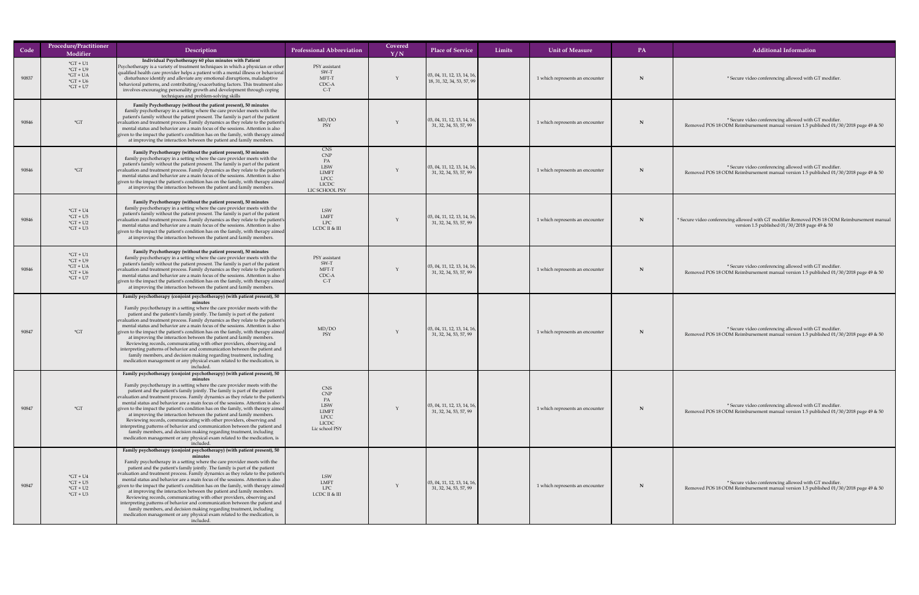| Code  | <b>Procedure/Practitioner</b><br><b>Modifier</b>                         | Description                                                                                                                                                                                                                                                                                                                                                                                                                                                                                                                                                                                                                                                                                                                                                                                                                                                                                   | <b>Professional Abbreviation</b>                                                                               | Covered<br>Y/N | <b>Place of Service</b>                                                   | Limits | <b>Unit of Measure</b>          | PA | <b>Additional Information</b>                                                                                                                  |
|-------|--------------------------------------------------------------------------|-----------------------------------------------------------------------------------------------------------------------------------------------------------------------------------------------------------------------------------------------------------------------------------------------------------------------------------------------------------------------------------------------------------------------------------------------------------------------------------------------------------------------------------------------------------------------------------------------------------------------------------------------------------------------------------------------------------------------------------------------------------------------------------------------------------------------------------------------------------------------------------------------|----------------------------------------------------------------------------------------------------------------|----------------|---------------------------------------------------------------------------|--------|---------------------------------|----|------------------------------------------------------------------------------------------------------------------------------------------------|
| 90837 | $\text{G}T + U1$<br>$*GT + U9$<br>$*GT + UA$<br>$*GT + U6$<br>$*GT + U7$ | Individual Psychotherapy 60 plus minutes with Patient<br><b>Psychotherapy is a variety of treatment techniques in which a physician or other</b><br>qualified health care provider helps a patient with a mental illness or behavioral<br>disturbance identify and alleviate any emotional disruptions, maladaptive<br>  behavioral patterns, and contributing/exacerbating factors. This treatment also<br>involves encouraging personality growth and development through coping<br>techniques and problem-solving skills                                                                                                                                                                                                                                                                                                                                                                   | PSY assistant<br>SW-T<br>MFT-T<br>CDC-A<br>$C-T$                                                               |                | $\vert$ 03, 04, 11, 12, 13, 14, 16, $\vert$<br>18, 31, 32, 34, 53, 57, 99 |        | 1 which represents an encounter |    | * Secure video conferencing allowed with GT modifier.                                                                                          |
| 90846 | $\mathbf{G}$ T                                                           | Family Psychotherapy (without the patient present), 50 minutes<br>family psychotherapy in a setting where the care provider meets with the<br>patient's family without the patient present. The family is part of the patient<br>evaluation and treatment process. Family dynamics as they relate to the patient's<br>mental status and behavior are a main focus of the sessions. Attention is also<br>given to the impact the patient's condition has on the family, with therapy aimed<br>at improving the interaction between the patient and family members.                                                                                                                                                                                                                                                                                                                             | MD/DO<br>PSY                                                                                                   |                | $\vert$ 03, 04, 11, 12, 13, 14, 16, $\vert$<br>31, 32, 34, 53, 57, 99     |        | 1 which represents an encounter |    | * Secure video conferencing allowed with GT modifier.<br>Removed POS 18 ODM Reimbursement manual version 1.5 published 01/30/2018 page 49 & 50 |
| 90846 | $*GT$                                                                    | Family Psychotherapy (without the patient present), 50 minutes<br>family psychotherapy in a setting where the care provider meets with the<br>patient's family without the patient present. The family is part of the patient<br>evaluation and treatment process. Family dynamics as they relate to the patient's<br>mental status and behavior are a main focus of the sessions. Attention is also<br>given to the impact the patient's condition has on the family, with therapy aimed<br>at improving the interaction between the patient and family members.                                                                                                                                                                                                                                                                                                                             | <b>CNS</b><br><b>CNP</b><br>PA<br><b>LISW</b><br><b>LIMFT</b><br><b>LPCC</b><br><b>LICDC</b><br>LIC SCHOOL PSY |                | $\vert$ 03, 04, 11, 12, 13, 14, 16, $\vert$<br>31, 32, 34, 53, 57, 99     |        | 1 which represents an encounter | N  | * Secure video conferencing allowed with GT modifier.<br>Removed POS 18 ODM Reimbursement manual version 1.5 published 01/30/2018 page 49 & 50 |
| 90846 | $*GT + U4$<br>$*GT + U5$<br>$*GT + U2$<br>$*GT + U3$                     | Family Psychotherapy (without the patient present), 50 minutes<br>family psychotherapy in a setting where the care provider meets with the<br>patient's family without the patient present. The family is part of the patient<br>evaluation and treatment process. Family dynamics as they relate to the patient's<br>mental status and behavior are a main focus of the sessions. Attention is also<br>given to the impact the patient's condition has on the family, with therapy aimed<br>at improving the interaction between the patient and family members.                                                                                                                                                                                                                                                                                                                             | <b>LSW</b><br>LMFT<br><b>LPC</b><br>LCDC II & III                                                              |                | $\vert$ 03, 04, 11, 12, 13, 14, 16, $\vert$<br>31, 32, 34, 53, 57, 99     |        | 1 which represents an encounter | N  | * Secure video conferencing allowed with GT modifier.Removed POS 18 ODM Reimbursement man<br>version 1.5 published $01/30/2018$ page 49 & 50   |
| 90846 | $*GT + U1$<br>$*GT + U9$<br>$*GT + UA$<br>$*GT + U6$<br>$*GT + U7$       | Family Psychotherapy (without the patient present), 50 minutes<br>family psychotherapy in a setting where the care provider meets with the<br>patient's family without the patient present. The family is part of the patient<br>evaluation and treatment process. Family dynamics as they relate to the patient's<br>mental status and behavior are a main focus of the sessions. Attention is also<br>given to the impact the patient's condition has on the family, with therapy aimed<br>at improving the interaction between the patient and family members.                                                                                                                                                                                                                                                                                                                             | PSY assistant<br>SW-T<br>MFT-T<br>CDC-A<br>$C-T$                                                               |                | $\vert$ 03, 04, 11, 12, 13, 14, 16,<br>31, 32, 34, 53, 57, 99             |        | 1 which represents an encounter |    | * Secure video conferencing allowed with GT modifier.<br>Removed POS 18 ODM Reimbursement manual version 1.5 published 01/30/2018 page 49 & 50 |
| 90847 | $\displaystyle{ \raisebox{0.6ex}{\scriptsize{*}}} G T$                   | Family psychotherapy (conjoint psychotherapy) (with patient present), 50<br>Family psychotherapy in a setting where the care provider meets with the<br>patient and the patient's family jointly. The family is part of the patient<br>evaluation and treatment process. Family dynamics as they relate to the patient's<br>mental status and behavior are a main focus of the sessions. Attention is also<br>given to the impact the patient's condition has on the family, with therapy aimed<br>at improving the interaction between the patient and family members.<br>Reviewing records, communicating with other providers, observing and<br>interpreting patterns of behavior and communication between the patient and<br>family members, and decision making regarding treatment, including<br>medication management or any physical exam related to the medication, is<br>included  | MD/DO                                                                                                          |                | $\vert$ 03, 04, 11, 12, 13, 14, 16, $\vert$<br>31, 32, 34, 53, 57, 99     |        | 1 which represents an encounter |    | * Secure video conferencing allowed with GT modifier.<br>Removed POS 18 ODM Reimbursement manual version 1.5 published 01/30/2018 page 49 & 50 |
| 90847 | $\displaystyle{ \raisebox{0.6ex}{\scriptsize{*}}} G T$                   | Family psychotherapy (conjoint psychotherapy) (with patient present), 50<br>Family psychotherapy in a setting where the care provider meets with the<br>patient and the patient's family jointly. The family is part of the patient<br>evaluation and treatment process. Family dynamics as they relate to the patient's<br>mental status and behavior are a main focus of the sessions. Attention is also<br>given to the impact the patient's condition has on the family, with therapy aimed<br>at improving the interaction between the patient and family members.<br>Reviewing records, communicating with other providers, observing and<br>interpreting patterns of behavior and communication between the patient and<br>family members, and decision making regarding treatment, including<br>medication management or any physical exam related to the medication, is<br>included. | <b>CNS</b><br><b>CNP</b><br>PA<br><b>LISW</b><br><b>LIMFT</b><br>LPCC<br><b>LICDC</b><br>Lic school PSY        |                | $\vert$ 03, 04, 11, 12, 13, 14, 16, $\vert$<br>31, 32, 34, 53, 57, 99     |        | 1 which represents an encounter |    | * Secure video conferencing allowed with GT modifier.<br>Removed POS 18 ODM Reimbursement manual version 1.5 published 01/30/2018 page 49 & 50 |
| 90847 | $*GT + U4$<br>$*GT + US$<br>$*GT + U2$<br>$*GT + U3$                     | Family psychotherapy (conjoint psychotherapy) (with patient present), 50<br>Family psychotherapy in a setting where the care provider meets with the<br>patient and the patient's family jointly. The family is part of the patient<br>evaluation and treatment process. Family dynamics as they relate to the patient's<br>mental status and behavior are a main focus of the sessions. Attention is also<br>given to the impact the patient's condition has on the family, with therapy aimed<br>at improving the interaction between the patient and family members.<br>Reviewing records, communicating with other providers, observing and<br>interpreting patterns of behavior and communication between the patient and<br>family members, and decision making regarding treatment, including<br>medication management or any physical exam related to the medication, is<br>included. | LSW<br>LMFT<br><b>LPC</b><br>LCDC II & III                                                                     |                | $\vert$ 03, 04, 11, 12, 13, 14, 16,<br>31, 32, 34, 53, 57, 99             |        | 1 which represents an encounter |    | * Secure video conferencing allowed with GT modifier.<br>Removed POS 18 ODM Reimbursement manual version 1.5 published 01/30/2018 page 49 & 50 |

r. Removed POS 18 ODM Reimbursement manual % 30/2018 page 49 & 50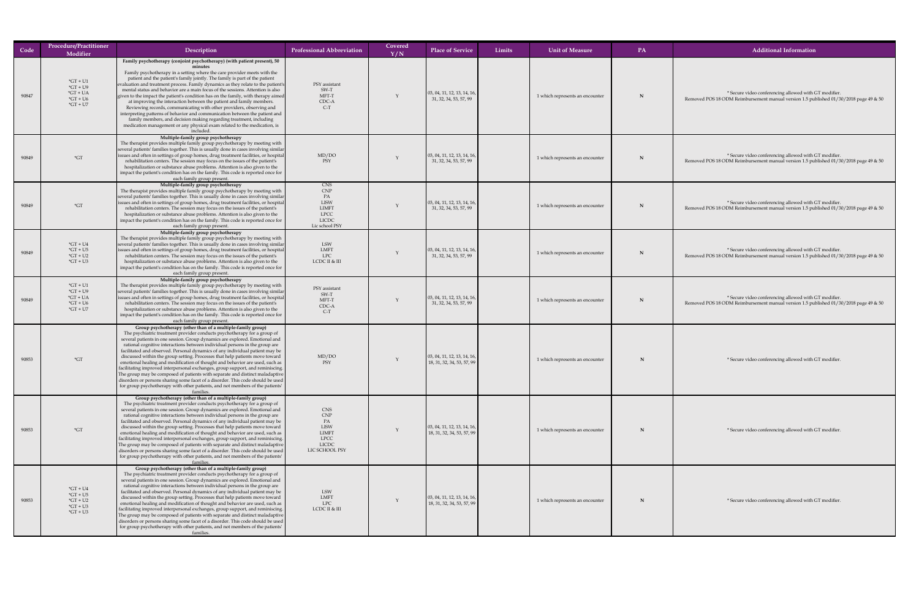| Code  | <b>Procedure/Practitioner</b><br>Modifier                                           | Description                                                                                                                                                                                                                                                                                                                                                                                                                                                                                                                                                                                                                                                                                                                                                                                                                                                                                                        | <b>Professional Abbreviation</b>                                                                               | Covered<br>$\overline{\rm Y/N}$ | <b>Place of Service</b>                                                   | Limits | <b>Unit of Measure</b>          | <b>PA</b> | <b>Additional Information</b>                                                                                                                  |
|-------|-------------------------------------------------------------------------------------|--------------------------------------------------------------------------------------------------------------------------------------------------------------------------------------------------------------------------------------------------------------------------------------------------------------------------------------------------------------------------------------------------------------------------------------------------------------------------------------------------------------------------------------------------------------------------------------------------------------------------------------------------------------------------------------------------------------------------------------------------------------------------------------------------------------------------------------------------------------------------------------------------------------------|----------------------------------------------------------------------------------------------------------------|---------------------------------|---------------------------------------------------------------------------|--------|---------------------------------|-----------|------------------------------------------------------------------------------------------------------------------------------------------------|
| 90847 | $*GT + U1$<br>$*GT + U9$<br>$*GT + UA$<br>$*GT + U6$<br>$\mathrm{G}T + \mathrm{U}7$ | Family psychotherapy (conjoint psychotherapy) (with patient present), 50<br>Family psychotherapy in a setting where the care provider meets with the<br>patient and the patient's family jointly. The family is part of the patient<br>evaluation and treatment process. Family dynamics as they relate to the patient's<br>mental status and behavior are a main focus of the sessions. Attention is also<br>given to the impact the patient's condition has on the family, with therapy aimed<br>at improving the interaction between the patient and family members.<br>Reviewing records, communicating with other providers, observing and<br>interpreting patterns of behavior and communication between the patient and<br>family members, and decision making regarding treatment, including<br>medication management or any physical exam related to the medication, is<br>included                       | PSY assistant<br>SW-T<br>MFT-T<br>CDC-A<br>$C-T$                                                               |                                 | $\vert$ 03, 04, 11, 12, 13, 14, 16, $\vert$<br>31, 32, 34, 53, 57, 99     |        | 1 which represents an encounter |           | * Secure video conferencing allowed with GT modifier.<br>Removed POS 18 ODM Reimbursement manual version 1.5 published 01/30/2018 page 49 & 50 |
| 90849 | $\displaystyle{ \raisebox{0.6ex}{\scriptsize{*}}} G T$                              | Multiple-family group psychotherapy<br>The therapist provides multiple family group psychotherapy by meeting with<br>several patients' families together. This is usually done in cases involving similar<br>  issues and often in settings of group homes, drug treatment facilities, or hospital  <br>rehabilitation centers. The session may focus on the issues of the patient's<br>hospitalization or substance abuse problems. Attention is also given to the<br>impact the patient's condition has on the family. This code is reported once for<br>each family group present.                                                                                                                                                                                                                                                                                                                              | MD/DO<br>PSY                                                                                                   |                                 | $\vert$ 03, 04, 11, 12, 13, 14, 16, $\vert$<br>31, 32, 34, 53, 57, 99     |        | 1 which represents an encounter |           | * Secure video conferencing allowed with GT modifier.<br>Removed POS 18 ODM Reimbursement manual version 1.5 published 01/30/2018 page 49 & 50 |
| 90849 | $\displaystyle{ \raisebox{0.6ex}{\scriptsize{*}}} G T$                              | Multiple-family group psychotherapy<br>The therapist provides multiple family group psychotherapy by meeting with<br> several patients' families together. This is usually done in cases involving similar<br>issues and often in settings of group homes, drug treatment facilities, or hospital<br>rehabilitation centers. The session may focus on the issues of the patient's<br>hospitalization or substance abuse problems. Attention is also given to the<br>impact the patient's condition has on the family. This code is reported once for<br>each family group present.                                                                                                                                                                                                                                                                                                                                 | <b>CNS</b><br>CNP<br>PA<br><b>LISW</b><br><b>LIMFT</b><br><b>LPCC</b><br><b>LICDC</b><br>Lic school PSY        |                                 | $\vert$ 03, 04, 11, 12, 13, 14, 16, $\vert$<br>31, 32, 34, 53, 57, 99     |        | 1 which represents an encounter |           | * Secure video conferencing allowed with GT modifier.<br>Removed POS 18 ODM Reimbursement manual version 1.5 published 01/30/2018 page 49 & 50 |
| 90849 | $*GT + U4$<br>$*GT + U5$<br>$*GT + U2$<br>$*GT + U3$                                | Multiple-family group psychotherapy<br>The therapist provides multiple family group psychotherapy by meeting with<br>several patients' families together. This is usually done in cases involving similar<br>  issues and often in settings of group homes, drug treatment facilities, or hospital  <br>rehabilitation centers. The session may focus on the issues of the patient's<br>hospitalization or substance abuse problems. Attention is also given to the<br>impact the patient's condition has on the family. This code is reported once for<br>each family group present.                                                                                                                                                                                                                                                                                                                              | LSW<br>LMFT<br>LPC<br>LCDC II & III                                                                            |                                 | $\vert$ 03, 04, 11, 12, 13, 14, 16, $\vert$<br>31, 32, 34, 53, 57, 99     |        | 1 which represents an encounter |           | * Secure video conferencing allowed with GT modifier.<br>Removed POS 18 ODM Reimbursement manual version 1.5 published 01/30/2018 page 49 & 50 |
| 90849 | $*GT + U1$<br>$*GT + U9$<br>$*GT + UA$<br>$*GT + U6$<br>$*GT + U7$                  | Multiple-family group psychotherapy<br>The therapist provides multiple family group psychotherapy by meeting with<br>several patients' families together. This is usually done in cases involving similar<br>  issues and often in settings of group homes, drug treatment facilities, or hospital  <br>rehabilitation centers. The session may focus on the issues of the patient's<br>hospitalization or substance abuse problems. Attention is also given to the<br>impact the patient's condition has on the family. This code is reported once for<br>each family group present.                                                                                                                                                                                                                                                                                                                              | PSY assistant<br>SW-T<br>MFT-T<br>CDC-A<br>$C-T$                                                               |                                 | $\vert$ 03, 04, 11, 12, 13, 14, 16,<br>31, 32, 34, 53, 57, 99             |        | 1 which represents an encounter |           | * Secure video conferencing allowed with GT modifier.<br>Removed POS 18 ODM Reimbursement manual version 1.5 published 01/30/2018 page 49 & 50 |
| 90853 | $\mbox{^*GT}$                                                                       | Group psychotherapy (other than of a multiple-family group)<br>The psychiatric treatment provider conducts psychotherapy for a group of<br>several patients in one session. Group dynamics are explored. Emotional and<br>rational cognitive interactions between individual persons in the group are<br>facilitated and observed. Personal dynamics of any individual patient may be<br>discussed within the group setting. Processes that help patients move toward<br>emotional healing and modification of thought and behavior are used, such as<br>$\vert$ facilitating improved interpersonal exchanges, group support, and reminiscing. $\vert$<br>The group may be composed of patients with separate and distinct maladaptive<br>disorders or persons sharing some facet of a disorder. This code should be used<br>for group psychotherapy with other patients, and not members of the patients'        | MD/DO                                                                                                          |                                 | $\vert$ 03, 04, 11, 12, 13, 14, 16, $\vert$<br>18, 31, 32, 34, 53, 57, 99 |        | 1 which represents an encounter |           | * Secure video conferencing allowed with GT modifier.                                                                                          |
| 90853 | $*GT$                                                                               | Group psychotherapy (other than of a multiple-family group)<br>The psychiatric treatment provider conducts psychotherapy for a group of<br>several patients in one session. Group dynamics are explored. Emotional and<br>rational cognitive interactions between individual persons in the group are<br>facilitated and observed. Personal dynamics of any individual patient may be<br>discussed within the group setting. Processes that help patients move toward<br>emotional healing and modification of thought and behavior are used, such as<br>facilitating improved interpersonal exchanges, group support, and reminiscing.<br>The group may be composed of patients with separate and distinct maladaptive<br>disorders or persons sharing some facet of a disorder. This code should be used<br>for group psychotherapy with other patients, and not members of the patients'<br>families.           | <b>CNS</b><br><b>CNP</b><br>PA<br><b>LISW</b><br><b>LIMFT</b><br><b>LPCC</b><br><b>LICDC</b><br>LIC SCHOOL PSY |                                 | $\vert$ 03, 04, 11, 12, 13, 14, 16, $\vert$<br>18, 31, 32, 34, 53, 57, 99 |        | 1 which represents an encounter |           | * Secure video conferencing allowed with GT modifier.                                                                                          |
| 90853 | $*GT + U4$<br>$*GT + U5$<br>$*GT + U2$<br>$*GT + U3$<br>$*GT + U3$                  | Group psychotherapy (other than of a multiple-family group)<br>The psychiatric treatment provider conducts psychotherapy for a group of<br>several patients in one session. Group dynamics are explored. Emotional and<br>rational cognitive interactions between individual persons in the group are<br>facilitated and observed. Personal dynamics of any individual patient may be<br>discussed within the group setting. Processes that help patients move toward<br>emotional healing and modification of thought and behavior are used, such as<br>  facilitating improved interpersonal exchanges, group support, and reminiscing.<br>The group may be composed of patients with separate and distinct maladaptive<br>disorders or persons sharing some facet of a disorder. This code should be used $\vert$<br>for group psychotherapy with other patients, and not members of the patients'<br>families. | LSW<br><b>LMFT</b><br>LPC<br>LCDC II & III                                                                     |                                 | $\vert$ 03, 04, 11, 12, 13, 14, 16, $\vert$<br>18, 31, 32, 34, 53, 57, 99 |        | 1 which represents an encounter |           | * Secure video conferencing allowed with GT modifier.                                                                                          |

**N** N **W** EX **modifier**. **N** N N EX modifier. **N** Ilowed with GT modifier.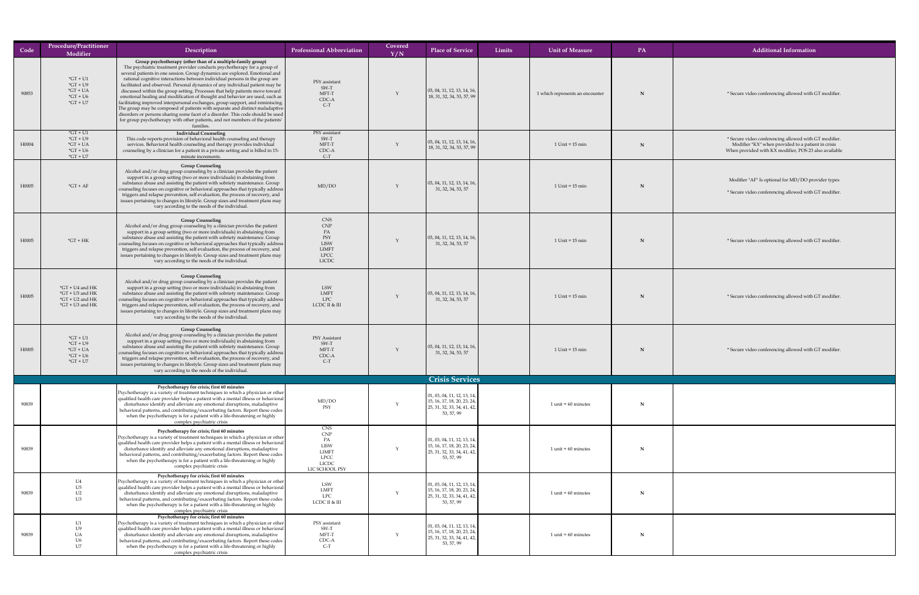| Code  | Procedure/Practitioner<br>Modifier                                                     | Description                                                                                                                                                                                                                                                                                                                                                                                                                                                                                                                                                                                                                                                                                                                                                                                                                                                                                                  | <b>Professional Abbreviation</b>                                                                               | Covered<br>Y/N | <b>Place of Service</b>                                                                                                   | Limits | <b>Unit of Measure</b>          | PA          | <b>Additional Information</b>                                                                                                                                        |
|-------|----------------------------------------------------------------------------------------|--------------------------------------------------------------------------------------------------------------------------------------------------------------------------------------------------------------------------------------------------------------------------------------------------------------------------------------------------------------------------------------------------------------------------------------------------------------------------------------------------------------------------------------------------------------------------------------------------------------------------------------------------------------------------------------------------------------------------------------------------------------------------------------------------------------------------------------------------------------------------------------------------------------|----------------------------------------------------------------------------------------------------------------|----------------|---------------------------------------------------------------------------------------------------------------------------|--------|---------------------------------|-------------|----------------------------------------------------------------------------------------------------------------------------------------------------------------------|
| 90853 | $*GT + U1$<br>$*GT + U9$<br>$*GT + UA$<br>$*GT + U6$<br>$*GT + U7$                     | Group psychotherapy (other than of a multiple-family group)<br>The psychiatric treatment provider conducts psychotherapy for a group of<br>several patients in one session. Group dynamics are explored. Emotional and<br>rational cognitive interactions between individual persons in the group are<br>facilitated and observed. Personal dynamics of any individual patient may be<br>discussed within the group setting. Processes that help patients move toward<br>emotional healing and modification of thought and behavior are used, such as<br>  facilitating improved interpersonal exchanges, group support, and reminiscing.  <br>The group may be composed of patients with separate and distinct maladaptive<br>disorders or persons sharing some facet of a disorder. This code should be used<br>for group psychotherapy with other patients, and not members of the patients'<br>families. | PSY assistant<br>SW-T<br>MFT-T<br>CDC-A<br>$C-T$                                                               |                | $\vert$ 03, 04, 11, 12, 13, 14, 16,<br>18, 31, 32, 34, 53, 57, 99                                                         |        | 1 which represents an encounter | N           | * Secure video conferencing allowed with GT modifier.                                                                                                                |
| H0004 | $*GT + U1$<br>$*GT + U9$<br>$*GT + UA$<br>$*GT + U6$<br>$\mathrm{^*GT}$ + U7           | <b>Individual Counseling</b><br>This code reports provision of behavioral health counseling and therapy<br>services. Behavioral health counseling and therapy provides individual<br>counseling by a clinician for a patient in a private setting and is billed in 15-<br>minute increments.                                                                                                                                                                                                                                                                                                                                                                                                                                                                                                                                                                                                                 | PSY assistant<br>SW-T<br>MFT-T<br>CDC-A<br>$C-T$                                                               |                | $\vert$ 03, 04, 11, 12, 13, 14, 16,<br>18, 31, 32, 34, 53, 57, 99                                                         |        | $1$ Unit = $15$ min             | N           | * Secure video conferencing allowed with GT modifier.<br>Modifier "KX" when provided to a patient in crisis<br>When provided with KX modifier, POS 23 also available |
| H0005 | $*GT + AF$                                                                             | <b>Group Counseling</b><br>Alcohol and/or drug group counseling by a clinician provides the patient<br>support in a group setting (two or more individuals) in abstaining from<br>substance abuse and assisting the patient with sobriety maintenance. Group<br>counseling focuses on cognitive or behavioral approaches that typically address  <br>triggers and relapse prevention, self evaluation, the process of recovery, and<br>issues pertaining to changes in lifestyle. Group sizes and treatment plans may<br>vary according to the needs of the individual.                                                                                                                                                                                                                                                                                                                                      | MD/DO                                                                                                          |                | $\vert$ 03, 04, 11, 12, 13, 14, 16,<br>31, 32, 34, 53, 57                                                                 |        | $1$ Unit = $15$ min             | N           | Modifier "AF" Is optional for MD/DO provider types<br>* Secure video conferencing allowed with GT modifier.                                                          |
| H0005 | $*GT + HK$                                                                             | <b>Group Counseling</b><br>Alcohol and/or drug group counseling by a clinician provides the patient<br>support in a group setting (two or more individuals) in abstaining from<br>substance abuse and assisting the patient with sobriety maintenance. Group<br>counseling focuses on cognitive or behavioral approaches that typically address  <br>triggers and relapse prevention, self evaluation, the process of recovery, and<br>issues pertaining to changes in lifestyle. Group sizes and treatment plans may<br>vary according to the needs of the individual.                                                                                                                                                                                                                                                                                                                                      | <b>CNS</b><br><b>CNP</b><br>PA<br>PSY<br><b>LISW</b><br><b>LIMFT</b><br><b>LPCC</b><br><b>LICDC</b>            |                | $\vert$ 03, 04, 11, 12, 13, 14, 16,<br>31, 32, 34, 53, 57                                                                 |        | $1$ Unit = $15$ min             | N           | * Secure video conferencing allowed with GT modifier.                                                                                                                |
| H0005 | $*GT + U4$ and $HK$<br>$*GT + US$ and $HK$<br>$*GT + U2$ and $HK$<br>$*GT + U3$ and HK | <b>Group Counseling</b><br>Alcohol and/or drug group counseling by a clinician provides the patient<br>support in a group setting (two or more individuals) in abstaining from<br>substance abuse and assisting the patient with sobriety maintenance. Group<br>$\vert$ counseling focuses on cognitive or behavioral approaches that typically address $\vert$<br>triggers and relapse prevention, self evaluation, the process of recovery, and<br>issues pertaining to changes in lifestyle. Group sizes and treatment plans may<br>vary according to the needs of the individual.                                                                                                                                                                                                                                                                                                                        | LSW<br><b>LMFT</b><br><b>LPC</b><br>LCDC II & III                                                              |                | $\vert$ 03, 04, 11, 12, 13, 14, 16,<br>31, 32, 34, 53, 57                                                                 |        | $1$ Unit = $15$ min             |             | * Secure video conferencing allowed with GT modifier.                                                                                                                |
| H0005 | $*GT + U1$<br>$*GT + U9$<br>$*GT + UA$<br>$*GT + U6$<br>$*GT + U7$                     | <b>Group Counseling</b><br>Alcohol and/or drug group counseling by a clinician provides the patient<br>support in a group setting (two or more individuals) in abstaining from<br>substance abuse and assisting the patient with sobriety maintenance. Group<br>counseling focuses on cognitive or behavioral approaches that typically address  <br>triggers and relapse prevention, self evaluation, the process of recovery, and<br>issues pertaining to changes in lifestyle. Group sizes and treatment plans may<br>vary according to the needs of the individual.                                                                                                                                                                                                                                                                                                                                      | PSY Assistant<br>SW-T<br>MFT-T<br>CDC-A<br>$C-T$                                                               |                | $\vert$ 03, 04, 11, 12, 13, 14, 16,<br>31, 32, 34, 53, 57                                                                 |        | $1$ Unit = $15$ min             | N           | * Secure video conferencing allowed with GT modifier.                                                                                                                |
|       |                                                                                        |                                                                                                                                                                                                                                                                                                                                                                                                                                                                                                                                                                                                                                                                                                                                                                                                                                                                                                              |                                                                                                                |                | <b>Crisis Services</b>                                                                                                    |        |                                 |             |                                                                                                                                                                      |
| 90839 |                                                                                        | Psychotherapy for crisis; first 60 minutes<br><b>Psychotherapy is a variety of treatment techniques in which a physician or other</b><br>$\vert$ qualified health care provider helps a patient with a mental illness or behavioral $\vert$<br>disturbance identify and alleviate any emotional disruptions, maladaptive<br>  behavioral patterns, and contributing/exacerbating factors. Report these codes  <br>when the psychotherapy is for a patient with a life-threatening or highly<br>complex psychiatric crisis                                                                                                                                                                                                                                                                                                                                                                                    | MD/DO<br>PSY                                                                                                   |                | 01, 03, 04, 11, 12, 13, 14,<br>15, 16, 17, 18, 20, 23, 24,<br>25, 31, 32, 33, 34, 41, 42,<br>53, 57, 99                   |        | $1$ unit = 60 minutes           | N           |                                                                                                                                                                      |
| 90839 |                                                                                        | Psychotherapy for crisis; first 60 minutes<br>Psychotherapy is a variety of treatment techniques in which a physician or other<br>qualified health care provider helps a patient with a mental illness or behavioral<br>disturbance identify and alleviate any emotional disruptions, maladaptive<br>$\vert$ behavioral patterns, and contributing/exacerbating factors. Report these codes $\vert$<br>when the psychotherapy is for a patient with a life-threatening or highly<br>complex psychiatric crisis                                                                                                                                                                                                                                                                                                                                                                                               | <b>CNS</b><br><b>CNP</b><br>PA<br><b>LISW</b><br><b>LIMFT</b><br><b>LPCC</b><br><b>LICDC</b><br>LIC SCHOOL PSY |                | 01, 03, 04, 11, 12, 13, 14,<br>15, 16, 17, 18, 20, 23, 24,<br>25, 31, 32, 33, 34, 41, 42,<br>53, 57, 99                   |        | $1$ unit = 60 minutes           | $\mathbf N$ |                                                                                                                                                                      |
| 90839 | U4<br>U5<br>U2<br>U3                                                                   | Psychotherapy for crisis; first 60 minutes<br>Psychotherapy is a variety of treatment techniques in which a physician or other<br>$\vert$ qualified health care provider helps a patient with a mental illness or behavioral $\vert$<br>disturbance identify and alleviate any emotional disruptions, maladaptive<br>behavioral patterns, and contributing/exacerbating factors. Report these codes<br>when the psychotherapy is for a patient with a life-threatening or highly<br>complex psychiatric crisis                                                                                                                                                                                                                                                                                                                                                                                               | LSW<br><b>LMFT</b><br>LPC<br>LCDC II & III                                                                     |                | $\vert$ 01, 03, 04, 11, 12, 13, 14, $\vert$<br>  15, 16, 17, 18, 20, 23, 24,<br>25, 31, 32, 33, 34, 41, 42,<br>53, 57, 99 |        | $1$ unit = 60 minutes           | $\mathbf N$ |                                                                                                                                                                      |
| 90839 | U1<br>U <sup>9</sup><br><b>UA</b><br>U6<br>U7                                          | Psychotherapy for crisis; first 60 minutes<br><b>Psychotherapy is a variety of treatment techniques in which a physician or other</b><br>qualified health care provider helps a patient with a mental illness or behavioral<br>disturbance identify and alleviate any emotional disruptions, maladaptive<br>behavioral patterns, and contributing/exacerbating factors. Report these codes<br>when the psychotherapy is for a patient with a life-threatening or highly<br>complex psychiatric crisis                                                                                                                                                                                                                                                                                                                                                                                                        | PSY assistant<br>SW-T<br>MFT-T<br>CDC-A<br>$C-T$                                                               |                | 01, 03, 04, 11, 12, 13, 14,<br>  15, 16, 17, 18, 20, 23, 24,<br>$\vert$ 25, 31, 32, 33, 34, 41, 42, $\vert$<br>53, 57, 99 |        | $1$ unit = 60 minutes           | $\mathbf N$ |                                                                                                                                                                      |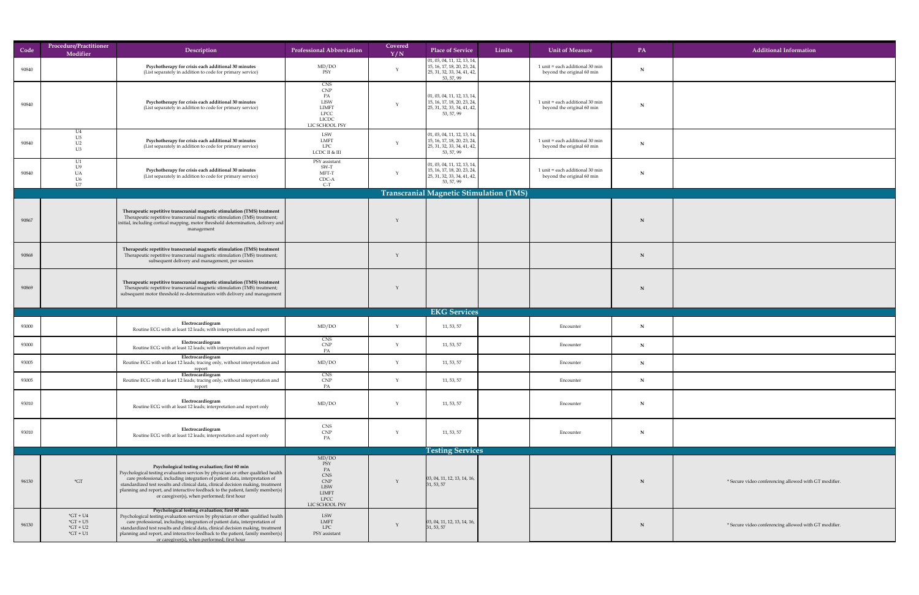| Code  | Procedure/Practitioner<br>Modifier                         | Description                                                                                                                                                                                                                                                                                                                                                                                                                                           | <b>Professional Abbreviation</b>                                                                 | Covered<br>Y/N | <b>Place of Service</b>                                                                                         | Limits | Unit of Measure                                                   | PA          | <b>Additional Information</b>                         |
|-------|------------------------------------------------------------|-------------------------------------------------------------------------------------------------------------------------------------------------------------------------------------------------------------------------------------------------------------------------------------------------------------------------------------------------------------------------------------------------------------------------------------------------------|--------------------------------------------------------------------------------------------------|----------------|-----------------------------------------------------------------------------------------------------------------|--------|-------------------------------------------------------------------|-------------|-------------------------------------------------------|
| 90840 |                                                            | Psychotherapy for crisis each additional 30 minutes<br>(List separately in addition to code for primary service)                                                                                                                                                                                                                                                                                                                                      | MD/DO<br>PSY                                                                                     |                | 01, 03, 04, 11, 12, 13, 14,<br>15, 16, 17, 18, 20, 23, 24,<br>$\vert$ 25, 31, 32, 33, 34, 41, 42,<br>53, 57, 99 |        | 1 unit = each additional 30 min<br>beyond the original 60 min     | N           |                                                       |
| 90840 |                                                            | Psychotherapy for crisis each additional 30 minutes<br>(List separately in addition to code for primary service)                                                                                                                                                                                                                                                                                                                                      | CNS<br><b>CNP</b><br>PA<br>LISW<br><b>LIMFT</b><br><b>LPCC</b><br><b>LICDC</b><br>LIC SCHOOL PSY |                | 01, 03, 04, 11, 12, 13, 14,<br>15, 16, 17, 18, 20, 23, 24,<br>25, 31, 32, 33, 34, 41, 42,<br>53, 57, 99         |        | $1$ unit = each additional $30$ min<br>beyond the original 60 min | $\mathbf N$ |                                                       |
| 90840 | U4<br>U5<br>U <sub>2</sub><br>U3                           | Psychotherapy for crisis each additional 30 minutes<br>(List separately in addition to code for primary service)                                                                                                                                                                                                                                                                                                                                      | LSW<br>LMFT<br><b>LPC</b><br>LCDC II & III                                                       |                | 01, 03, 04, 11, 12, 13, 14,<br>15, 16, 17, 18, 20, 23, 24,<br>25, 31, 32, 33, 34, 41, 42,<br>53, 57, 99         |        | $1$ unit = each additional $30$ min<br>beyond the original 60 min | N           |                                                       |
| 90840 | U1                                                         | Psychotherapy for crisis each additional 30 minutes<br>(List separately in addition to code for primary service)                                                                                                                                                                                                                                                                                                                                      | PSY assistant<br>$SW-T$<br>MFT-T<br>CDC-A<br>$C-I$                                               |                | $\vert$ 01, 03, 04, 11, 12, 13, 14,<br>15, 16, 17, 18, 20, 23, 24,<br>25, 31, 32, 33, 34, 41, 42,<br>53, 57, 99 |        | 1 unit = each additional 30 min<br>beyond the original 60 min     |             |                                                       |
|       |                                                            |                                                                                                                                                                                                                                                                                                                                                                                                                                                       |                                                                                                  |                | Transcranial Magnetic Stimulation (TMS)                                                                         |        |                                                                   |             |                                                       |
| 90867 |                                                            | Therapeutic repetitive transcranial magnetic stimulation (TMS) treatment<br>Therapeutic repetitive transcranial magnetic stimulation (TMS) treatment;<br>initial, including cortical mapping, motor threshold determination, delivery and<br>management                                                                                                                                                                                               |                                                                                                  |                |                                                                                                                 |        |                                                                   |             |                                                       |
| 90868 |                                                            | Therapeutic repetitive transcranial magnetic stimulation (TMS) treatment<br>Therapeutic repetitive transcranial magnetic stimulation (TMS) treatment;<br>subsequent delivery and management, per session                                                                                                                                                                                                                                              |                                                                                                  |                |                                                                                                                 |        |                                                                   |             |                                                       |
| 90869 |                                                            | Therapeutic repetitive transcranial magnetic stimulation (TMS) treatment<br>Therapeutic repetitive transcranial magnetic stimulation (TMS) treatment;<br>subsequent motor threshold re-determination with delivery and management                                                                                                                                                                                                                     |                                                                                                  |                |                                                                                                                 |        |                                                                   |             |                                                       |
|       |                                                            |                                                                                                                                                                                                                                                                                                                                                                                                                                                       |                                                                                                  |                | <b>EKG Services</b>                                                                                             |        |                                                                   |             |                                                       |
| 93000 |                                                            | Electrocardiogram<br>Routine ECG with at least 12 leads; with interpretation and report                                                                                                                                                                                                                                                                                                                                                               | MD/DO                                                                                            |                | 11, 53, 57                                                                                                      |        | Encounter                                                         | N           |                                                       |
| 93000 |                                                            | Electrocardiogram<br>Routine ECG with at least 12 leads; with interpretation and report                                                                                                                                                                                                                                                                                                                                                               | CNS<br><b>CNP</b><br>PA                                                                          |                | 11, 53, 57                                                                                                      |        | Encounter                                                         | N           |                                                       |
| 93005 |                                                            | Electrocardiogram<br>Routine ECG with at least 12 leads; tracing only, without interpretation and<br>report<br>Electrocardiogram                                                                                                                                                                                                                                                                                                                      | MD/DO<br><b>CNS</b>                                                                              |                | 11, 53, 57                                                                                                      |        | Encounter                                                         | N           |                                                       |
| 93005 |                                                            | Routine ECG with at least 12 leads; tracing only, without interpretation and<br>report                                                                                                                                                                                                                                                                                                                                                                | CNP<br>PA                                                                                        |                | 11, 53, 57                                                                                                      |        | Encounter                                                         | N           |                                                       |
| 93010 |                                                            | Electrocardiogram<br>Routine ECG with at least 12 leads; interpretation and report only                                                                                                                                                                                                                                                                                                                                                               | MD/DO                                                                                            |                | 11, 53, 57                                                                                                      |        | Encounter                                                         | N           |                                                       |
| 93010 |                                                            | Electrocardiogram<br>Routine ECG with at least 12 leads; interpretation and report only                                                                                                                                                                                                                                                                                                                                                               | CNS<br>CNP<br>PA                                                                                 |                | 11, 53, 57                                                                                                      |        | Encounter                                                         | $\mathbf N$ |                                                       |
|       |                                                            |                                                                                                                                                                                                                                                                                                                                                                                                                                                       |                                                                                                  |                | <b>Testing Services</b>                                                                                         |        |                                                                   |             |                                                       |
| 96130 | $\mathbf{G}$                                               | Psychological testing evaluation; first 60 min<br><b>Psychological testing evaluation services by physician or other qualified health</b><br>care professional, including integration of patient data, interpretation of<br>standardized test results and clinical data, clinical decision making, treatment<br>planning and report, and interactive feedback to the patient, family member(s) $\vert$<br>or caregiver(s), when performed; first hour | MD/DO<br>PSY<br>PA<br>CNS<br><b>CNP</b><br>LISW<br><b>LIMFT</b><br><b>LPCC</b><br>LIC SCHOOL PSY |                | $\vert$ 03, 04, 11, 12, 13, 14, 16,<br>31, 53, 57                                                               |        |                                                                   |             | * Secure video conferencing allowed with GT modifier. |
| 96130 | $*GT + U4$<br>$*GT + U5$<br>$*GT + U2$<br>$\text{G}T + U1$ | Psychological testing evaluation; first 60 min<br>Psychological testing evaluation services by physician or other qualified health<br>care professional, including integration of patient data, interpretation of<br>standardized test results and clinical data, clinical decision making, treatment<br>  planning and report, and interactive feedback to the patient, family member(s) $\vert$<br>or caregiver(s), when performed; first hour      | LSW<br>LMFT<br><b>LPC</b><br>PSY assistant                                                       |                | $\vert$ 03, 04, 11, 12, 13, 14, 16,<br>$\vert 31, 53, 57 \vert$                                                 |        |                                                                   | N           | * Secure video conferencing allowed with GT modifier. |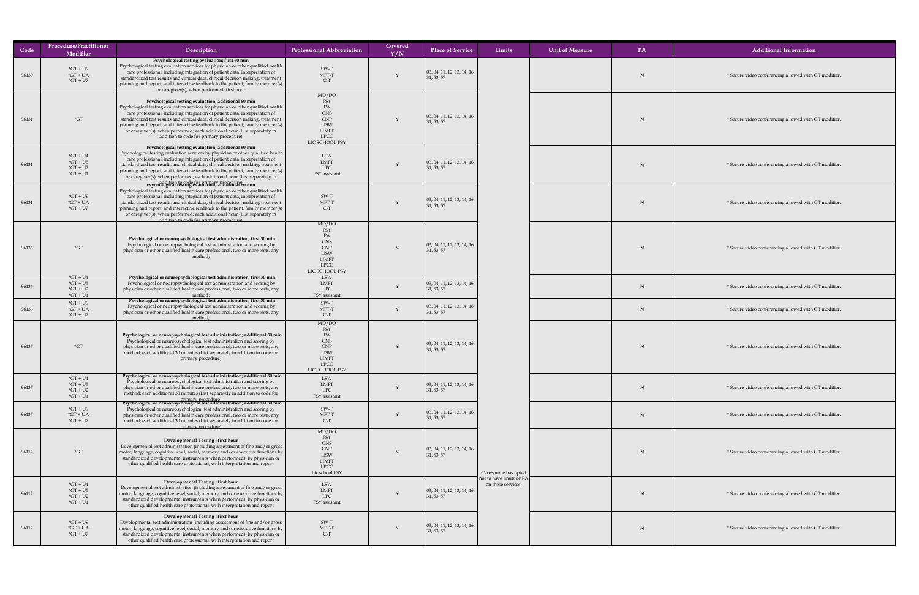| Code  | <b>Procedure/Practitioner</b><br>Modifier              | Description                                                                                                                                                                                                                                                                                                                                                                                                                                                                                                                                                           | <b>Professional Abbreviation</b>                                                                                      | Covered<br>Y/N | <b>Place of Service</b>                                                       | Limits                                         | <b>Unit of Measure</b> | PA | <b>Additional Information</b>              |
|-------|--------------------------------------------------------|-----------------------------------------------------------------------------------------------------------------------------------------------------------------------------------------------------------------------------------------------------------------------------------------------------------------------------------------------------------------------------------------------------------------------------------------------------------------------------------------------------------------------------------------------------------------------|-----------------------------------------------------------------------------------------------------------------------|----------------|-------------------------------------------------------------------------------|------------------------------------------------|------------------------|----|--------------------------------------------|
| 96130 | $*GT + U9$<br>$*GT + UA$<br>$*GT + U7$                 | Psychological testing evaluation; first 60 min<br>Psychological testing evaluation services by physician or other qualified health<br>care professional, including integration of patient data, interpretation of<br>standardized test results and clinical data, clinical decision making, treatment<br>planning and report, and interactive feedback to the patient, family member(s)<br>or caregiver(s), when performed; first hour                                                                                                                                | SW-T<br>MFT-T<br>$C-T$                                                                                                |                | $\left[03, 04, 11, 12, 13, 14, 16, \right]$<br>$\vert 31, 53, 57 \vert$       |                                                |                        |    | * Secure video conferencing allowed with 0 |
| 96131 | $\star$ GT                                             | Psychological testing evaluation; additional 60 min<br>Psychological testing evaluation services by physician or other qualified health<br>care professional, including integration of patient data, interpretation of<br>standardized test results and clinical data, clinical decision making, treatment<br>planning and report, and interactive feedback to the patient, family member(s)<br>or caregiver(s), when performed; each additional hour (List separately in<br>addition to code for primary procedure)                                                  | MD/DO<br><b>PSY</b><br>PA<br><b>CNS</b><br><b>CNP</b><br><b>LISW</b><br><b>LIMFT</b><br><b>LPCC</b><br>LIC SCHOOL PSY |                | $\left[03, 04, 11, 12, 13, 14, 16, \right]$<br>$\vert 31, 53, 57 \vert$       |                                                |                        |    | * Secure video conferencing allowed with 0 |
| 96131 | $*GT + U4$<br>$*GT + U5$<br>$*GT + U2$<br>$*GT + U1$   | Psychological testing evaluation; additional 60 min<br>Psychological testing evaluation services by physician or other qualified health<br>care professional, including integration of patient data, interpretation of<br>standardized test results and clinical data, clinical decision making, treatment<br>planning and report, and interactive feedback to the patient, family member(s)<br>or caregiver(s), when performed; each additional hour (List separately in                                                                                             | <b>LSW</b><br><b>LMFT</b><br><b>LPC</b><br>PSY assistant                                                              |                | $\left 03, 04, 11, 12, 13, 14, 16, \right\rangle$<br>$\vert 31, 53, 57 \vert$ |                                                |                        |    | * Secure video conferencing allowed with 0 |
| 96131 | $*GT + U9$<br>$*GT + UA$<br>$*GT + U7$                 | addition to code for primary procedure)<br><b>Psychological testing evaluation; additional 60 min</b><br>Psychological testing evaluation services by physician or other qualified health<br>care professional, including integration of patient data, interpretation of<br>standardized test results and clinical data, clinical decision making, treatment<br>planning and report, and interactive feedback to the patient, family member(s)<br>or caregiver(s), when performed; each additional hour (List separately in<br>addition to code for primary procedure | SW-T<br>MFT-T<br>$C-T$                                                                                                |                | $\left[03, 04, 11, 12, 13, 14, 16, \right]$<br>31, 53, 57                     |                                                |                        |    | * Secure video conferencing allowed with 0 |
| 96136 | $\displaystyle{ \raisebox{0.6ex}{\scriptsize{*}}} G T$ | Psychological or neuropsychological test administration; first 30 min<br>Psychological or neuropsychological test administration and scoring by<br>physician or other qualified health care professional, two or more tests, any<br>method                                                                                                                                                                                                                                                                                                                            | MD/DO<br><b>PSY</b><br>PA<br><b>CNS</b><br>CNP<br><b>LISW</b><br><b>LIMFT</b><br><b>LPCC</b><br>LIC SCHOOL PSY        |                | $\left[03, 04, 11, 12, 13, 14, 16, \right]$<br>$\vert 31, 53, 57 \vert$       |                                                |                        |    | * Secure video conferencing allowed with G |
| 96136 | $*GT + U4$<br>$*GT + U5$<br>$*GT + U2$<br>$*GT + U1$   | Psychological or neuropsychological test administration; first 30 min<br>Psychological or neuropsychological test administration and scoring by<br>physician or other qualified health care professional, two or more tests, any                                                                                                                                                                                                                                                                                                                                      | <b>LSW</b><br>LMFT<br><b>LPC</b><br>PSY assistant                                                                     |                | $\left[03, 04, 11, 12, 13, 14, 16, \right]$<br>$\vert 31, 53, 57 \vert$       |                                                |                        |    | * Secure video conferencing allowed with 0 |
| 96136 | $*GT + U9$<br>$*GT + UA$<br>$*GT + U7$                 | Psychological or neuropsychological test administration; first 30 min<br>Psychological or neuropsychological test administration and scoring by<br>physician or other qualified health care professional, two or more tests, any<br>method;                                                                                                                                                                                                                                                                                                                           | SW-T<br>MFT-T<br>$C-T$                                                                                                |                | $\vert 03, 04, 11, 12, 13, 14, 16, \vert$<br>$\vert 31, 53, 57 \vert$         |                                                |                        |    | * Secure video conferencing allowed with 0 |
| 96137 | $\displaystyle{ \raisebox{0.6ex}{\scriptsize{*}}} G T$ | Psychological or neuropsychological test administration; additional 30 min<br>Psychological or neuropsychological test administration and scoring by<br>physician or other qualified health care professional, two or more tests, any<br>method; each additional 30 minutes (List separately in addition to code for<br>primary procedure)                                                                                                                                                                                                                            | MD/DO<br>PSY<br>PA<br><b>CNS</b><br><b>CNP</b><br><b>LISW</b><br><b>LIMFT</b><br><b>LPCC</b><br>LIC SCHOOL PSY        |                | $\vert 03, 04, 11, 12, 13, 14, 16, \vert$<br>$\vert 31, 53, 57 \vert$         |                                                |                        |    | * Secure video conferencing allowed with 0 |
| 96137 | $*GT + U4$<br>$*GT + U5$<br>$*GT + U2$<br>$*GT + U1$   | Psychological or neuropsychological test administration; additional 30 min<br>Psychological or neuropsychological test administration and scoring by<br>physician or other qualified health care professional, two or more tests, any<br>method; each additional 30 minutes (List separately in addition to code for                                                                                                                                                                                                                                                  | <b>LSW</b><br><b>LMFT</b><br><b>LPC</b><br>PSY assistant                                                              |                | $\left[03, 04, 11, 12, 13, 14, 16, \right]$<br>$\vert 31, 53, 57 \vert$       |                                                |                        |    | * Secure video conferencing allowed with 0 |
| 96137 | $*GT + U9$<br>$*GT + UA$<br>$*GT + U7$                 | primary procedure)<br>Psychological or neuropsychological test administration; additional 30 min<br>Psychological or neuropsychological test administration and scoring by<br>physician or other qualified health care professional, two or more tests, any<br>method; each additional 30 minutes (List separately in addition to code for                                                                                                                                                                                                                            | SW-T<br>MFT-T<br>$C-T$                                                                                                |                | $\vert 03, 04, 11, 12, 13, 14, 16, \vert$<br>$\vert 31, 53, 57 \vert$         |                                                |                        |    | * Secure video conferencing allowed with 0 |
| 96112 | $*GT$                                                  | primary procedure)<br>Developmental Testing; first hour<br>Developmental test administration (including assessment of fine and/or gross<br>motor, language, cognitive level, social, memory and/or executive functions by<br>standardized developmental instruments when performed), by physician or<br>other qualified health care professional, with interpretation and report                                                                                                                                                                                      | MD/DO<br>PSY<br><b>CNS</b><br><b>CNP</b><br><b>LISW</b><br><b>LIMFT</b><br><b>LPCC</b><br>Lic school PSY              |                | [03, 04, 11, 12, 13, 14, 16,<br>$\vert 31, 53, 57 \vert$                      | CareSource has opted                           |                        |    | * Secure video conferencing allowed with 0 |
| 96112 | $*GT + U4$<br>$*GT + US$<br>$*GT + U2$<br>$*GT + U1$   | Developmental Testing; first hour<br>Developmental test administration (including assessment of fine and/or gross<br>motor, language, cognitive level, social, memory and/or executive functions by<br>standardized developmental instruments when performed), by physician or<br>other qualified health care professional, with interpretation and report                                                                                                                                                                                                            | LSW<br><b>LMFT</b><br><b>LPC</b><br>PSY assistant                                                                     |                | [03, 04, 11, 12, 13, 14, 16,<br>31, 53, 57                                    | not to have limits or PA<br>on these services. |                        |    | * Secure video conferencing allowed with 0 |
| 96112 | $*GT + U9$<br>$*GT + UA$<br>$*GT + U7$                 | Developmental Testing; first hour<br>Developmental test administration (including assessment of fine and/or gross<br>motor, language, cognitive level, social, memory and/or executive functions by<br>standardized developmental instruments when performed), by physician or<br>other qualified health care professional, with interpretation and report                                                                                                                                                                                                            | SW-T<br>MFT-T<br>$C-T$                                                                                                |                | $\left[03, 04, 11, 12, 13, 14, 16, \right]$<br>31, 53, 57                     |                                                |                        |    | * Secure video conferencing allowed with 0 |

allowed with GT modifier.

allowed with GT modifier.

allowed with GT modifier.

allowed with GT modifier.

allowed with GT modifier.

allowed with GT modifier.

**N** allowed with GT modifier.

allowed with GT modifier.

Allowed with GT modifier.

**N** allowed with GT modifier.

allowed with GT modifier.

allowed with GT modifier.

allowed with GT modifier.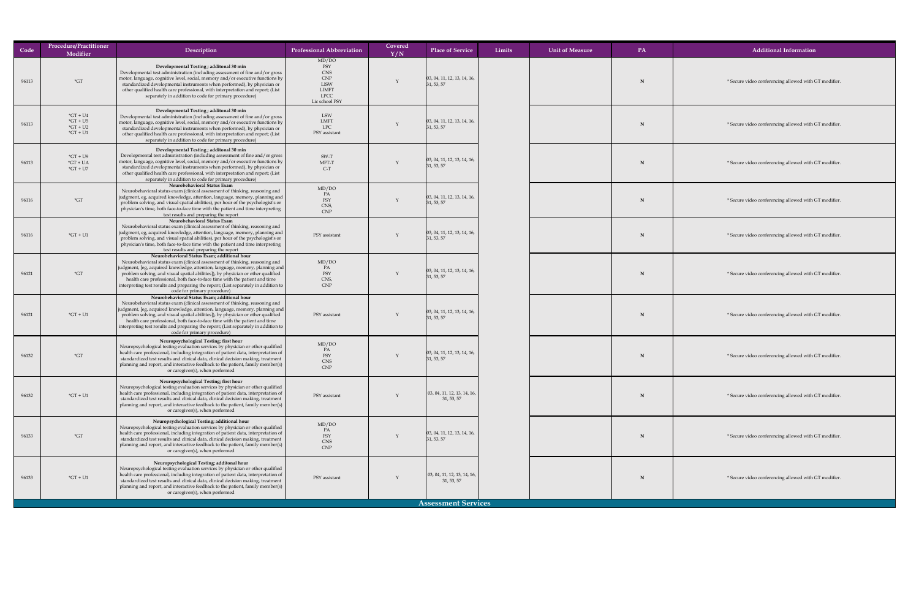| Code  | <b>Procedure/Practitioner</b><br>Modifier              | Description                                                                                                                                                                                                                                                                                                                                                                                                                                                                                           | <b>Professional Abbreviation</b>                                                                  | Covered<br>$\overline{\rm Y/N}$ | <b>Place of Service</b>                                   | Limits | <b>Unit of Measure</b> | <b>PA</b> | <b>Additional Information</b>              |
|-------|--------------------------------------------------------|-------------------------------------------------------------------------------------------------------------------------------------------------------------------------------------------------------------------------------------------------------------------------------------------------------------------------------------------------------------------------------------------------------------------------------------------------------------------------------------------------------|---------------------------------------------------------------------------------------------------|---------------------------------|-----------------------------------------------------------|--------|------------------------|-----------|--------------------------------------------|
| 96113 | $\mathbf{G}$ T                                         | Developmental Testing; additonal 30 min<br>Developmental test administration (including assessment of fine and/or gross<br>motor, language, cognitive level, social, memory and/or executive functions by<br>standardized developmental instruments when performed), by physician or<br>other qualified health care professional, with interpretation and report; (List<br>separately in addition to code for primary procedure)                                                                      | MD/DO<br>PSY<br>CNS<br><b>CNP</b><br><b>LISW</b><br><b>LIMFT</b><br><b>LPCC</b><br>Lic school PSY |                                 | [03, 04, 11, 12, 13, 14, 16,<br>31, 53, 57                |        |                        |           | * Secure video conferencing allowed with 0 |
| 96113 | $*GT + U4$<br>$*GT + US$<br>$*GT + U2$<br>$*GT + U1$   | Developmental Testing ; additonal 30 min<br>Developmental test administration (including assessment of fine and/or gross<br>motor, language, cognitive level, social, memory and/or executive functions by<br>standardized developmental instruments when performed), by physician or<br>other qualified health care professional, with interpretation and report; (List<br>separately in addition to code for primary procedure)                                                                     | <b>LSW</b><br><b>LMFT</b><br><b>LPC</b><br>PSY assistant                                          |                                 | $\vert 03, 04, 11, 12, 13, 14, 16, \vert$<br>31, 53, 57   |        |                        |           | * Secure video conferencing allowed with 0 |
| 96113 | $*GT + U9$<br>$*GT + UA$<br>$*GT + U7$                 | Developmental Testing; additonal 30 min<br>Developmental test administration (including assessment of fine and/or gross<br>motor, language, cognitive level, social, memory and/or executive functions by<br>standardized developmental instruments when performed), by physician or<br>other qualified health care professional, with interpretation and report; (List<br>separately in addition to code for primary procedure)                                                                      | SW-T<br>MFT-T<br>$C-T$                                                                            |                                 | [03, 04, 11, 12, 13, 14, 16,<br>31, 53, 57                |        |                        |           | * Secure video conferencing allowed with 0 |
| 96116 | $\displaystyle{ \raisebox{0.6ex}{\scriptsize{*}}} G T$ | <b>Neurobehavioral Status Exam</b><br>Neurobehavioral status exam (clinical assessment of thinking, reasoning and<br>judgment, eg, acquired knowledge, attention, language, memory, planning and  <br>problem solving, and visual spatial abilities), per hour of the psychologist's or<br>physician's time, both face-to-face time with the patient and time interpreting<br>test results and preparing the report<br><b>Neurobehavioral Status Exam</b>                                             | MD/DO<br>PA<br>PSY<br>CNS,<br><b>CNP</b>                                                          |                                 | $\vert 03, 04, 11, 12, 13, 14, 16, \vert$<br>31, 53, 57   |        |                        |           | * Secure video conferencing allowed with ( |
| 96116 | $*GT + U1$                                             | Neurobehavioral status exam (clinical assessment of thinking, reasoning and<br>judgment, eg, acquired knowledge, attention, language, memory, planning and<br>problem solving, and visual spatial abilities), per hour of the psychologist's or<br>physician's time, both face-to-face time with the patient and time interpreting<br>test results and preparing the report                                                                                                                           | PSY assistant                                                                                     |                                 | $\vert 03, 04, 11, 12, 13, 14, 16, \vert$<br>31, 53, 57   |        |                        |           | * Secure video conferencing allowed with 0 |
| 96121 | $\mathbf{G}$ T                                         | Neurobehavioral Status Exam; additional hour<br>Neurobehavioral status exam (clinical assessment of thinking, reasoning and<br>  judgment, [eg, acquired knowledge, attention, language, memory, planning and<br>problem solving, and visual spatial abilities]), by physician or other qualified<br>health care professional, both face-to-face time with the patient and time<br>interpreting test results and preparing the report; (List separately in addition to<br>code for primary procedure) | MD/DO<br>PA<br>PSY<br>CNS,<br>CNP                                                                 |                                 | $\vert 03, 04, 11, 12, 13, 14, 16, \vert$<br>31, 53, 57   |        |                        |           | * Secure video conferencing allowed with ( |
| 96121 | $*GT + U1$                                             | Neurobehavioral Status Exam; additional hour<br>Neurobehavioral status exam (clinical assessment of thinking, reasoning and<br>  judgment, [eg, acquired knowledge, attention, language, memory, planning and<br>problem solving, and visual spatial abilities]), by physician or other qualified<br>health care professional, both face-to-face time with the patient and time<br>interpreting test results and preparing the report; (List separately in addition to<br>code for primary procedure) | PSY assistant                                                                                     |                                 | $\vert$ 03, 04, 11, 12, 13, 14, 16,<br>31, 53, 57         |        |                        |           | * Secure video conferencing allowed with 0 |
| 96132 | $\displaystyle{ \raisebox{0.6ex}{\scriptsize{*}}} G T$ | Neuropsychological Testing; first hour<br>Neuropsychological testing evaluation services by physician or other qualified<br>health care professional, including integration of patient data, interpretation of<br>standardized test results and clinical data, clinical decision making, treatment<br>planning and report, and interactive feedback to the patient, family member(s)<br>or caregiver(s), when performed                                                                               | MD/DO<br>PA<br>PSY<br><b>CNS</b><br>CNP                                                           |                                 | $\left 03, 04, 11, 12, 13, 14, 16, \right $<br>31, 53, 57 |        |                        |           | * Secure video conferencing allowed with 0 |
| 96132 | $*GT + U1$                                             | Neuropsychological Testing; first hour<br>Neuropsychological testing evaluation services by physician or other qualified<br>health care professional, including integration of patient data, interpretation of<br>standardized test results and clinical data, clinical decision making, treatment<br>planning and report, and interactive feedback to the patient, family member(s)<br>or caregiver(s), when performed                                                                               | PSY assistant                                                                                     |                                 | $\vert$ 03, 04, 11, 12, 13, 14, 16,<br>31, 53, 57         |        |                        |           | * Secure video conferencing allowed with 0 |
| 96133 | $\mathbf{G}$                                           | Neuropsychological Testing; additional hour<br>Neuropsychological testing evaluation services by physician or other qualified<br>health care professional, including integration of patient data, interpretation of<br>standardized test results and clinical data, clinical decision making, treatment<br>planning and report, and interactive feedback to the patient, family member(s)<br>or caregiver(s), when performed                                                                          | MD/DO<br>PA<br>PSY<br><b>CNS</b><br>CNP                                                           |                                 | $\vert$ 03, 04, 11, 12, 13, 14, 16,<br>31, 53, 57         |        |                        |           | * Secure video conferencing allowed with 0 |
| 96133 | $*GT + U1$                                             | Neuropsychological Testing; additonal hour<br>Neuropsychological testing evaluation services by physician or other qualified<br>health care professional, including integration of patient data, interpretation of<br>standardized test results and clinical data, clinical decision making, treatment<br>planning and report, and interactive feedback to the patient, family member(s)<br>or caregiver(s), when performed                                                                           | PSY assistant                                                                                     |                                 | $\vert$ 03, 04, 11, 12, 13, 14, 16,<br>31, 53, 57         |        |                        |           | * Secure video conferencing allowed with ( |
|       |                                                        |                                                                                                                                                                                                                                                                                                                                                                                                                                                                                                       |                                                                                                   |                                 | <b>Assessment Services</b>                                |        |                        |           |                                            |

## **N** allowed with GT modifier. **N** allowed with GT modifier. **N** allowed with GT modifier. **N** allowed with GT modifier. Allowed with GT modifier. Allowed with GT modifier. allowed with GT modifier. **N** allowed with GT modifier. **N** allowed with GT modifier. **N** allowed with GT modifier.

**N** allowed with GT modifier.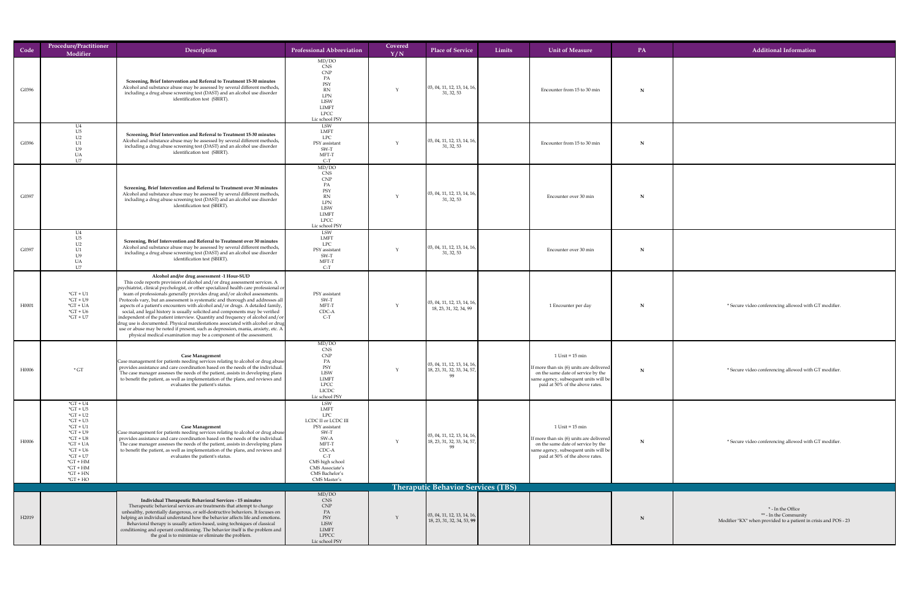| Code              | <b>Procedure/Practitioner</b><br>Modifier                                                                                                                                                        | Description                                                                                                                                                                                                                                                                                                                                                                                                                                                                                                                                                                                                                                                                                                                                                                                                                                                                                                    | <b>Professional Abbreviation</b>                                                                                                                                                                   | Covered<br>Y/N | Limits<br><b>Place of Service</b>                                   | <b>Unit of Measure</b>                                                                                                                                                              | PA        | <b>Additional Information</b>                                                                                 |
|-------------------|--------------------------------------------------------------------------------------------------------------------------------------------------------------------------------------------------|----------------------------------------------------------------------------------------------------------------------------------------------------------------------------------------------------------------------------------------------------------------------------------------------------------------------------------------------------------------------------------------------------------------------------------------------------------------------------------------------------------------------------------------------------------------------------------------------------------------------------------------------------------------------------------------------------------------------------------------------------------------------------------------------------------------------------------------------------------------------------------------------------------------|----------------------------------------------------------------------------------------------------------------------------------------------------------------------------------------------------|----------------|---------------------------------------------------------------------|-------------------------------------------------------------------------------------------------------------------------------------------------------------------------------------|-----------|---------------------------------------------------------------------------------------------------------------|
| G0396             |                                                                                                                                                                                                  | <b>Screening, Brief Intervention and Referral to Treatment 15-30 minutes</b><br>Alcohol and substance abuse may be assessed by several different methods,<br>including a drug abuse screening test (DAST) and an alcohol use disorder<br>identification test (SBIRT).                                                                                                                                                                                                                                                                                                                                                                                                                                                                                                                                                                                                                                          | MD/DO<br><b>CNS</b><br><b>CNP</b><br>PA<br>PSY<br><b>RN</b><br>LPN<br><b>LISW</b><br><b>LIMFT</b><br><b>LPCC</b><br>Lic school PSY                                                                 |                | $\vert$ 03, 04, 11, 12, 13, 14, 16,<br>31, 32, 53                   | Encounter from 15 to 30 min                                                                                                                                                         | N         |                                                                                                               |
| G0396             | U <sub>4</sub><br>U <sub>2</sub><br><b>UA</b><br>U7                                                                                                                                              | <b>Screening, Brief Intervention and Referral to Treatment 15-30 minutes</b><br>Alcohol and substance abuse may be assessed by several different methods,<br>including a drug abuse screening test (DAST) and an alcohol use disorder<br>identification test (SBIRT).                                                                                                                                                                                                                                                                                                                                                                                                                                                                                                                                                                                                                                          | LSW<br><b>LMFT</b><br><b>LPC</b><br>PSY assistant<br>$SW-T$<br>MFT-T<br>$C-T$                                                                                                                      |                | $\vert$ 03, 04, 11, 12, 13, 14, 16,<br>31, 32, 53                   | Encounter from 15 to 30 min                                                                                                                                                         | N         |                                                                                                               |
| G0397             |                                                                                                                                                                                                  | Screening, Brief Intervention and Referral to Treatment over 30 minutes<br>Alcohol and substance abuse may be assessed by several different methods,<br>including a drug abuse screening test (DAST) and an alcohol use disorder<br>identification test (SBIRT).                                                                                                                                                                                                                                                                                                                                                                                                                                                                                                                                                                                                                                               | MD/DO<br>CNS<br><b>CNP</b><br>PA<br>PSY<br><b>RN</b><br><b>LPN</b><br><b>LISW</b><br><b>LIMFT</b><br><b>LPCC</b><br>Lic school PSY                                                                 |                | $\vert$ 03, 04, 11, 12, 13, 14, 16,<br>31, 32, 53                   | Encounter over 30 min                                                                                                                                                               |           |                                                                                                               |
| G0397             |                                                                                                                                                                                                  | Screening, Brief Intervention and Referral to Treatment over 30 minutes<br>Alcohol and substance abuse may be assessed by several different methods,<br>including a drug abuse screening test (DAST) and an alcohol use disorder<br>identification test (SBIRT).                                                                                                                                                                                                                                                                                                                                                                                                                                                                                                                                                                                                                                               | LSW<br>LMFT<br><b>LPC</b><br>PSY assistant<br>SW-T<br>MFT-T<br>$C-T$                                                                                                                               |                | $\vert$ 03, 04, 11, 12, 13, 14, 16,<br>31, 32, 53                   | Encounter over 30 min                                                                                                                                                               | <b>IN</b> |                                                                                                               |
| H0001             | $*GT + U1$<br>$*GT + U9$<br>$*GT + UA$<br>$*GT + U6$<br>$*GT + U7$                                                                                                                               | Alcohol and/or drug assessment -1 Hour-SUD<br>This code reports provision of alcohol and/or drug assessment services. A<br>psychiatrist, clinical psychologist, or other specialized health care professional or<br>team of professionals generally provides drug and/or alcohol assessments.<br>Protocols vary, but an assessment is systematic and thorough and addresses all<br>aspects of a patient's encounters with alcohol and/or drugs. A detailed family,<br>social, and legal history is usually solicited and components may be verified<br>independent of the patient interview. Quantity and frequency of alcohol and/or $\vert$<br>$\vert$ drug use is documented. Physical manifestations associated with alcohol or drug<br>$\mu$ use or abuse may be noted if present, such as depression, mania, anxiety, etc. A $\mu$<br>physical medical examination may be a component of the assessment. | PSY assistant<br>$SW-T$<br>MFT-T<br>CDC-A<br>$C-T$                                                                                                                                                 |                | $\vert$ 03, 04, 11, 12, 13, 14, 16,<br>18, 23, 31, 32, 34, 99       | 1 Encounter per day                                                                                                                                                                 |           | * Secure video conferencing allowed with GT modifier.                                                         |
| H0006             | $\mathrm{^*GT}$                                                                                                                                                                                  | <b>Case Management</b><br>$ Case$ management for patients needing services relating to alcohol or drug abuse<br>provides assistance and care coordination based on the needs of the individual.<br>The case manager assesses the needs of the patient, assists in developing plans<br>to benefit the patient, as well as implementation of the plans, and reviews and<br>evaluates the patient's status.                                                                                                                                                                                                                                                                                                                                                                                                                                                                                                       | MD/DO<br>CNS<br><b>CNP</b><br>PA<br>PSY<br><b>LISW</b><br><b>LIMFT</b><br><b>LPCC</b><br><b>LICDC</b><br>Lic school PSY                                                                            |                | $\vert$ 03, 04, 11, 12, 13, 14, 16,<br>18, 23, 31, 32, 33, 34, 57,  | $1$ Unit = $15$ min<br>If more than six $(6)$ units are delivered<br>on the same date of service by the<br>same agency, subsequent units will be<br>paid at 50% of the above rates. | <b>IN</b> | * Secure video conferencing allowed with GT modifier.                                                         |
| H0006             | $*GT + U4$<br>$*GT + US$<br>$*GT + U2$<br>$*GT + U3$<br>$*GT + U1$<br>$*GT + U9$<br>$*GT + US$<br>$*GT + UA$<br>$*GT + U6$<br>$*GT + U7$<br>$*GT + HM$<br>$*GT + HM$<br>$*GT + HN$<br>$*GT + HO$ | <b>Case Management</b><br>Case management for patients needing services relating to alcohol or drug abuse<br>provides assistance and care coordination based on the needs of the individual.<br>The case manager assesses the needs of the patient, assists in developing plans  <br>to benefit the patient, as well as implementation of the plans, and reviews and<br>evaluates the patient's status.                                                                                                                                                                                                                                                                                                                                                                                                                                                                                                        | LSW<br><b>LMFT</b><br><b>LPC</b><br>LCDC II or LCDC III<br>PSY assistant<br>SW-T<br>SW-A<br>MFT-T<br>CDC-A<br>$C-T$<br>CMS high school<br><b>CMS</b> Associate's<br>CMS Bachelor's<br>CMS Master's |                | $\vert$ 03, 04, 11, 12, 13, 14, 16,<br>18, 23, 31, 32, 33, 34, 57,  | $1$ Unit = $15$ min<br>If more than six (6) units are delivered<br>on the same date of service by the<br>same agency, subsequent units will be<br>paid at 50% of the above rates.   |           | * Secure video conferencing allowed with GT modifier.                                                         |
|                   |                                                                                                                                                                                                  |                                                                                                                                                                                                                                                                                                                                                                                                                                                                                                                                                                                                                                                                                                                                                                                                                                                                                                                |                                                                                                                                                                                                    |                | <b>Theraputic Behavior Services (TBS)</b>                           |                                                                                                                                                                                     |           |                                                                                                               |
| H <sub>2019</sub> |                                                                                                                                                                                                  | Individual Therapeutic Behavioral Services - 15 minutes<br>Therapeutic behavioral services are treatments that attempt to change<br>unhealthy, potentially dangerous, or self-destructive behaviors. It focuses on<br>helping an individual understand how the behavior affects life and emotions.<br>Behavioral therapy is usually action-based, using techniques of classical<br>conditioning and operant conditioning. The behavior itself is the problem and<br>the goal is to minimize or eliminate the problem.                                                                                                                                                                                                                                                                                                                                                                                          | MD/DO<br>CNS<br><b>CNP</b><br>PA<br>PSY<br><b>LISW</b><br><b>LIMFT</b><br><b>LPPCC</b><br>Lic school PSY                                                                                           |                | $\vert$ 03, 04, 11, 12, 13, 14, 16,<br>  18, 23, 31, 32, 34, 53, 99 |                                                                                                                                                                                     |           | * - In the Office<br>** - In the Community<br>Modifier "KX" when provided to a patient in crisis and POS - 23 |

# **N** allowed with GT modifier. Allowed with GT modifier.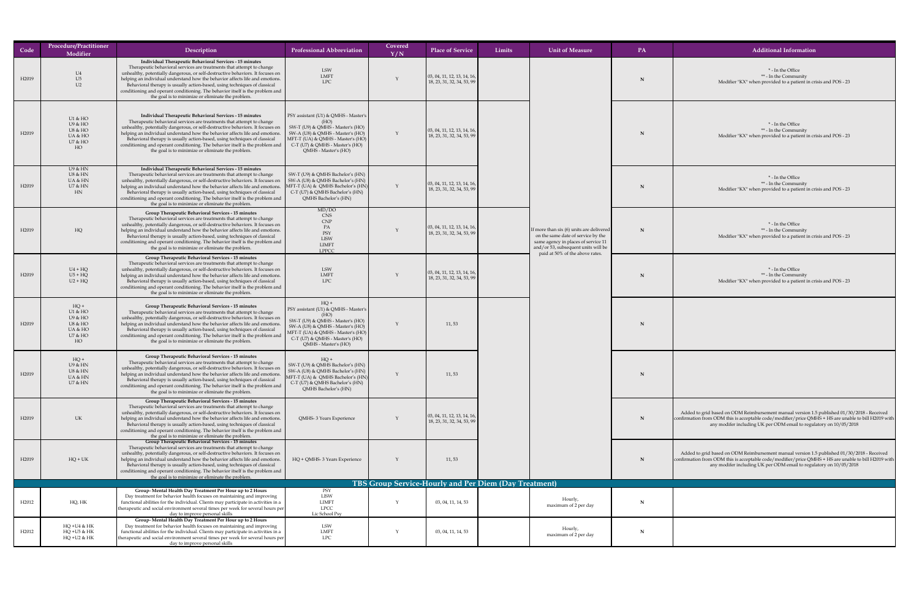| Code              | <b>Procedure/Practitioner</b><br>Modifier                                | Description                                                                                                                                                                                                                                                                                                                                                                                                                                                                                                                     | <b>Professional Abbreviation</b>                                                                                                                                                                                                                  | Covered<br>Y/N | <b>Place of Service</b>                                           | Limits | <b>Unit of Measure</b>                                                                                                                                         | PA | <b>Additional Information</b>                                                                                                                                                                                                                                             |
|-------------------|--------------------------------------------------------------------------|---------------------------------------------------------------------------------------------------------------------------------------------------------------------------------------------------------------------------------------------------------------------------------------------------------------------------------------------------------------------------------------------------------------------------------------------------------------------------------------------------------------------------------|---------------------------------------------------------------------------------------------------------------------------------------------------------------------------------------------------------------------------------------------------|----------------|-------------------------------------------------------------------|--------|----------------------------------------------------------------------------------------------------------------------------------------------------------------|----|---------------------------------------------------------------------------------------------------------------------------------------------------------------------------------------------------------------------------------------------------------------------------|
| H2019             | U4<br>U5<br>U2                                                           | Individual Therapeutic Behavioral Services - 15 minutes<br>Therapeutic behavioral services are treatments that attempt to change<br>unhealthy, potentially dangerous, or self-destructive behaviors. It focuses on<br>helping an individual understand how the behavior affects life and emotions.<br>Behavioral therapy is usually action-based, using techniques of classical<br>conditioning and operant conditioning. The behavior itself is the problem and<br>the goal is to minimize or eliminate the problem.           | LSW<br>LMFT<br><b>LPC</b>                                                                                                                                                                                                                         |                | $\vert$ 03, 04, 11, 12, 13, 14, 16,<br>18, 23, 31, 32, 34, 53, 99 |        |                                                                                                                                                                |    | * - In the Office<br>** - In the Community<br>Modifier "KX" when provided to a patient in crisis and POS - 23                                                                                                                                                             |
| H2019             | $U1$ & $HO$<br>U9 & HO<br>U8 & HO<br>UA & HO<br>U7 & HO<br>HO            | Individual Therapeutic Behavioral Services - 15 minutes<br>Therapeutic behavioral services are treatments that attempt to change<br>unhealthy, potentially dangerous, or self-destructive behaviors. It focuses on<br>helping an individual understand how the behavior affects life and emotions.<br>Behavioral therapy is usually action-based, using techniques of classical<br>conditioning and operant conditioning. The behavior itself is the problem and<br>the goal is to minimize or eliminate the problem.           | <b>PSY</b> assistant (U1) & QMHS - Master's<br>(HO)<br>SW-T (U9) & QMHS - Master's (HO)<br>SW-A (U8) & QMHS - Master's (HO)<br>$\vert$ MFT-T (UA) & QMHS - Master's (HO) $\vert$<br>C-T (U7) & QMHS - Master's (HO)<br>QMHS - Master's (HO)       |                | $\vert$ 03, 04, 11, 12, 13, 14, 16,<br>18, 23, 31, 32, 34, 53, 99 |        |                                                                                                                                                                |    | * - In the Office<br>** - In the Community<br>Modifier "KX" when provided to a patient in crisis and POS - 23                                                                                                                                                             |
| H <sub>2019</sub> | U9 & HN<br><b>U8 &amp; HN</b><br>UA & HN<br><b>U7 &amp; HN</b><br>HN     | Individual Therapeutic Behavioral Services - 15 minutes<br>Therapeutic behavioral services are treatments that attempt to change<br>unhealthy, potentially dangerous, or self-destructive behaviors. It focuses on<br>helping an individual understand how the behavior affects life and emotions.<br>Behavioral therapy is usually action-based, using techniques of classical<br>conditioning and operant conditioning. The behavior itself is the problem and<br>the goal is to minimize or eliminate the problem.           | $\vert$ SW-T (U9) & QMHS Bachelor's (HN) $\vert$<br>SW-A (U8) & QMHS Bachelor's (HN)<br>MFT-T (UA) & QMHS Bachelor's (HN)<br>C-T (U7) & QMHS Bachelor's (HN)<br>QMHS Bachelor's (HN)                                                              |                | $\vert$ 03, 04, 11, 12, 13, 14, 16,<br>18, 23, 31, 32, 34, 53, 99 |        |                                                                                                                                                                |    | * - In the Office<br>** - In the Community<br>Modifier "KX" when provided to a patient in crisis and POS - 23                                                                                                                                                             |
| H <sub>2019</sub> | HQ                                                                       | <b>Group Therapeutic Behavioral Services - 15 minutes</b><br>Therapeutic behavioral services are treatments that attempt to change<br>unhealthy, potentially dangerous, or self-destructive behaviors. It focuses on<br>helping an individual understand how the behavior affects life and emotions.<br>Behavioral therapy is usually action-based, using techniques of classical<br>conditioning and operant conditioning. The behavior itself is the problem and<br>the goal is to minimize or eliminate the problem.         | MD/DO<br>CNS<br>CNP<br>$\begin{array}{c}\nPA \\ PSY\n\end{array}$<br><b>LISW</b><br><b>LIMFT</b><br>LPPCC                                                                                                                                         |                | 03, 04, 11, 12, 13, 14, 16,<br>18, 23, 31, 32, 34, 53, 99         |        | If more than six $(6)$ units are delivered<br>on the same date of service by the<br>same agency in places of service 11<br>and/or 53, subsequent units will be | N  | * - In the Office<br>** - In the Community<br>Modifier "KX" when provided to a patient in crisis and POS - 23                                                                                                                                                             |
| H2019             | $U4 + HQ$<br>$U5 + HQ$<br>$U2 + HQ$                                      | <b>Group Therapeutic Behavioral Services - 15 minutes</b><br>Therapeutic behavioral services are treatments that attempt to change<br>unhealthy, potentially dangerous, or self-destructive behaviors. It focuses on<br>helping an individual understand how the behavior affects life and emotions.<br>Behavioral therapy is usually action-based, using techniques of classical<br>conditioning and operant conditioning. The behavior itself is the problem and<br>the goal is to minimize or eliminate the problem.         | <b>LSW</b><br><b>LMFT</b><br>LPC                                                                                                                                                                                                                  |                | $\vert$ 03, 04, 11, 12, 13, 14, 16,<br>18, 23, 31, 32, 34, 53, 99 |        | paid at 50% of the above rates.                                                                                                                                |    | * - In the Office<br>** - In the Community<br>Modifier "KX" when provided to a patient in crisis and POS - 23                                                                                                                                                             |
| H2019             | $HQ +$<br>$U1$ & $HO$<br>U9 & HO<br>U8 & HO<br>UA & HO<br>U7 & HO<br>HO  | <b>Group Therapeutic Behavioral Services - 15 minutes</b><br>Therapeutic behavioral services are treatments that attempt to change<br>unhealthy, potentially dangerous, or self-destructive behaviors. It focuses on<br>helping an individual understand how the behavior affects life and emotions.<br>Behavioral therapy is usually action-based, using techniques of classical<br>conditioning and operant conditioning. The behavior itself is the problem and<br>the goal is to minimize or eliminate the problem.         | $HQ +$<br><b>PSY</b> assistant (U1) & QMHS - Master's<br>SW-T (U9) & QMHS - Master's (HO)<br>$\vert$ SW-A (U8) & QMHS - Master's (HO) $\vert$<br>  MFT-T (UA) & QMHS - Master's (HO)  <br>C-T (U7) & QMHS - Master's (HO)<br>QMHS - Master's (HO) |                | 11,53                                                             |        |                                                                                                                                                                |    |                                                                                                                                                                                                                                                                           |
| H <sub>2019</sub> | $HQ +$<br>U9 & HN<br><b>U8 &amp; HN</b><br>UA & HN<br><b>U7 &amp; HN</b> | <b>Group Therapeutic Behavioral Services - 15 minutes</b><br>Therapeutic behavioral services are treatments that attempt to change<br>unhealthy, potentially dangerous, or self-destructive behaviors. It focuses on<br>helping an individual understand how the behavior affects life and emotions.<br>Behavioral therapy is usually action-based, using techniques of classical<br>conditioning and operant conditioning. The behavior itself is the problem and<br>the goal is to minimize or eliminate the problem.         | $HQ +$<br>$\mid$ SW-T (U9) & QMHS Bachelor's (HN) $\mid$<br>SW-A (U8) & QMHS Bachelor's (HN)<br>$ \text{MFT-T (UA) & QMHS Bachelor's (HN)} $<br>C-T (U7) & QMHS Bachelor's (HN)<br>QMHS Bachelor's (HN)                                           |                | 11,53                                                             |        |                                                                                                                                                                |    |                                                                                                                                                                                                                                                                           |
| H2019             | <b>UK</b>                                                                | <b>Group Therapeutic Behavioral Services - 15 minutes</b><br>Therapeutic behavioral services are treatments that attempt to change<br>unhealthy, potentially dangerous, or self-destructive behaviors. It focuses on<br>helping an individual understand how the behavior affects life and emotions.<br>Behavioral therapy is usually action-based, using techniques of classical<br>conditioning and operant conditioning. The behavior itself is the problem and $\vert$<br>the goal is to minimize or eliminate the problem. | QMHS-3 Years Experience                                                                                                                                                                                                                           |                | $\vert$ 03, 04, 11, 12, 13, 14, 16,<br>18, 23, 31, 32, 34, 53, 99 |        |                                                                                                                                                                |    | Added to grid based on ODM Reimbursement manual version 1.5 published 01/30/2018 - Received<br>confirmation from ODM this is acceptable code/modifier/price QMHS + HS are unable to bill H2019 with<br>any modifer including UK per ODM email to regulatory on 10/05/2018 |
| H2019             | $HQ + UK$                                                                | <b>Group Therapeutic Behavioral Services - 15 minutes</b><br>Therapeutic behavioral services are treatments that attempt to change<br>unhealthy, potentially dangerous, or self-destructive behaviors. It focuses on<br>helping an individual understand how the behavior affects life and emotions.<br>Behavioral therapy is usually action-based, using techniques of classical<br>conditioning and operant conditioning. The behavior itself is the problem and<br>the goal is to minimize or eliminate the problem.         | HQ + QMHS- 3 Years Experience                                                                                                                                                                                                                     |                | 11,53                                                             |        |                                                                                                                                                                |    | Added to grid based on ODM Reimbursement manual version 1.5 published 01/30/2018 - Received<br>confirmation from ODM this is acceptable code/modifier/price QMHS + HS are unable to bill H2019 with<br>any modifer including UK per ODM email to regulatory on 10/05/2018 |
|                   |                                                                          |                                                                                                                                                                                                                                                                                                                                                                                                                                                                                                                                 |                                                                                                                                                                                                                                                   |                | <b>TBS Group Service-Hourly and Per Diem (Day Treatment)</b>      |        |                                                                                                                                                                |    |                                                                                                                                                                                                                                                                           |
| H <sub>2012</sub> | HQ, HK                                                                   | Group- Mental Health Day Treatment Per Hour up to 2 Hours<br>Day treatment for behavior health focuses on maintaining and improving<br>functional abilities for the individual. Clients may participate in activities in a<br>therapeutic and social environment several times per week for several hours per<br>day to improve personal skills                                                                                                                                                                                 | PSY<br>LISW<br><b>LIMFT</b><br><b>LPCC</b><br>Lic School Psy                                                                                                                                                                                      |                | 03, 04, 11, 14, 53                                                |        | Hourly,<br>maximum of 2 per day                                                                                                                                |    |                                                                                                                                                                                                                                                                           |
| H2012             | HQ +U4 & HK<br>HQ +U5 & HK<br>HQ +U2 & HK                                | <b>Group- Mental Health Day Treatment Per Hour up to 2 Hours</b><br>Day treatment for behavior health focuses on maintaining and improving<br>functional abilities for the individual. Clients may participate in activities in a<br>therapeutic and social environment several times per week for several hours per<br>day to improve personal skills                                                                                                                                                                          | <b>LSW</b><br><b>LMFT</b><br><b>LPC</b>                                                                                                                                                                                                           |                | 03, 04, 11, 14, 53                                                |        | Hourly,<br>maximum of 2 per day                                                                                                                                |    |                                                                                                                                                                                                                                                                           |

| formation                                                                                                                              |
|----------------------------------------------------------------------------------------------------------------------------------------|
| Office<br>nmunity<br>patient in crisis and POS - 23                                                                                    |
| Office<br>nmunity<br>patient in crisis and POS - 23                                                                                    |
| <b>Office</b><br>nmunity<br>patient in crisis and POS - 23                                                                             |
| <b>Office</b><br>nmunity<br>patient in crisis and POS - 23                                                                             |
| <b>Office</b><br>nmunity<br>patient in crisis and POS - 23                                                                             |
|                                                                                                                                        |
|                                                                                                                                        |
| al version 1.5 published 01/30/2018 - Received<br>er/price QMHS + HS are unable to bill H2019 with<br>mail to regulatory on 10/05/2018 |
| al version 1.5 published 01/30/2018 - Received<br>er/price QMHS + HS are unable to bill H2019 with<br>mail to regulatory on 10/05/2018 |
|                                                                                                                                        |
|                                                                                                                                        |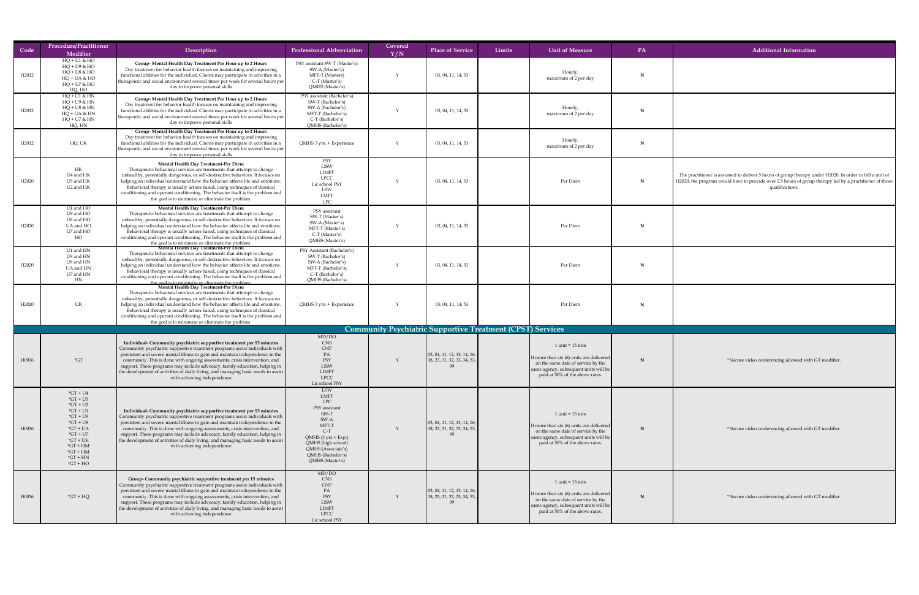| Code              | Procedure/Practitioner<br>Modifier                                                                                                                                                                            | Description                                                                                                                                                                                                                                                                                                                                                                                                                                                                                                                                      | <b>Professional Abbreviation</b>                                                                                                                                                                        | Covered<br>Y/N | <b>Place of Service</b>                                                                          | Limits<br><b>Unit of Measure</b>                                                                                                                                                    | <b>PA</b> | <b>Additional Information</b>                                                                                                                                                                                                         |
|-------------------|---------------------------------------------------------------------------------------------------------------------------------------------------------------------------------------------------------------|--------------------------------------------------------------------------------------------------------------------------------------------------------------------------------------------------------------------------------------------------------------------------------------------------------------------------------------------------------------------------------------------------------------------------------------------------------------------------------------------------------------------------------------------------|---------------------------------------------------------------------------------------------------------------------------------------------------------------------------------------------------------|----------------|--------------------------------------------------------------------------------------------------|-------------------------------------------------------------------------------------------------------------------------------------------------------------------------------------|-----------|---------------------------------------------------------------------------------------------------------------------------------------------------------------------------------------------------------------------------------------|
| H <sub>2012</sub> | $HQ + U1 & HO$<br>$HQ + U9 & HO$<br>$HQ + US & HO$<br>$HQ + UA & HO$<br>$HQ + U7 & HO$<br>HQ, HO                                                                                                              | <b>Group- Mental Health Day Treatment Per Hour up to 2 Hours</b><br>Day treatment for behavior health focuses on maintaining and improving<br>functional abilities for the individual. Clients may participate in activities in a<br>therapeutic and social environment several times per week for several hours per $\vert$<br>day to improve personal skills                                                                                                                                                                                   | PSY assistant SW-T (Master's)<br>SW-A (Master's)<br>MFT-T (Masters)<br>$C-T$ (Master's)<br>QMHS (Master's)                                                                                              |                | 03, 04, 11, 14, 53                                                                               | Hourly,<br>maximum of 2 per day                                                                                                                                                     | N         |                                                                                                                                                                                                                                       |
| H <sub>2012</sub> | $HQ + U1 & HN$<br>$HQ + U9 & HN$<br>$HQ + US & HN$<br>$HQ + UA & HN$<br>$HQ + U7 & HN$<br>HQ, HN                                                                                                              | Group- Mental Health Day Treatment Per Hour up to 2 Hours<br>Day treatment for behavior health focuses on maintaining and improving<br>functional abilities for the individual. Clients may participate in activities in a<br>therapeutic and social environment several times per week for several hours per<br>day to improve personal skills                                                                                                                                                                                                  | PSY assistant (Bachelor's)<br>SW-T (Bachelor's)<br>SW-A (Bachelor's)<br>MFT-T (Bachelor's)<br>$C-T$ (Bachelor's)<br>QMHS (Bachelor's)                                                                   |                | 03, 04, 11, 14, 53                                                                               | Hourly,<br>maximum of 2 per day                                                                                                                                                     |           |                                                                                                                                                                                                                                       |
| H <sub>2012</sub> | HQ, UK                                                                                                                                                                                                        | <b>Group- Mental Health Day Treatment Per Hour up to 2 Hours</b><br>Day treatment for behavior health focuses on maintaining and improving<br>functional abilities for the individual. Clients may participate in activities in a<br>therapeutic and social environment several times per week for several hours per<br>day to improve personal skills                                                                                                                                                                                           | QMHS 3 yrs. + Experience                                                                                                                                                                                |                | 03, 04, 11, 14, 53                                                                               | Hourly,<br>maximum of 2 per day                                                                                                                                                     | N         |                                                                                                                                                                                                                                       |
| H <sub>2020</sub> | HК<br>U4 and HK<br>U5 and HK<br>U2 and HK                                                                                                                                                                     | <b>Mental Health Day Treatment-Per Diem</b><br>Therapeutic behavioral services are treatments that attempt to change<br>unhealthy, potentially dangerous, or self-destructive behaviors. It focuses on<br>helping an individual understand how the behavior affects life and emotions.<br>Behavioral therapy is usually action-based, using techniques of classical<br>conditioning and operant conditioning. The behavior itself is the problem and<br>the goal is to minimize or eliminate the problem.                                        | PSY<br><b>LISW</b><br>LIMFT<br><b>LPCC</b><br>Lic school PSY<br><b>LSW</b><br><b>LMFT</b><br><b>LPC</b>                                                                                                 |                | 03, 04, 11, 14, 53                                                                               | Per Diem                                                                                                                                                                            |           | The practitioner is assumed to deliver 5 hours of group therapy under H2020. In order to bill a unit of<br>H2020, the program would have to provide over 2.5 hours of group therapy led by a practitioner of those<br>qualifications. |
| H <sub>2020</sub> | U1 and HO<br>U9 and HO<br>U8 and HO<br>UA and HO<br>U7 and HO<br>HO                                                                                                                                           | <b>Mental Health Day Treatment-Per Diem</b><br>Therapeutic behavioral services are treatments that attempt to change<br>unhealthy, potentially dangerous, or self-destructive behaviors. It focuses on<br>helping an individual understand how the behavior affects life and emotions.<br>Behavioral therapy is usually action-based, using techniques of classical<br>conditioning and operant conditioning. The behavior itself is the problem and<br>the goal is to minimize or eliminate the problem.                                        | PSY assistant<br>SW-T (Master's)<br>SW-A (Master's)<br>MFT-T (Master's)<br>$C-T$ (Master's)<br>QMHS (Master's)                                                                                          |                | 03, 04, 11, 14, 53                                                                               | Per Diem                                                                                                                                                                            |           |                                                                                                                                                                                                                                       |
| H <sub>2020</sub> | U1 and HN<br>U9 and HN<br>U8 and HN<br>UA and HN<br>U7 and HN<br>HN                                                                                                                                           | Mental Health Day Treatment-Per Diem<br>Therapeutic behavioral services are treatments that attempt to change<br>unhealthy, potentially dangerous, or self-destructive behaviors. It focuses on<br>helping an individual understand how the behavior affects life and emotions.<br>Behavioral therapy is usually action-based, using techniques of classical<br>conditioning and operant conditioning. The behavior itself is the problem and<br>the goal is to minimize or eliminate the problem<br><b>Mental Health Day Treatment-Per Diem</b> | PSY Assistant (Bachelor's)<br>SW-T (Bachelor's)<br>SW-A (Bachelor's)<br>MFT-T (Bachelor's)<br>$C-T$ (Bachelor's)<br>QMHS (Bachelor's)                                                                   |                | 03, 04, 11, 14, 53                                                                               | Per Diem                                                                                                                                                                            |           |                                                                                                                                                                                                                                       |
| H2020             | UK                                                                                                                                                                                                            | Therapeutic behavioral services are treatments that attempt to change<br>unhealthy, potentially dangerous, or self-destructive behaviors. It focuses on<br>helping an individual understand how the behavior affects life and emotions.<br>Behavioral therapy is usually action-based, using techniques of classical<br>conditioning and operant conditioning. The behavior itself is the problem and<br>the goal is to minimize or eliminate the problem.                                                                                       | QMHS 3 yrs. + Experience                                                                                                                                                                                |                | 03, 04, 11, 14, 53                                                                               | Per Diem                                                                                                                                                                            |           |                                                                                                                                                                                                                                       |
|                   |                                                                                                                                                                                                               |                                                                                                                                                                                                                                                                                                                                                                                                                                                                                                                                                  |                                                                                                                                                                                                         |                |                                                                                                  | <b>Community Psychiatric Supportive Treatment (CPST) Services</b>                                                                                                                   |           |                                                                                                                                                                                                                                       |
| H0036             | $\mathbf{C}$                                                                                                                                                                                                  | Individual- Community psychiatric supportive treatment per 15 minutes<br>Community psychiatric supportive treatment programs assist individuals with $\vert$<br>persistent and severe mental illness to gain and maintain independence in the<br>community. This is done with ongoing assessments, crisis intervention, and<br>support. These programs may include advocacy, family education, helping in<br>the development of activities of daily living, and managing basic needs to assist<br>with achieving independence                    | MD/DO<br><b>CNS</b><br><b>CNP</b><br>PSY<br><b>LISW</b><br><b>LIMFT</b><br>LPCC<br>Lic school PSY                                                                                                       |                | $\vert$ 03, 04, 11, 12, 13, 14, 16, $\vert$<br>$\vert$ 18, 23, 31, 32, 33, 34, 53, $\vert$       | $1$ unit = $15$ min<br>If more than $\sin(6)$ units are delivered<br>on the same date of service by the<br>same agency, subsequent units will be<br>paid at 50% of the above rates. |           | * Secure video conferencing allowed with GT modifier.                                                                                                                                                                                 |
| H0036             | $*GT + U4$<br>$\mathrm{^*GT}$ + U5<br>$*GT + U2$<br>$*GT + U1$<br>$*GT + U9$<br>$\mathrm{G}T + \mathrm{U}8$<br>$*GT + UA$<br>$*GT + U7$<br>$*GT + UK$<br>$*GT + HM$<br>$*GT + HM$<br>$*GT + HN$<br>$*GT + HO$ | Individual- Community psychiatric supportive treatment per 15 minutes<br>Community psychiatric supportive treatment programs assist individuals with $\vert$<br>persistent and severe mental illness to gain and maintain independence in the<br>community. This is done with ongoing assessments, crisis intervention, and<br>support. These programs may include advocacy, family education, helping in<br>  the development of activities of daily living, and managing basic needs to assist<br>with achieving independence                  | <b>LSW</b><br><b>LMFT</b><br><b>LPC</b><br>PSY assistant<br>SW-T<br>SW-A<br>MFT-T<br>$C-T$<br>$QMHS$ (3 yrs.+ Exp.)<br>QMHS (high school)<br>QMHS (Associate's)<br>QMHS (Bachelor's)<br>QMHS (Master's) |                | $\vert$ 03, 04, 11, 12, 13, 14, 16, $\vert$<br>$\vert$ 18, 23, 31, 32, 33, 34, 53, $\vert$<br>フフ | $1$ unit = $15$ min<br>If more than $\sin(6)$ units are delivered<br>on the same date of service by the<br>same agency, subsequent units will be<br>paid at 50% of the above rates. |           | * Secure video conferencing allowed with GT modifier.                                                                                                                                                                                 |
| H0036             | $*GT + HQ$                                                                                                                                                                                                    | <b>Group-Community psychiatric supportive treatment per 15 minutes</b><br>$\mid$ Community psychiatric supportive treatment programs assist individuals with $\mid$<br>persistent and severe mental illness to gain and maintain independence in the<br>community. This is done with ongoing assessments, crisis intervention, and<br>support. These programs may include advocacy, family education, helping in<br>the development of activities of daily living, and managing basic needs to assist<br>with achieving independence             | MD/DO<br>CNS<br>CNP<br>PA<br>PSY<br><b>LISW</b><br><b>LIMFT</b><br><b>LPCC</b><br>Lic school PSY                                                                                                        |                | $\mid$ 03, 04, 11, 12, 13, 14, 16, $\mid$<br>$\vert$ 18, 23, 31, 32, 33, 34, 53, $\vert$         | $1$ unit = $15$ min<br>If more than $\sin(6)$ units are delivered<br>on the same date of service by the<br>same agency, subsequent units will be<br>paid at 50% of the above rates. |           | * Secure video conferencing allowed with GT modifier.                                                                                                                                                                                 |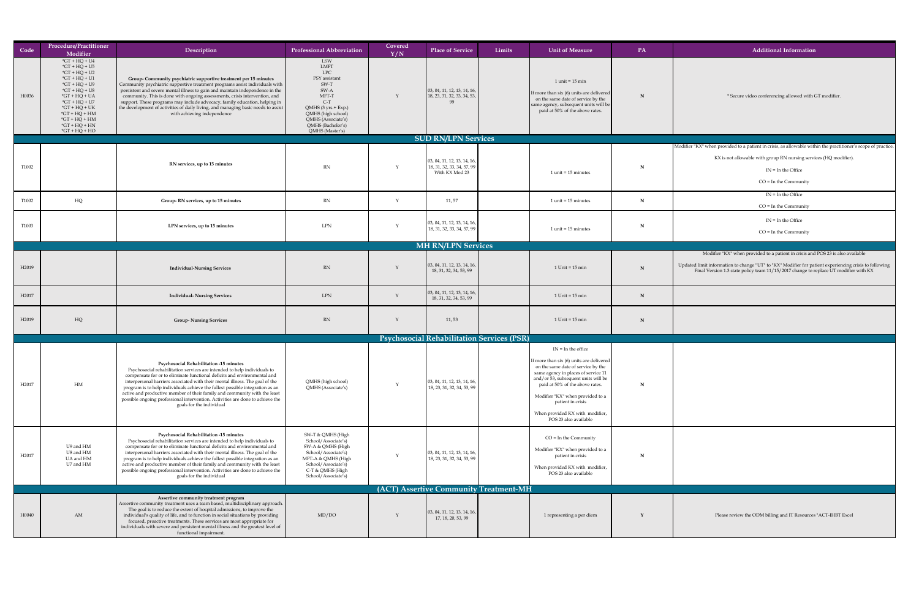| Code              | Procedure/Practitioner<br>Modifier                                                                                                                                                                                                                  | Description                                                                                                                                                                                                                                                                                                                                                                                                                                                                                                                                                        | <b>Professional Abbreviation</b>                                                                                                                                                                 | Covered<br>Y/N | <b>Place of Service</b>                                                                          | Limits | Unit of Measure                                                                                                                                                                                                                                                                                                                                      | PA          | <b>Additional Information</b>                                                                                                                                                                                                                                                     |
|-------------------|-----------------------------------------------------------------------------------------------------------------------------------------------------------------------------------------------------------------------------------------------------|--------------------------------------------------------------------------------------------------------------------------------------------------------------------------------------------------------------------------------------------------------------------------------------------------------------------------------------------------------------------------------------------------------------------------------------------------------------------------------------------------------------------------------------------------------------------|--------------------------------------------------------------------------------------------------------------------------------------------------------------------------------------------------|----------------|--------------------------------------------------------------------------------------------------|--------|------------------------------------------------------------------------------------------------------------------------------------------------------------------------------------------------------------------------------------------------------------------------------------------------------------------------------------------------------|-------------|-----------------------------------------------------------------------------------------------------------------------------------------------------------------------------------------------------------------------------------------------------------------------------------|
| H0036             | $*GT + HQ + U4$<br>$*GT + HQ + U5$<br>$*GT + HQ + U2$<br>$*GT + HQ + U1$<br>$*GT + HQ + U9$<br>$*GT + HQ + US$<br>$*GT + HQ + UA$<br>$*GT + HQ + U7$<br>$*GT + HQ + UK$<br>$*GT + HQ + HM$<br>$*GT + HQ + HM$<br>$*GT + HQ + HN$<br>$*GT + HQ + HO$ | <b>Group-Community psychiatric supportive treatment per 15 minutes</b><br>Community psychiatric supportive treatment programs assist individuals with<br>persistent and severe mental illness to gain and maintain independence in the<br>community. This is done with ongoing assessments, crisis intervention, and<br>support. These programs may include advocacy, family education, helping in<br>the development of activities of daily living, and managing basic needs to assist<br>with achieving independence                                             | <b>LSW</b><br>LMFT<br><b>LPC</b><br>PSY assistant<br>SW-T<br>SW-A<br>MFT-T<br>$C-T$<br>$QMHS$ (3 yrs.+ Exp.)<br>QMHS (high school)<br>QMHS (Associate's)<br>QMHS (Bachelor's)<br>QMHS (Master's) |                | $\vert$ 03, 04, 11, 12, 13, 14, 16, $\vert$<br>$\vert$ 18, 23, 31, 32, 33, 34, 53, $\vert$<br>99 |        | $1$ unit = $15$ min<br>If more than six (6) units are delivered<br>on the same date of service by the<br>$ $ same agency, subsequent units will be $ $<br>paid at 50% of the above rates.                                                                                                                                                            |             | * Secure video conferencing allowed with GT modifier.                                                                                                                                                                                                                             |
|                   |                                                                                                                                                                                                                                                     |                                                                                                                                                                                                                                                                                                                                                                                                                                                                                                                                                                    |                                                                                                                                                                                                  |                | <b>SUD RN/LPN Services</b>                                                                       |        |                                                                                                                                                                                                                                                                                                                                                      |             |                                                                                                                                                                                                                                                                                   |
| T1002             |                                                                                                                                                                                                                                                     | RN services, up to 15 minutes                                                                                                                                                                                                                                                                                                                                                                                                                                                                                                                                      | <b>RN</b>                                                                                                                                                                                        |                | $\vert$ 03, 04, 11, 12, 13, 14, 16,<br>$\mid$ 18, 31, 32, 33, 34, 57, 99  <br>With KX Mod 23     |        | $1$ unit = 15 minutes                                                                                                                                                                                                                                                                                                                                | $\mathbf N$ | Modifier "KX" when provided to a patient in crisis, as allowable within the practitioner's scope of practic<br>KX is not allowable with group RN nursing services (HQ modifier).<br>$IN = In the Office$<br>$CO = In the Community$                                               |
| T1002             | HQ                                                                                                                                                                                                                                                  | Group-RN services, up to 15 minutes                                                                                                                                                                                                                                                                                                                                                                                                                                                                                                                                | <b>RN</b>                                                                                                                                                                                        |                | 11, 57                                                                                           |        | $1$ unit = 15 minutes                                                                                                                                                                                                                                                                                                                                |             | $IN = In the Office$<br>$CO = In the Community$                                                                                                                                                                                                                                   |
| T1003             |                                                                                                                                                                                                                                                     | LPN services, up to 15 minutes                                                                                                                                                                                                                                                                                                                                                                                                                                                                                                                                     | <b>LPN</b>                                                                                                                                                                                       |                | $\vert$ 03, 04, 11, 12, 13, 14, 16,<br>18, 31, 32, 33, 34, 57, 99                                |        | $1$ unit = 15 minutes                                                                                                                                                                                                                                                                                                                                |             | $IN = In the Office$<br>$CO = In the Community$                                                                                                                                                                                                                                   |
|                   |                                                                                                                                                                                                                                                     |                                                                                                                                                                                                                                                                                                                                                                                                                                                                                                                                                                    |                                                                                                                                                                                                  |                | <b>MH RN/LPN Services</b>                                                                        |        |                                                                                                                                                                                                                                                                                                                                                      |             |                                                                                                                                                                                                                                                                                   |
| H <sub>2019</sub> |                                                                                                                                                                                                                                                     | <b>Individual-Nursing Services</b>                                                                                                                                                                                                                                                                                                                                                                                                                                                                                                                                 | RN                                                                                                                                                                                               |                | $\vert$ 03, 04, 11, 12, 13, 14, 16,<br>18, 31, 32, 34, 53, 99                                    |        | $1$ Unit = $15$ min                                                                                                                                                                                                                                                                                                                                  | N           | Modifier "KX" when provided to a patient in crisis and POS 23 is also available<br>Updated limit information to change "UT" to "KX" Modifier for patient experiencing crisis to following<br>Final Version 1.3 state policy team 11/15/2017 change to replace UT modifier with KX |
| H <sub>2017</sub> |                                                                                                                                                                                                                                                     | <b>Individual- Nursing Services</b>                                                                                                                                                                                                                                                                                                                                                                                                                                                                                                                                | LPN                                                                                                                                                                                              |                | $\vert$ 03, 04, 11, 12, 13, 14, 16,<br>18, 31, 32, 34, 53, 99                                    |        | $1$ Unit = $15$ min                                                                                                                                                                                                                                                                                                                                  |             |                                                                                                                                                                                                                                                                                   |
| H <sub>2019</sub> | HQ                                                                                                                                                                                                                                                  | <b>Group-Nursing Services</b>                                                                                                                                                                                                                                                                                                                                                                                                                                                                                                                                      | <b>RN</b>                                                                                                                                                                                        |                | 11, 53                                                                                           |        | $1$ Unit = $15$ min                                                                                                                                                                                                                                                                                                                                  | N           |                                                                                                                                                                                                                                                                                   |
|                   |                                                                                                                                                                                                                                                     |                                                                                                                                                                                                                                                                                                                                                                                                                                                                                                                                                                    |                                                                                                                                                                                                  |                | <b>Psychosocial Rehabilitation Services (PSR)</b>                                                |        |                                                                                                                                                                                                                                                                                                                                                      |             |                                                                                                                                                                                                                                                                                   |
| H <sub>2017</sub> | HM                                                                                                                                                                                                                                                  | <b>Psychosocial Rehabilitation -15 minutes</b><br>Psychosocial rehabilitation services are intended to help individuals to<br>compensate for or to eliminate functional deficits and environmental and<br>interpersonal barriers associated with their mental illness. The goal of the<br>program is to help individuals achieve the fullest possible integration as an<br>active and productive member of their family and community with the least<br>possible ongoing professional intervention. Activities are done to achieve the<br>goals for the individual | QMHS (high school)<br>QMHS (Associate's)                                                                                                                                                         |                | $\vert$ 03, 04, 11, 12, 13, 14, 16,<br>18, 23, 31, 32, 34, 53, 99                                |        | $IN = In the office$<br>If more than $\text{six}(6)$ units are delivered<br>on the same date of service by the<br>same agency in places of service 11<br>and/or 53, subsequent units will be<br>paid at 50% of the above rates.<br>Modifier "KX" when provided to a<br>patient in crisis<br>When provided KX with modifier,<br>POS 23 also available |             |                                                                                                                                                                                                                                                                                   |
| H <sub>2017</sub> | U9 and HM<br>U8 and HM<br>UA and HM<br>U7 and HM                                                                                                                                                                                                    | <b>Psychosocial Rehabilitation -15 minutes</b><br>Psychosocial rehabilitation services are intended to help individuals to<br>compensate for or to eliminate functional deficits and environmental and<br>interpersonal barriers associated with their mental illness. The goal of the<br>program is to help individuals achieve the fullest possible integration as an<br>active and productive member of their family and community with the least<br>possible ongoing professional intervention. Activities are done to achieve the<br>goals for the individual | SW-T & QMHS (High<br>School/Associate's)<br>SW-A & QMHS (High<br>School/Associate's)<br>MFT-A & QMHS (High<br>School/Associate's)<br>C-T & QMHS (High<br>School/Associate's)                     |                | $\vert$ 03, 04, 11, 12, 13, 14, 16,<br>18, 23, 31, 32, 34, 53, 99                                |        | $CO = In the Community$<br>Modifier "KX" when provided to a<br>patient in crisis<br>When provided KX with modifier,<br>POS 23 also available                                                                                                                                                                                                         |             |                                                                                                                                                                                                                                                                                   |
|                   |                                                                                                                                                                                                                                                     |                                                                                                                                                                                                                                                                                                                                                                                                                                                                                                                                                                    |                                                                                                                                                                                                  |                | (ACT) Assertive Community Treatment-MH                                                           |        |                                                                                                                                                                                                                                                                                                                                                      |             |                                                                                                                                                                                                                                                                                   |
| H0040             | AM                                                                                                                                                                                                                                                  | Assertive community treatment program<br>Assertive community treatment uses a team based, multidisciplinary approach.<br>The goal is to reduce the extent of hospital admissions, to improve the<br>individual's quality of life, and to function in social situations by providing<br>focused, proactive treatments. These services are most appropriate for<br>individuals with severe and persistent mental illness and the greatest level of<br>functional impairment.                                                                                         | MD/DO                                                                                                                                                                                            |                | $\vert$ 03, 04, 11, 12, 13, 14, 16,<br>17, 18, 20, 53, 99                                        |        | 1 representing a per diem                                                                                                                                                                                                                                                                                                                            |             | Please review the ODM billing and IT Resources "ACT-IHBT Excel                                                                                                                                                                                                                    |

Illowable within the practitioner's scope of practice.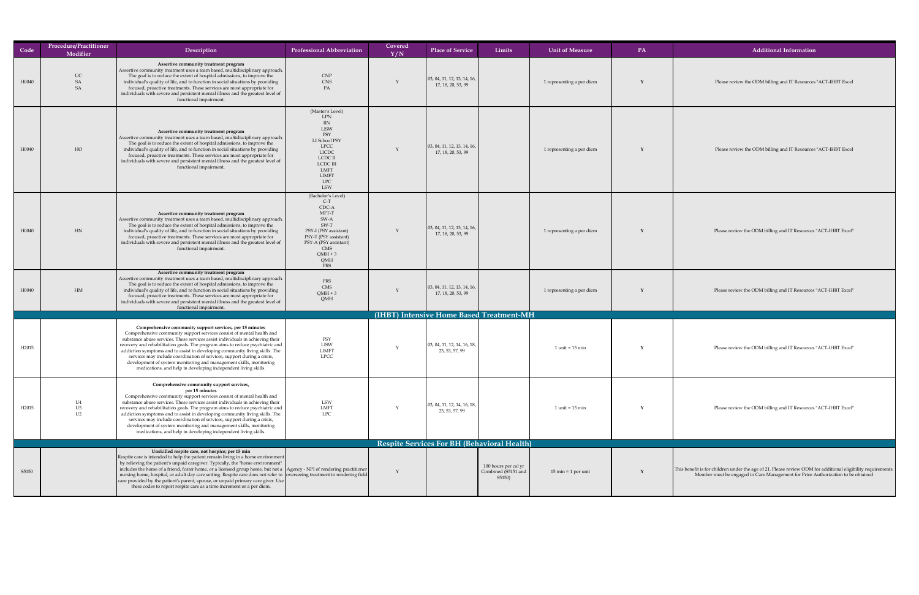## 17, 18, 20, 53, 99 1 representing a per diem **<sup>Y</sup>** Please review the ODM billing and IT Resources "ACT-IHBT Excel 1T Resources "ACT-IHBT Excel" 1T Resources "ACT-IHBT Excel" 23, IT Resources "ACT-IHBT Excel"

| Code              | <b>Procedure/Practitioner</b><br>Modifier | Description                                                                                                                                                                                                                                                                                                                                                                                                                                                                                                                                                                                                                                         | <b>Professional Abbreviation</b>                                                                                                                                                  | Covered<br>Y/N | <b>Place of Service</b>                                       | Limits                                                | <b>Unit of Measure</b>                | PA | <b>Additional Information</b>                                                                                                                                                                    |
|-------------------|-------------------------------------------|-----------------------------------------------------------------------------------------------------------------------------------------------------------------------------------------------------------------------------------------------------------------------------------------------------------------------------------------------------------------------------------------------------------------------------------------------------------------------------------------------------------------------------------------------------------------------------------------------------------------------------------------------------|-----------------------------------------------------------------------------------------------------------------------------------------------------------------------------------|----------------|---------------------------------------------------------------|-------------------------------------------------------|---------------------------------------|----|--------------------------------------------------------------------------------------------------------------------------------------------------------------------------------------------------|
| H0040             | <b>UC</b><br>SA<br><b>SA</b>              | Assertive community treatment program<br>Assertive community treatment uses a team based, multidisciplinary approach.<br>The goal is to reduce the extent of hospital admissions, to improve the<br>individual's quality of life, and to function in social situations by providing<br>focused, proactive treatments. These services are most appropriate for<br>individuals with severe and persistent mental illness and the greatest level of<br>functional impairment.                                                                                                                                                                          | CNP<br><b>CNS</b><br>PA                                                                                                                                                           |                | $\vert$ 03, 04, 11, 12, 13, 14, 16,<br>17, 18, 20, 53, 99     |                                                       | 1 representing a per diem             |    | Please review the ODM billing and IT Resources "ACT-IHBT Excel                                                                                                                                   |
| H0040             | HO                                        | Assertive community treatment program<br>Assertive community treatment uses a team based, multidisciplinary approach.<br>The goal is to reduce the extent of hospital admissions, to improve the<br>individual's quality of life, and to function in social situations by providing<br>focused, proactive treatments. These services are most appropriate for<br>individuals with severe and persistent mental illness and the greatest level of<br>functional impairment.                                                                                                                                                                          | (Master's Level)<br>LPN<br>RN<br>LISW<br>PSY<br>LI School PSY<br><b>LPCC</b><br><b>LICDC</b><br>LCDC II<br>LCDC III<br>LMFT<br><b>LIMFT</b><br><b>LPC</b><br><b>LSW</b>           |                | $\vert$ 03, 04, 11, 12, 13, 14, 16,<br>17, 18, 20, 53, 99     |                                                       | 1 representing a per diem             |    | Please review the ODM billing and IT Resources "ACT-IHBT Excel                                                                                                                                   |
| H0040             | HN                                        | Assertive community treatment program<br>Assertive community treatment uses a team based, multidisciplinary approach.<br>The goal is to reduce the extent of hospital admissions, to improve the<br>individual's quality of life, and to function in social situations by providing<br>focused, proactive treatments. These services are most appropriate for<br>individuals with severe and persistent mental illness and the greatest level of<br>functional impairment.                                                                                                                                                                          | (Bachelor's Level)<br>$C-T$<br>CDC-A<br>MFT-T<br>SW-A<br>SW-T<br>PSY-I (PSY assistant)<br>PSY-T (PSY assistant)<br>PSY-A (PSY assistant)<br><b>CMS</b><br>$QMH + 3$<br>QMH<br>PRS |                | $\vert$ 03, 04, 11, 12, 13, 14, 16,<br>17, 18, 20, 53, 99     |                                                       | 1 representing a per diem             |    | Please review the ODM billing and IT Resources "ACT-IHBT Excel"                                                                                                                                  |
| H0040             | HM                                        | Assertive community treatment program<br>Assertive community treatment uses a team based, multidisciplinary approach.<br>The goal is to reduce the extent of hospital admissions, to improve the<br>individual's quality of life, and to function in social situations by providing<br>focused, proactive treatments. These services are most appropriate for<br>individuals with severe and persistent mental illness and the greatest level of<br>functional impairment.                                                                                                                                                                          | PRS<br>CMS<br>$QMH + 3$<br>QMH                                                                                                                                                    |                | $\vert$ 03, 04, 11, 12, 13, 14, 16,<br>17, 18, 20, 53, 99     |                                                       | 1 representing a per diem             |    | Please review the ODM billing and IT Resources "ACT-IHBT Excel"                                                                                                                                  |
|                   |                                           |                                                                                                                                                                                                                                                                                                                                                                                                                                                                                                                                                                                                                                                     |                                                                                                                                                                                   |                |                                                               | (IHBT) Intensive Home Based Treatment-MH              |                                       |    |                                                                                                                                                                                                  |
| H <sub>2015</sub> |                                           | Comprehensive community support services, per 15 minutes<br>Comprehensive community support services consist of mental health and<br>substance abuse services. These services assist individuals in achieving their<br>recovery and rehabilitation goals. The program aims to reduce psychiatric and<br>addiction symptoms and to assist in developing community living skills. The<br>services may include coordination of services, support during a crisis,<br>development of system monitoring and management skills, monitoring<br>medications, and help in developing independent living skills.                                              | PSY<br><b>LISW</b><br><b>LIMFT</b><br><b>LPCC</b>                                                                                                                                 |                | $\vert$ 03, 04, 11, 12, 14, 16, 18, $\vert$<br>23, 53, 57, 99 |                                                       | $1$ unit = $15$ min                   |    | Please review the ODM billing and IT Resources "ACT-IHBT Excel"                                                                                                                                  |
| H <sub>2015</sub> | U <sub>4</sub><br>U5<br>U <sub>2</sub>    | Comprehensive community support services,<br>per 15 minutes<br>Comprehensive community support services consist of mental health and<br>substance abuse services. These services assist individuals in achieving their<br>recovery and rehabilitation goals. The program aims to reduce psychiatric and<br>addiction symptoms and to assist in developing community living skills. The<br>services may include coordination of services, support during a crisis,<br>development of system monitoring and management skills, monitoring<br>medications, and help in developing independent living skills.                                           | LSW<br>LMFT<br><b>LPC</b>                                                                                                                                                         |                | 03, 04, 11, 12, 14, 16, 18,<br>23, 53, 57, 99                 |                                                       | $1$ unit = $15$ min                   |    | Please review the ODM billing and IT Resources "ACT-IHBT Excel"                                                                                                                                  |
|                   |                                           |                                                                                                                                                                                                                                                                                                                                                                                                                                                                                                                                                                                                                                                     |                                                                                                                                                                                   |                |                                                               | <b>Respite Services For BH (Behavioral Health)</b>    |                                       |    |                                                                                                                                                                                                  |
| S5150             |                                           | Unskilled respite care, not hospice; per 15 min<br>Respite care is intended to help the patient remain living in a home environment<br>by relieving the patient's unpaid caregiver. Typically, the "home environment"  <br>includes the home of a friend, foster home, or a licensed group home, but not a $ $ Agency - NPI of rendering practitioner $ $<br>nursing home, hospital, or adult day care setting. Respite care does not refer to overseeing treatment in rendering field<br>care provided by the patient's parent, spouse, or unpaid primary care giver. Use<br>these codes to report respite care as a time increment or a per diem. |                                                                                                                                                                                   |                |                                                               | 100 hours per cal yr<br>Combined (S5151 and<br>S5150) | $15 \text{ min} = 1 \text{ per unit}$ |    | This benefit is for children under the age of 21. Please review ODM for additional eligibility requirements.<br>Member must be engaged in Care Management for Prior Authorization to be obtained |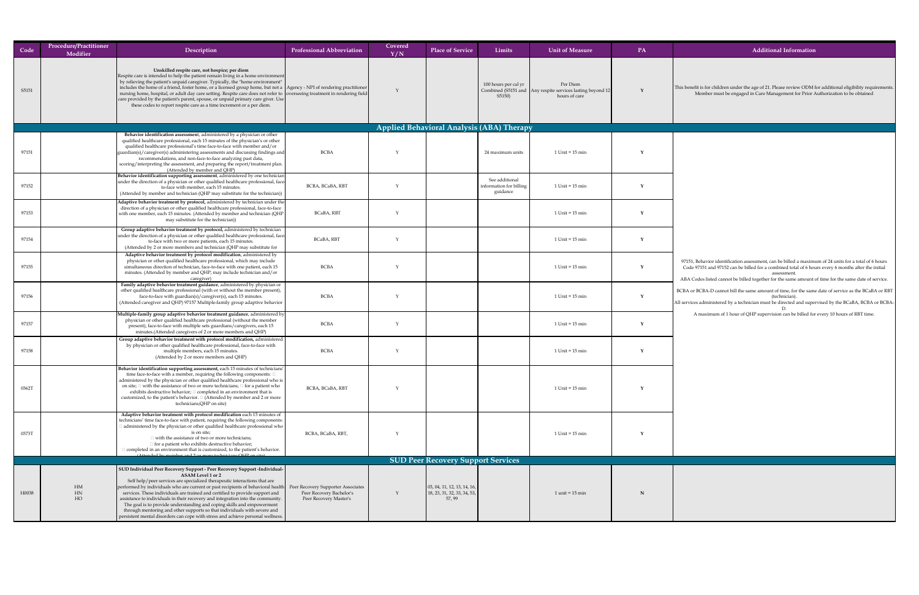| Code  | <b>Procedure/Practitioner</b><br>Modifier | Description                                                                                                                                                                                                                                                                                                                                                                                                                                                                                                                                                                                                                                                                          | <b>Professional Abbreviation</b>                                                                | Covered<br>Y/N | <b>Place of Service</b>                                              | Limits                                                | <b>Unit of Measure</b>                                                                   | <b>PA</b> | <b>Additional Information</b>                                                                                                                                                                                                                                                                                                      |
|-------|-------------------------------------------|--------------------------------------------------------------------------------------------------------------------------------------------------------------------------------------------------------------------------------------------------------------------------------------------------------------------------------------------------------------------------------------------------------------------------------------------------------------------------------------------------------------------------------------------------------------------------------------------------------------------------------------------------------------------------------------|-------------------------------------------------------------------------------------------------|----------------|----------------------------------------------------------------------|-------------------------------------------------------|------------------------------------------------------------------------------------------|-----------|------------------------------------------------------------------------------------------------------------------------------------------------------------------------------------------------------------------------------------------------------------------------------------------------------------------------------------|
| S5151 |                                           | Unskilled respite care, not hospice; per diem<br>Respite care is intended to help the patient remain living in a home environment<br>by relieving the patient's unpaid caregiver. Typically, the "home environment"<br>includes the home of a friend, foster home, or a licensed group home, but not a $ $ Agency - NPI of rendering practitioner $ $<br>  nursing home, hospital, or adult day care setting. Respite care does not refer to $\vert$ overseeing treatment in rendering field $\vert$<br>$\vert$ care provided by the patient's parent, spouse, or unpaid primary care giver. Use $\vert$<br>these codes to report respite care as a time increment or a per diem.    |                                                                                                 |                |                                                                      | 100 hours per cal yr<br>S5150)                        | Per Diem<br>Combined (S5151 and Any respite services lasting beyond 12)<br>hours of care |           | This benefit is for children under the age of 21. Please review ODM for additional eligibility requirements.<br>Member must be engaged in Care Management for Prior Authorization to be obtained                                                                                                                                   |
|       |                                           |                                                                                                                                                                                                                                                                                                                                                                                                                                                                                                                                                                                                                                                                                      |                                                                                                 |                | <b>Applied Behavioral Analysis (ABA) Therapy</b>                     |                                                       |                                                                                          |           |                                                                                                                                                                                                                                                                                                                                    |
| 97151 |                                           | Behavior identification assessment, administered by a physician or other<br>qualified healthcare professional, each 15 minutes of the physician's or other<br>qualified healthcare professional's time face-to-face with member and/or<br>$ $ guardian(s)/caregiver(s) administering assessments and discussing findings and<br>recommendations, and non-face-to-face analyzing past data,<br>scoring/interpreting the assessment, and preparing the report/treatment plan.                                                                                                                                                                                                          | <b>BCBA</b>                                                                                     |                |                                                                      | 24 maximum units                                      | $1$ Unit = $15$ min                                                                      |           |                                                                                                                                                                                                                                                                                                                                    |
| 97152 |                                           | (Attended by member and QHP)<br><b>Behavior identification supporting assessment</b> , administered by one technician<br>under the direction of a physician or other qualified healthcare professional, face-<br>to-face with member, each 15 minutes.<br>(Attended by member and technician (QHP may substitute for the technician))                                                                                                                                                                                                                                                                                                                                                | BCBA, BCaBA, RBT                                                                                |                |                                                                      | See additional<br>information for billing<br>guidance | $1$ Unit = $15$ min                                                                      |           |                                                                                                                                                                                                                                                                                                                                    |
| 97153 |                                           | $\vert$ Adaptive behavior treatment by protocol, administered by technician under the $\vert$<br>direction of a physician or other qualified healthcare professional, face-to-face<br>with one member, each 15 minutes. (Attended by member and technician (QHP<br>may substitute for the technician)                                                                                                                                                                                                                                                                                                                                                                                | BCaBA, RBT                                                                                      |                |                                                                      |                                                       | $1$ Unit = $15$ min                                                                      |           |                                                                                                                                                                                                                                                                                                                                    |
| 97154 |                                           | Group adaptive behavior treatment by protocol, administered by technician<br>under the direction of a physician or other qualified healthcare professional, face-<br>to-face with two or more patients, each 15 minutes.<br>(Attended by 2 or more members and technician (QHP may substitute for                                                                                                                                                                                                                                                                                                                                                                                    | <b>BCaBA, RBT</b>                                                                               |                |                                                                      |                                                       | $1$ Unit = $15$ min                                                                      |           |                                                                                                                                                                                                                                                                                                                                    |
| 97155 |                                           | Adaptive behavior treatment by protocol modification, administered by<br>physician or other qualified healthcare professional, which may include<br>simultaneous direction of technician, face-to-face with one patient, each 15<br>minutes. (Attended by member and QHP; may include technician and/or<br>caregiver)                                                                                                                                                                                                                                                                                                                                                                | <b>BCBA</b>                                                                                     |                |                                                                      |                                                       | $1$ Unit = $15$ min                                                                      |           | 97151, Behavior identification assessment, can be billed a maximum of 24 units for a total of 6 hours<br>Code 97151 and 97152 can be billed for a combined total of 6 hours every 6 months after the initial<br>assessment<br>ABA Codes listed cannot be billed together for the same amount of time for the same date of service. |
| 97156 |                                           | Family adaptive behavior treatment guidance, administered by physician or<br>other qualified healthcare professional (with or without the member present),<br>face-to-face with guardian(s)/caregiver(s), each 15 minutes.<br>(Attended caregiver and QHP) 97157 Multiple-family group adaptive behavior                                                                                                                                                                                                                                                                                                                                                                             | <b>BCBA</b>                                                                                     |                |                                                                      |                                                       | $1$ Unit = $15$ min                                                                      |           | BCBA or BCBA-D cannot bill the same amount of time, for the same date of service as the BCaBA or RBT<br>(technician)<br>All services administered by a technician must be directed and supervised by the BCaBA, BCBA or BCBA-                                                                                                      |
| 97157 |                                           | Multiple-family group adaptive behavior treatment guidance, administered by<br>physician or other qualified healthcare professional (without the member<br>present), face-to-face with multiple sets guardians/caregivers, each 15<br>minutes. (Attended caregivers of 2 or more members and QHP)                                                                                                                                                                                                                                                                                                                                                                                    | <b>BCBA</b>                                                                                     |                |                                                                      |                                                       | $1$ Unit = $15$ min                                                                      |           | A maximum of 1 hour of QHP supervision can be billed for every 10 hours of RBT time.                                                                                                                                                                                                                                               |
| 97158 |                                           | Group adaptive behavior treatment with protocol modification, administered  <br>by physician or other qualified healthcare professional, face-to-face with<br>multiple members, each 15 minutes.<br>(Attended by 2 or more members and QHP)                                                                                                                                                                                                                                                                                                                                                                                                                                          | <b>BCBA</b>                                                                                     |                |                                                                      |                                                       | $1$ Unit = $15$ min                                                                      |           |                                                                                                                                                                                                                                                                                                                                    |
| 0362T |                                           | Behavior identification supporting assessment, each 15 minutes of technicians'<br>time face-to-face with a member, requiring the following components: $\Box$<br>administered by the physician or other qualified healthcare professional who is<br>on site; $\Box$ with the assistance of two or more technicians; $\Box$ for a patient who<br>exhibits destructive behavior; $\square$ completed in an environment that is<br>customized, to the patient's behavior. $\Box$ (Attended by member and 2 or more<br>technicians;QHP on site)                                                                                                                                          | BCBA, BCaBA, RBT                                                                                |                |                                                                      |                                                       | $1$ Unit = $15$ min                                                                      |           |                                                                                                                                                                                                                                                                                                                                    |
| 0373T |                                           | Adaptive behavior treatment with protocol modification each 15 minutes of<br>technicians' time face-to-face with patient, requiring the following components:<br>I administered by the physician or other qualified healthcare professional who $\vert$<br>is on site;<br>with the assistance of two or more technicians;<br>$\Box$ for a patient who exhibits destructive behavior;<br>$\Box$ completed in an environment that is customized, to the patient's behavior.<br>(Attended by member and 2 or more technicians: OHP on site)                                                                                                                                             | BCBA, BCaBA, RBT,                                                                               |                |                                                                      |                                                       | $1$ Unit = $15$ min                                                                      |           |                                                                                                                                                                                                                                                                                                                                    |
|       |                                           |                                                                                                                                                                                                                                                                                                                                                                                                                                                                                                                                                                                                                                                                                      |                                                                                                 |                | <b>SUD Peer Recovery Support Services</b>                            |                                                       |                                                                                          |           |                                                                                                                                                                                                                                                                                                                                    |
| H0038 | HM<br>HN<br>HO                            | SUD Individual Peer Recovery Support - Peer Recovery Support -Individual-  <br><b>ASAM Level 1 or 2</b><br>Self help/peer services are specialized therapeutic interactions that are<br>performed by individuals who are current or past recipients of behavioral health<br>services. These individuals are trained and certified to provide support and<br>assistance to individuals in their recovery and integration into the community.<br>The goal is to provide understanding and coping skills and empowerment<br>through mentoring and other supports so that individuals with severe and<br>persistent mental disorders can cope with stress and achieve personal wellness. | <b>Peer Recovery Supporter Associates</b><br>Peer Recovery Bachelor's<br>Peer Recovery Master's |                | 03, 04, 11, 12, 13, 14, 16,<br>18, 23, 31, 32, 33, 34, 53,<br>57, 99 |                                                       | $1$ unit = $15$ min                                                                      |           |                                                                                                                                                                                                                                                                                                                                    |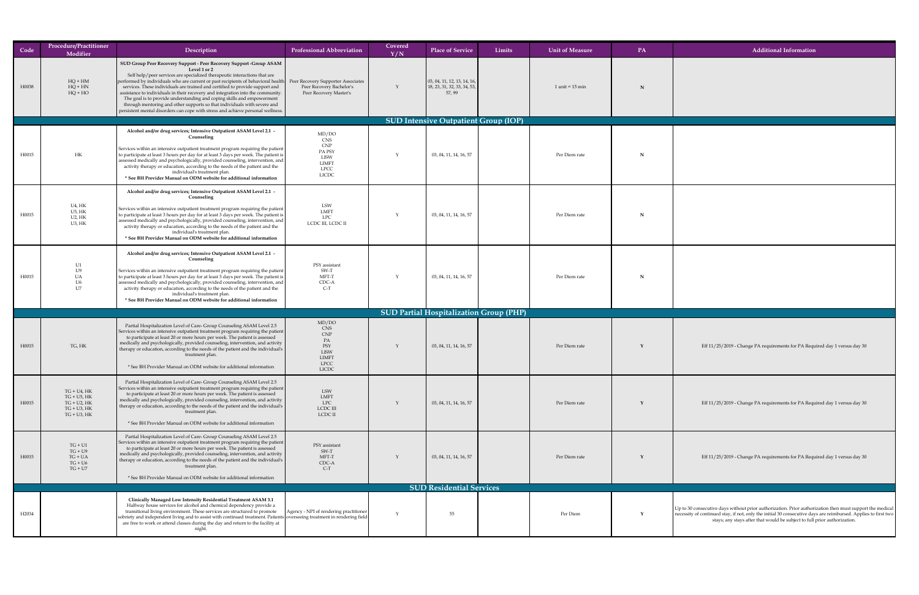|       | Procedure/Practitioner                                                                           |                                                                                                                                                                                                                                                                                                                                                                                                                                                                                                                                                                                                                                                                         |                                                                                                 | Covered |                                                                             |        |                        |    |                                                                                                                                                                                                                                                                                                         |
|-------|--------------------------------------------------------------------------------------------------|-------------------------------------------------------------------------------------------------------------------------------------------------------------------------------------------------------------------------------------------------------------------------------------------------------------------------------------------------------------------------------------------------------------------------------------------------------------------------------------------------------------------------------------------------------------------------------------------------------------------------------------------------------------------------|-------------------------------------------------------------------------------------------------|---------|-----------------------------------------------------------------------------|--------|------------------------|----|---------------------------------------------------------------------------------------------------------------------------------------------------------------------------------------------------------------------------------------------------------------------------------------------------------|
| Code  | Modifier                                                                                         | Description                                                                                                                                                                                                                                                                                                                                                                                                                                                                                                                                                                                                                                                             | <b>Professional Abbreviation</b>                                                                | Y/N     | <b>Place of Service</b>                                                     | Limits | <b>Unit of Measure</b> | PA | <b>Additional Information</b>                                                                                                                                                                                                                                                                           |
| H0038 | $HQ + HM$<br>$HQ + HN$<br>$HQ + HO$                                                              | <b>SUD Group Peer Recovery Support - Peer Recovery Support -Group ASAM</b><br>Level 1 or 2<br>Self help/peer services are specialized therapeutic interactions that are<br>performed by individuals who are current or past recipients of behavioral health<br>services. These individuals are trained and certified to provide support and<br>assistance to individuals in their recovery and integration into the community.<br>The goal is to provide understanding and coping skills and empowerment<br>through mentoring and other supports so that individuals with severe and<br>persistent mental disorders can cope with stress and achieve personal wellness. | <b>Peer Recovery Supporter Associates</b><br>Peer Recovery Bachelor's<br>Peer Recovery Master's |         | $\vert$ 03, 04, 11, 12, 13, 14, 16,<br>18, 23, 31, 32, 33, 34, 53,<br>57,99 |        | $1$ unit = $15$ min    | N  |                                                                                                                                                                                                                                                                                                         |
|       |                                                                                                  |                                                                                                                                                                                                                                                                                                                                                                                                                                                                                                                                                                                                                                                                         |                                                                                                 |         | <b>SUD Intensive Outpatient Group (IOP)</b>                                 |        |                        |    |                                                                                                                                                                                                                                                                                                         |
| H0015 | $\rm{HK}$                                                                                        | Alcohol and/or drug services; Intensive Outpatient ASAM Level 2.1 -<br>Counseling<br>Services within an intensive outpatient treatment program requiring the patient $\vert$<br>to participate at least 3 hours per day for at least 3 days per week. The patient is $\vert$<br>assessed medically and psychologically, provided counseling, intervention, and<br>activity therapy or education, according to the needs of the patient and the<br>individual's treatment plan.<br>* See BH Provider Manual on ODM website for additional information                                                                                                                    | MD/DO<br><b>CNS</b><br>CNP<br>PA PSY<br>LISW<br><b>LIMFT</b><br><b>LPCC</b><br><b>LICDC</b>     |         | 03, 04, 11, 14, 16, 57                                                      |        | Per Diem rate          | N  |                                                                                                                                                                                                                                                                                                         |
| H0015 | U4, HK<br>$U$ 5, $HK$<br>$U2$ , $HK$<br>$U3$ , $HK$                                              | Alcohol and/or drug services; Intensive Outpatient ASAM Level 2.1 -<br>Counseling<br>Services within an intensive outpatient treatment program requiring the patient<br>to participate at least 3 hours per day for at least 3 days per week. The patient is $\vert$<br>assessed medically and psychologically, provided counseling, intervention, and<br>activity therapy or education, according to the needs of the patient and the<br>individual's treatment plan.<br>* See BH Provider Manual on ODM website for additional information                                                                                                                            | LSW<br>LMFT<br><b>LPC</b><br>LCDC III, LCDC II                                                  |         | 03, 04, 11, 14, 16, 57                                                      |        | Per Diem rate          |    |                                                                                                                                                                                                                                                                                                         |
| H0015 | U1                                                                                               | Alcohol and/or drug services; Intensive Outpatient ASAM Level 2.1 -<br>Counseling<br>Services within an intensive outpatient treatment program requiring the patient<br>to participate at least 3 hours per day for at least 3 days per week. The patient is<br>assessed medically and psychologically, provided counseling, intervention, and<br>activity therapy or education, according to the needs of the patient and the<br>individual's treatment plan.<br>* See BH Provider Manual on ODM website for additional information                                                                                                                                    | PSY assistant<br>SW-T<br>MFT-T<br>CDC-A<br>$C-T$                                                |         | 03, 04, 11, 14, 16, 57                                                      |        | Per Diem rate          |    |                                                                                                                                                                                                                                                                                                         |
|       |                                                                                                  |                                                                                                                                                                                                                                                                                                                                                                                                                                                                                                                                                                                                                                                                         |                                                                                                 |         | <b>SUD Partial Hospitalization Group (PHP)</b>                              |        |                        |    |                                                                                                                                                                                                                                                                                                         |
| H0015 | TG, HK                                                                                           | Partial Hospitalization Level of Care- Group Counseling ASAM Level 2.5<br>Services within an intensive outpatient treatment program requiring the patient $\vert$<br>to participate at least 20 or more hours per week. The patient is assessed<br>$\vert$ medically and psychologically, provided counseling, intervention, and activity $\vert$<br>therapy or education, according to the needs of the patient and the individual's $\vert$<br>treatment plan.<br>* See BH Provider Manual on ODM website for additional information                                                                                                                                  | MD/DO<br>CNS<br>CNP<br>PA<br>PSY<br><b>LISW</b><br><b>LIMFT</b><br><b>LPCC</b><br><b>LICDC</b>  |         | 03, 04, 11, 14, 16, 57                                                      |        | Per Diem rate          |    | Eff 11/25/2019 - Change PA requirements for PA Required day 1 versus day 30                                                                                                                                                                                                                             |
| H0015 | $TG + U4$ , $HK$<br>$TG + U5$ , $HK$<br>$TG + U2$ , $HK$<br>$TG + U3$ , $HK$<br>$TG + U3$ , $HK$ | Partial Hospitalization Level of Care- Group Counseling ASAM Level 2.5<br>Services within an intensive outpatient treatment program requiring the patient $\vert$<br>to participate at least 20 or more hours per week. The patient is assessed<br>$\vert$ medically and psychologically, provided counseling, intervention, and activity $\vert$<br>therapy or education, according to the needs of the patient and the individual's  <br>treatment plan.<br>* See BH Provider Manual on ODM website for additional information                                                                                                                                        | LSW<br>LMFT<br><b>LPC</b><br><b>LCDC III</b><br>LCDC II                                         |         | 03, 04, 11, 14, 16, 57                                                      |        | Per Diem rate          |    | Eff 11/25/2019 - Change PA requirements for PA Required day 1 versus day 30                                                                                                                                                                                                                             |
| H0015 | $TG + U1$<br>$TG + U9$<br>$TG + UA$<br>$TG + U6$<br>$TG + U7$                                    | Partial Hospitalization Level of Care- Group Counseling ASAM Level 2.5<br>Services within an intensive outpatient treatment program requiring the patient $\vert$<br>to participate at least 20 or more hours per week. The patient is assessed<br>$\vert$ medically and psychologically, provided counseling, intervention, and activity $\vert$<br>  therapy or education, according to the needs of the patient and the individual's  <br>treatment plan.<br>* See BH Provider Manual on ODM website for additional information                                                                                                                                      | PSY assistant<br>SW-T<br>MFT-T<br>CDC-A<br>$C-T$                                                |         | 03, 04, 11, 14, 16, 57                                                      |        | Per Diem rate          |    | Eff 11/25/2019 - Change PA requirements for PA Required day 1 versus day 30                                                                                                                                                                                                                             |
|       |                                                                                                  |                                                                                                                                                                                                                                                                                                                                                                                                                                                                                                                                                                                                                                                                         |                                                                                                 |         | <b>SUD Residential Services</b>                                             |        |                        |    |                                                                                                                                                                                                                                                                                                         |
| H2034 |                                                                                                  | <b>Clinically Managed Low Intensity Residential Treatment ASAM 3.1</b><br>Halfway house services for alcohol and chemical dependency provide a<br>transitional living environment. These services are structured to promote<br> sobriety and independent living and to assist with continued treatment. Patients overseeing treatment in rendering field<br>are free to work or attend classes during the day and return to the facility at<br>night.                                                                                                                                                                                                                   | Agency - NPI of rendering practitioner                                                          |         | 55                                                                          |        | Per Diem               |    | Up to 30 consecutive days without prior authorization. Prior authorization then must support the medical<br>necessity of continued stay, if not, only the initial 30 consecutive days are reimbursed. Applies to first two<br>stays; any stays after that would be subject to full prior authorization. |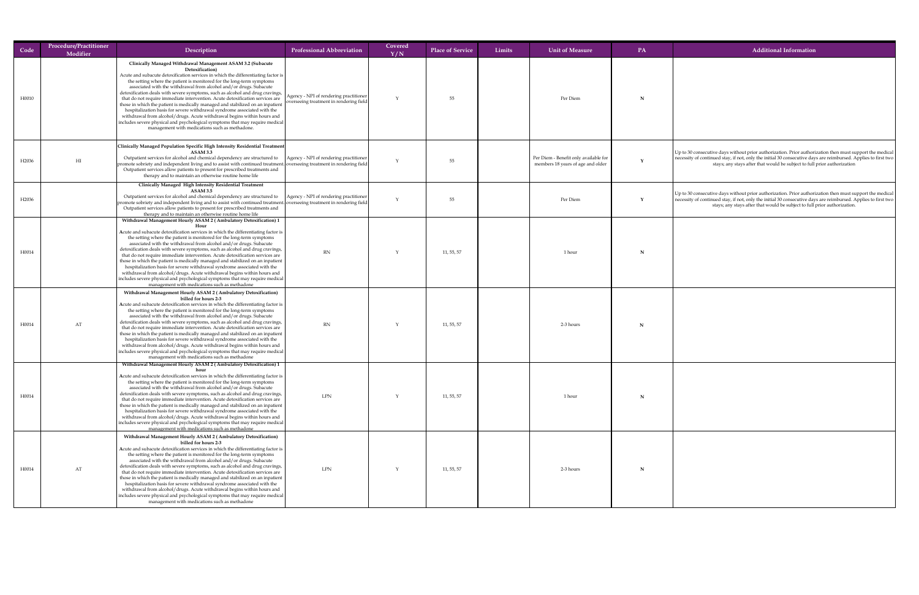| Code              | <b>Procedure/Practitioner</b><br>Modifier | Description                                                                                                                                                                                                                                                                                                                                                                                                                                                                                                                                                                                                                                                                                                                                                                                                                                                                         | <b>Professional Abbreviation</b>                                                    | Covered<br>Y/N | <b>Place of Service</b> | Limits | <b>Unit of Measure</b>                                                     | <b>PA</b> | <b>Additional Information</b>                                                                                                                                                                                                                                                                                  |
|-------------------|-------------------------------------------|-------------------------------------------------------------------------------------------------------------------------------------------------------------------------------------------------------------------------------------------------------------------------------------------------------------------------------------------------------------------------------------------------------------------------------------------------------------------------------------------------------------------------------------------------------------------------------------------------------------------------------------------------------------------------------------------------------------------------------------------------------------------------------------------------------------------------------------------------------------------------------------|-------------------------------------------------------------------------------------|----------------|-------------------------|--------|----------------------------------------------------------------------------|-----------|----------------------------------------------------------------------------------------------------------------------------------------------------------------------------------------------------------------------------------------------------------------------------------------------------------------|
| H0010             |                                           | Clinically Managed Withdrawal Management ASAM 3.2 (Subacute<br>Detoxification)<br>Acute and subacute detoxification services in which the differentiating factor is  <br>the setting where the patient is monitored for the long-term symptoms<br>associated with the withdrawal from alcohol and/or drugs. Subacute<br>detoxification deals with severe symptoms, such as alcohol and drug cravings,  <br>that do not require immediate intervention. Acute detoxification services are<br>those in which the patient is medically managed and stabilized on an inpatient<br>hospitalization basis for severe withdrawal syndrome associated with the<br>withdrawal from alcohol/drugs. Acute withdrawal begins within hours and<br>includes severe physical and psychological symptoms that may require medical<br>management with medications such as methadone.                 | Agency - NPI of rendering practitioner  <br>overseeing treatment in rendering field |                | 55                      |        | Per Diem                                                                   |           |                                                                                                                                                                                                                                                                                                                |
| H <sub>2036</sub> | H <sub>I</sub>                            | Clinically Managed Population Specific High Intensity Residential Treatment<br><b>ASAM 3.3</b><br>Outpatient services for alcohol and chemical dependency are structured to   Agency - NPI of rendering practitioner<br>$ $ promote sobriety and independent living and to assist with continued treatment. overseeing treatment in rendering field $ $<br>Outpatient services allow patients to present for prescribed treatments and<br>therapy and to maintain an otherwise routine home life                                                                                                                                                                                                                                                                                                                                                                                    |                                                                                     |                | 55                      |        | Per Diem - Benefit only available for<br>members 18 years of age and older |           | $\vert$ Up to 30 consecutive days without prior authorization. Prior authorization then must support the medical<br>necessity of continued stay, if not, only the initial 30 consecutive days are reimbursed. Applies to first two<br>stays; any stays after that would be subject to full prior authorization |
| H <sub>2036</sub> |                                           | <b>Clinically Managed High Intensity Residential Treatment</b><br><b>ASAM 3.5</b><br>Outpatient services for alcohol and chemical dependency are structured to $ $ Agency - NPI of rendering practitioner $ $<br>promote sobriety and independent living and to assist with continued treatment. overseeing treatment in rendering field<br>Outpatient services allow patients to present for prescribed treatments and<br>therapy and to maintain an otherwise routine home life<br>Withdrawal Management Hourly ASAM 2 (Ambulatory Detoxification) 1                                                                                                                                                                                                                                                                                                                              |                                                                                     |                | 55                      |        | Per Diem                                                                   |           | Up to 30 consecutive days without prior authorization. Prior authorization then must support the medical<br>necessity of continued stay, if not, only the initial 30 consecutive days are reimbursed. Applies to first two<br>stays; any stays after that would be subject to full prior authorization.        |
| H0014             |                                           | H <sub>0111</sub><br>Acute and subacute detoxification services in which the differentiating factor is<br>the setting where the patient is monitored for the long-term symptoms<br>associated with the withdrawal from alcohol and/or drugs. Subacute<br>detoxification deals with severe symptoms, such as alcohol and drug cravings,<br>that do not require immediate intervention. Acute detoxification services are<br>those in which the patient is medically managed and stabilized on an inpatient<br>hospitalization basis for severe withdrawal syndrome associated with the<br>withdrawal from alcohol/drugs. Acute withdrawal begins within hours and<br>  includes severe physical and psychological symptoms that may require medical  <br>management with medications such as methadone                                                                               | <b>RN</b>                                                                           |                | 11, 55, 57              |        | 1 hour                                                                     |           |                                                                                                                                                                                                                                                                                                                |
| H0014             | AT                                        | Withdrawal Management Hourly ASAM 2 (Ambulatory Detoxification)<br>billed for hours 2-3<br>Acute and subacute detoxification services in which the differentiating factor is<br>the setting where the patient is monitored for the long-term symptoms<br>associated with the withdrawal from alcohol and/or drugs. Subacute<br>detoxification deals with severe symptoms, such as alcohol and drug cravings,<br>that do not require immediate intervention. Acute detoxification services are<br>those in which the patient is medically managed and stabilized on an inpatient<br>hospitalization basis for severe withdrawal syndrome associated with the<br>withdrawal from alcohol/drugs. Acute withdrawal begins within hours and<br>includes severe physical and psychological symptoms that may require medical<br>management with medications such as methadone             | <b>RN</b>                                                                           |                | 11, 55, 57              |        | 2-3 hours                                                                  |           |                                                                                                                                                                                                                                                                                                                |
| H0014             |                                           | Withdrawal Management Hourly ASAM 2 (Ambulatory Detoxification) 1<br>Acute and subacute detoxification services in which the differentiating factor is<br>the setting where the patient is monitored for the long-term symptoms<br>associated with the withdrawal from alcohol and/or drugs. Subacute<br>detoxification deals with severe symptoms, such as alcohol and drug cravings,<br>that do not require immediate intervention. Acute detoxification services are<br>those in which the patient is medically managed and stabilized on an inpatient<br>hospitalization basis for severe withdrawal syndrome associated with the<br>withdrawal from alcohol/drugs. Acute withdrawal begins within hours and<br>includes severe physical and psychological symptoms that may require medical  <br>management with medications such as methadone                                 | <b>LPN</b>                                                                          |                | 11, 55, 57              |        | 1 hour                                                                     |           |                                                                                                                                                                                                                                                                                                                |
| H0014             | AT                                        | Withdrawal Management Hourly ASAM 2 (Ambulatory Detoxification)<br>billed for hours 2-3<br>Acute and subacute detoxification services in which the differentiating factor is<br>the setting where the patient is monitored for the long-term symptoms<br>associated with the withdrawal from alcohol and/or drugs. Subacute<br>detoxification deals with severe symptoms, such as alcohol and drug cravings, $\parallel$<br>that do not require immediate intervention. Acute detoxification services are<br>those in which the patient is medically managed and stabilized on an inpatient<br>hospitalization basis for severe withdrawal syndrome associated with the<br>withdrawal from alcohol/drugs. Acute withdrawal begins within hours and<br>includes severe physical and psychological symptoms that may require medical<br>management with medications such as methadone | <b>LPN</b>                                                                          |                | 11, 55, 57              |        | 2-3 hours                                                                  |           |                                                                                                                                                                                                                                                                                                                |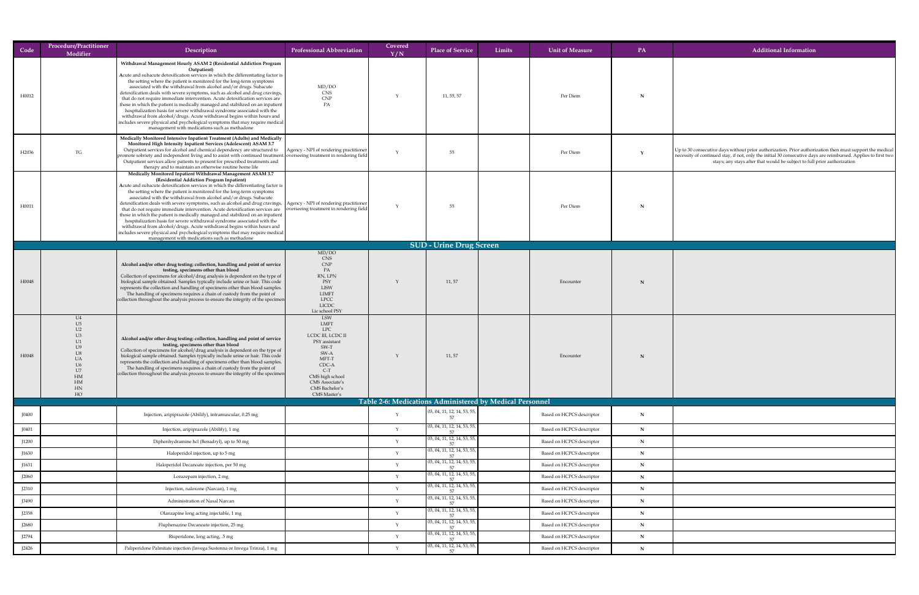| Code         | <b>Procedure/Practitioner</b><br>Modifier | Description                                                                                                                                                                                                                                                                                                                                                                                                                                                                                                                                                                                                                                                                                                                                                                                                                                                                                                                                                                      | <b>Professional Abbreviation</b>                                                                                                                                                                        | Covered<br>Y/N | <b>Place of Service</b>                                                    | Limits | <b>Unit of Measure</b>           | <b>PA</b>   | <b>Additional Information</b>                                                                                                                                                                                                                                                                          |
|--------------|-------------------------------------------|----------------------------------------------------------------------------------------------------------------------------------------------------------------------------------------------------------------------------------------------------------------------------------------------------------------------------------------------------------------------------------------------------------------------------------------------------------------------------------------------------------------------------------------------------------------------------------------------------------------------------------------------------------------------------------------------------------------------------------------------------------------------------------------------------------------------------------------------------------------------------------------------------------------------------------------------------------------------------------|---------------------------------------------------------------------------------------------------------------------------------------------------------------------------------------------------------|----------------|----------------------------------------------------------------------------|--------|----------------------------------|-------------|--------------------------------------------------------------------------------------------------------------------------------------------------------------------------------------------------------------------------------------------------------------------------------------------------------|
| H0012        |                                           | Withdrawal Management Hourly ASAM 2 (Residential Addiction Program<br>Outpatient)<br>Acute and subacute detoxification services in which the differentiating factor is<br>the setting where the patient is monitored for the long-term symptoms<br>associated with the withdrawal from alcohol and/or drugs. Subacute<br>detoxification deals with severe symptoms, such as alcohol and drug cravings,<br>that do not require immediate intervention. Acute detoxification services are<br>those in which the patient is medically managed and stabilized on an inpatient<br>hospitalization basis for severe withdrawal syndrome associated with the<br>withdrawal from alcohol/drugs. Acute withdrawal begins within hours and<br>includes severe physical and psychological symptoms that may require medical<br>management with medications such as methadone                                                                                                                | MD/DO<br><b>CNS</b><br><b>CNP</b><br>PA                                                                                                                                                                 |                | 11, 55, 57                                                                 |        | Per Diem                         |             |                                                                                                                                                                                                                                                                                                        |
| H2036        | TG                                        | Medically Monitored Intensive Inpatient Treatment (Adults) and Medically<br><b>Monitored High Intensity Inpatient Services (Adolescent) ASAM 3.7</b><br>Outpatient services for alcohol and chemical dependency are structured to<br>promote sobriety and independent living and to assist with continued treatment. overseeing treatment in rendering field<br>Outpatient services allow patients to present for prescribed treatments and<br>therapy and to maintain an otherwise routine home life                                                                                                                                                                                                                                                                                                                                                                                                                                                                            | Agency - NPI of rendering practitioner                                                                                                                                                                  |                | 55                                                                         |        | Per Diem                         |             | Up to 30 consecutive days without prior authorization. Prior authorization then must support the medical<br>necessity of continued stay, if not, only the initial 30 consecutive days are reimbursed. Applies to first two<br>stays; any stays after that would be subject to full prior authorization |
| H0011        |                                           | Medically Monitored Inpatient Withdrawal Management ASAM 3.7<br>(Residential Addiction Program Inpatient)<br>Acute and subacute detoxification services in which the differentiating factor is<br>the setting where the patient is monitored for the long-term symptoms<br>associated with the withdrawal from alcohol and/or drugs. Subacute<br>detoxification deals with severe symptoms, such as alcohol and drug cravings,   Agency - NPI of rendering practitioner  <br>that do not require immediate intervention. Acute detoxification services are   overseeing treatment in rendering field  <br>those in which the patient is medically managed and stabilized on an inpatient<br>hospitalization basis for severe withdrawal syndrome associated with the<br>withdrawal from alcohol/drugs. Acute withdrawal begins within hours and<br>includes severe physical and psychological symptoms that may require medical<br>management with medications such as methadone |                                                                                                                                                                                                         |                | 55                                                                         |        | Per Diem                         |             |                                                                                                                                                                                                                                                                                                        |
|              |                                           |                                                                                                                                                                                                                                                                                                                                                                                                                                                                                                                                                                                                                                                                                                                                                                                                                                                                                                                                                                                  |                                                                                                                                                                                                         |                | <b>SUD - Urine Drug Screen</b>                                             |        |                                  |             |                                                                                                                                                                                                                                                                                                        |
| H0048        |                                           | Alcohol and/or other drug testing: collection, handling and point of service<br>testing, specimens other than blood<br>Collection of specimens for alcohol/drug analysis is dependent on the type of<br>biological sample obtained. Samples typically include urine or hair. This code<br>represents the collection and handling of specimens other than blood samples.<br>The handling of specimens requires a chain of custody from the point of<br>collection throughout the analysis process to ensure the integrity of the specimen                                                                                                                                                                                                                                                                                                                                                                                                                                         | MD/DO<br><b>CNS</b><br>CNP<br>PA<br>RN, LPN<br>PSY<br><b>LISW</b><br>LIMFT<br><b>LPCC</b><br><b>LICDC</b><br>Lic school PSY                                                                             |                | 11,57                                                                      |        | Encounter                        |             |                                                                                                                                                                                                                                                                                                        |
| H0048        | U4<br>HM<br><b>HM</b><br>HN<br>HO         | Alcohol and/or other drug testing: collection, handling and point of service<br>testing, specimens other than blood<br>Collection of specimens for alcohol/drug analysis is dependent on the type of<br>biological sample obtained. Samples typically include urine or hair. This code<br>represents the collection and handling of specimens other than blood samples.<br>The handling of specimens requires a chain of custody from the point of<br>collection throughout the analysis process to ensure the integrity of the specimen                                                                                                                                                                                                                                                                                                                                                                                                                                         | LSW<br>LMFT<br><b>LPC</b><br>LCDC III, LCDC II<br>PSY assistant<br>SW-T<br>SW-A<br>MFT-T<br>CDC-A<br>$C-T$<br>CMS high school<br><b>CMS</b> Associate's<br><b>CMS</b> Bachelor's<br><b>CMS Master's</b> |                | 11, 57                                                                     |        | Encounter                        |             |                                                                                                                                                                                                                                                                                                        |
|              |                                           |                                                                                                                                                                                                                                                                                                                                                                                                                                                                                                                                                                                                                                                                                                                                                                                                                                                                                                                                                                                  |                                                                                                                                                                                                         |                | Table 2-6: Medications Administered by Medical Personnel                   |        |                                  |             |                                                                                                                                                                                                                                                                                                        |
| <b>I0400</b> |                                           | Injection, aripiprazole (Abilify), intramuscular, 0.25 mg                                                                                                                                                                                                                                                                                                                                                                                                                                                                                                                                                                                                                                                                                                                                                                                                                                                                                                                        |                                                                                                                                                                                                         |                | $\vert$ 03, 04, 11, 12, 14, 53, 55,<br>$\vert$ 03, 04, 11, 12, 14, 53, 55, |        | Based on HCPCS descriptor        | N           |                                                                                                                                                                                                                                                                                                        |
| J0401        |                                           | Injection, aripiprazole (Abilify), 1 mg                                                                                                                                                                                                                                                                                                                                                                                                                                                                                                                                                                                                                                                                                                                                                                                                                                                                                                                                          |                                                                                                                                                                                                         |                | $\boxed{03, 04, 11, 12, 14, 53, 55, }$                                     |        | Based on HCPCS descriptor        | N           |                                                                                                                                                                                                                                                                                                        |
| J1200        |                                           | Diphenhydramine hcl (Benadryl), up to 50 mg                                                                                                                                                                                                                                                                                                                                                                                                                                                                                                                                                                                                                                                                                                                                                                                                                                                                                                                                      |                                                                                                                                                                                                         |                | $\vert$ 03, 04, 11, 12, 14, 53, 55,                                        |        | Based on HCPCS descriptor        | $\mathbf N$ |                                                                                                                                                                                                                                                                                                        |
| J1630        |                                           | Haloperidol injection, up to 5 mg                                                                                                                                                                                                                                                                                                                                                                                                                                                                                                                                                                                                                                                                                                                                                                                                                                                                                                                                                |                                                                                                                                                                                                         |                | $\vert$ 03, 04, 11, 12, 14, 53, 55,                                        |        | Based on HCPCS descriptor        | $\mathbf N$ |                                                                                                                                                                                                                                                                                                        |
| J1631        |                                           | Haloperidol Decanoate injection, per 50 mg                                                                                                                                                                                                                                                                                                                                                                                                                                                                                                                                                                                                                                                                                                                                                                                                                                                                                                                                       |                                                                                                                                                                                                         |                | $\vert$ 03, 04, 11, 12, 14, 53, 55,                                        |        | Based on HCPCS descriptor        | $\mathbf N$ |                                                                                                                                                                                                                                                                                                        |
| J2060        |                                           | Lorazepam injection, 2 mg                                                                                                                                                                                                                                                                                                                                                                                                                                                                                                                                                                                                                                                                                                                                                                                                                                                                                                                                                        |                                                                                                                                                                                                         |                | $\vert$ 03, 04, 11, 12, 14, 53, 55,                                        |        | <b>Based on HCPCS descriptor</b> | $\mathbf N$ |                                                                                                                                                                                                                                                                                                        |
| J2310        |                                           | Injection, naloxone (Narcan), 1 mg                                                                                                                                                                                                                                                                                                                                                                                                                                                                                                                                                                                                                                                                                                                                                                                                                                                                                                                                               |                                                                                                                                                                                                         |                | $\vert$ 03, 04, 11, 12, 14, 53, 55,                                        |        | <b>Based on HCPCS descriptor</b> | N           |                                                                                                                                                                                                                                                                                                        |
| <b>J3490</b> |                                           | Administration of Nasal Narcan                                                                                                                                                                                                                                                                                                                                                                                                                                                                                                                                                                                                                                                                                                                                                                                                                                                                                                                                                   |                                                                                                                                                                                                         |                |                                                                            |        | <b>Based on HCPCS descriptor</b> | $\mathbf N$ |                                                                                                                                                                                                                                                                                                        |
| J2358        |                                           | Olanzapine long acting injectable, 1 mg                                                                                                                                                                                                                                                                                                                                                                                                                                                                                                                                                                                                                                                                                                                                                                                                                                                                                                                                          |                                                                                                                                                                                                         |                | $\vert$ 03, 04, 11, 12, 14, 53, 55,                                        |        | Based on HCPCS descriptor        | $\mathbf N$ |                                                                                                                                                                                                                                                                                                        |
| J2680        |                                           | Fluphenazine Decanoate injection, 25 mg                                                                                                                                                                                                                                                                                                                                                                                                                                                                                                                                                                                                                                                                                                                                                                                                                                                                                                                                          |                                                                                                                                                                                                         |                | $\vert$ 03, 04, 11, 12, 14, 53, 55,                                        |        | Based on HCPCS descriptor        | $\mathbf N$ |                                                                                                                                                                                                                                                                                                        |
| J2794        |                                           | Risperidone, long acting, .5 mg                                                                                                                                                                                                                                                                                                                                                                                                                                                                                                                                                                                                                                                                                                                                                                                                                                                                                                                                                  |                                                                                                                                                                                                         |                | $\vert$ 03, 04, 11, 12, 14, 53, 55,                                        |        | <b>Based on HCPCS descriptor</b> | N           |                                                                                                                                                                                                                                                                                                        |
| J2426        |                                           | Paliperidone Palmitate injection (Invega Sustenna or Invega Trinza), 1 mg                                                                                                                                                                                                                                                                                                                                                                                                                                                                                                                                                                                                                                                                                                                                                                                                                                                                                                        |                                                                                                                                                                                                         |                | $\vert$ 03, 04, 11, 12, 14, 53, 55,                                        |        | Based on HCPCS descriptor        | $\mathbf N$ |                                                                                                                                                                                                                                                                                                        |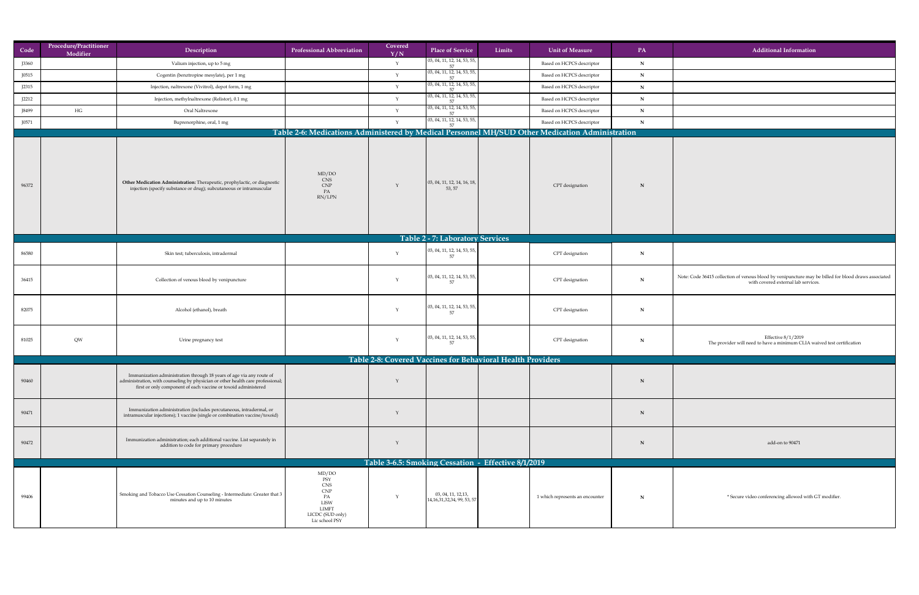| Code           | Procedure/Practitioner | Description                                                                                                                                                                                                                 | <b>Professional Abbreviation</b>                                                                             | Covered | <b>Place of Service</b>                                       | Limits<br>Unit of Measure                                                                       | PA                         | <b>Additional Information</b>                                                                                                               |
|----------------|------------------------|-----------------------------------------------------------------------------------------------------------------------------------------------------------------------------------------------------------------------------|--------------------------------------------------------------------------------------------------------------|---------|---------------------------------------------------------------|-------------------------------------------------------------------------------------------------|----------------------------|---------------------------------------------------------------------------------------------------------------------------------------------|
|                | Modifier               |                                                                                                                                                                                                                             |                                                                                                              | Y/N     | $\vert$ 03, 04, 11, 12, 14, 53, 55, $\vert$                   |                                                                                                 |                            |                                                                                                                                             |
| J3360<br>J0515 |                        | Valium injection, up to 5 mg                                                                                                                                                                                                |                                                                                                              |         | $\vert$ 03, 04, 11, 12, 14, 53, 55, $\vert$                   | <b>Based on HCPCS descriptor</b><br><b>Based on HCPCS descriptor</b>                            | N                          |                                                                                                                                             |
| J2315          |                        | Cogentin (benztropine mesylate), per 1 mg<br>Injection, naltrexone (Vivitrol), depot form, 1 mg                                                                                                                             |                                                                                                              |         | $\vert$ 03, 04, 11, 12, 14, 53, 55, $\vert$                   | <b>Based on HCPCS descriptor</b>                                                                | $\mathbf N$<br>$\mathbf N$ |                                                                                                                                             |
| J2212          |                        | Injection, methylnaltrexone (Relistor), 0.1 mg                                                                                                                                                                              |                                                                                                              |         | $\vert$ 03, 04, 11, 12, 14, 53, 55, $\vert$                   | <b>Based on HCPCS descriptor</b>                                                                | $\mathbf N$                |                                                                                                                                             |
| J8499          | HG                     | Oral Naltrexone                                                                                                                                                                                                             |                                                                                                              |         | $\vert$ 03, 04, 11, 12, 14, 53, 55, $\vert$                   | <b>Based on HCPCS descriptor</b>                                                                | N                          |                                                                                                                                             |
| J0571          |                        | Buprenorphine, oral, 1 mg                                                                                                                                                                                                   |                                                                                                              |         | 57<br>$\vert$ 03, 04, 11, 12, 14, 53, 55, $\vert$             | <b>Based on HCPCS descriptor</b>                                                                | $\mathbf N$                |                                                                                                                                             |
|                |                        |                                                                                                                                                                                                                             |                                                                                                              |         | 57                                                            | Table 2-6: Medications Administered by Medical Personnel MH/SUD Other Medication Administration |                            |                                                                                                                                             |
| 96372          |                        | Other Medication Administration: Therapeutic, prophylactic, or diagnostic<br>injection (specify substance or drug); subcutaneous or intramuscular                                                                           | MD/DO<br>CNS<br>CNP<br>PA<br>RN/LPN                                                                          |         | $\vert$ 03, 04, 11, 12, 14, 16, 18, $\vert$<br>53, 57         | CPT designation                                                                                 | N                          |                                                                                                                                             |
|                |                        |                                                                                                                                                                                                                             |                                                                                                              |         | Table 2 - 7: Laboratory Services                              |                                                                                                 |                            |                                                                                                                                             |
| 86580          |                        | Skin test; tuberculosis, intradermal                                                                                                                                                                                        |                                                                                                              |         | $\vert$ 03, 04, 11, 12, 14, 53, 55, $\vert$<br>57             | CPT designation                                                                                 | N                          |                                                                                                                                             |
| 36415          |                        | Collection of venous blood by venipuncture                                                                                                                                                                                  |                                                                                                              |         | $\vert$ 03, 04, 11, 12, 14, 53, 55, $\vert$<br>57             | CPT designation                                                                                 | N                          | Note: Code 36415 collection of venous blood by venipuncture may be billed for blood draws associated<br>with covered external lab services. |
| 82075          |                        | Alcohol (ethanol), breath                                                                                                                                                                                                   |                                                                                                              |         | $\vert$ 03, 04, 11, 12, 14, 53, 55, $\vert$<br>57             | CPT designation                                                                                 | N                          |                                                                                                                                             |
| 81025          | QW                     | Urine pregnancy test                                                                                                                                                                                                        |                                                                                                              |         | $\vert$ 03, 04, 11, 12, 14, 53, 55, $\vert$<br>57             | CPT designation                                                                                 | N                          | Effective 8/1/2019<br>The provider will need to have a minimum CLIA waived test certification                                               |
|                |                        |                                                                                                                                                                                                                             |                                                                                                              |         |                                                               | Table 2-8: Covered Vaccines for Behavioral Health Providers                                     |                            |                                                                                                                                             |
| 90460          |                        | Immunization administration through 18 years of age via any route of<br>administration, with counseling by physician or other health care professional;  <br>first or only component of each vaccine or toxoid administered |                                                                                                              |         |                                                               |                                                                                                 | N                          |                                                                                                                                             |
| 90471          |                        | Immunization administration (includes percutaneous, intradermal, or<br>intramuscular injections); 1 vaccine (single or combination vaccine/toxoid)                                                                          |                                                                                                              |         |                                                               |                                                                                                 | N                          |                                                                                                                                             |
| 90472          |                        | Immunization administration; each additional vaccine. List separately in<br>addition to code for primary procedure                                                                                                          |                                                                                                              |         |                                                               |                                                                                                 | N                          | add-on to 90471                                                                                                                             |
|                |                        |                                                                                                                                                                                                                             |                                                                                                              |         |                                                               | Table 3-6.5: Smoking Cessation - Effective 8/1/2019                                             |                            |                                                                                                                                             |
| 99406          |                        | Smoking and Tobacco Use Cessation Counseling - Intermediate: Greater that 3<br>minutes and up to 10 minutes                                                                                                                 | MD/DO<br>PSY<br><b>CNS</b><br><b>CNP</b><br>PA<br>LISW<br><b>LIMFT</b><br>LICDC (SUD only)<br>Lic school PSY |         | 03, 04, 11, 12, 13,<br>$\left[14,16,31,32,34,99,53,57\right]$ | 1 which represents an encounter                                                                 | N                          | * Secure video conferencing allowed with GT modifier.                                                                                       |

| formation                                                            |
|----------------------------------------------------------------------|
|                                                                      |
|                                                                      |
|                                                                      |
|                                                                      |
|                                                                      |
|                                                                      |
|                                                                      |
|                                                                      |
|                                                                      |
|                                                                      |
|                                                                      |
|                                                                      |
|                                                                      |
| incture may be billed for blood draws associated<br>al lab services. |
|                                                                      |
|                                                                      |
| 1/2019<br>um CLIA waived test certification                          |
|                                                                      |
|                                                                      |
|                                                                      |
|                                                                      |
|                                                                      |
| 0471                                                                 |
|                                                                      |
|                                                                      |
|                                                                      |
| lowed with GT modifier.                                              |
|                                                                      |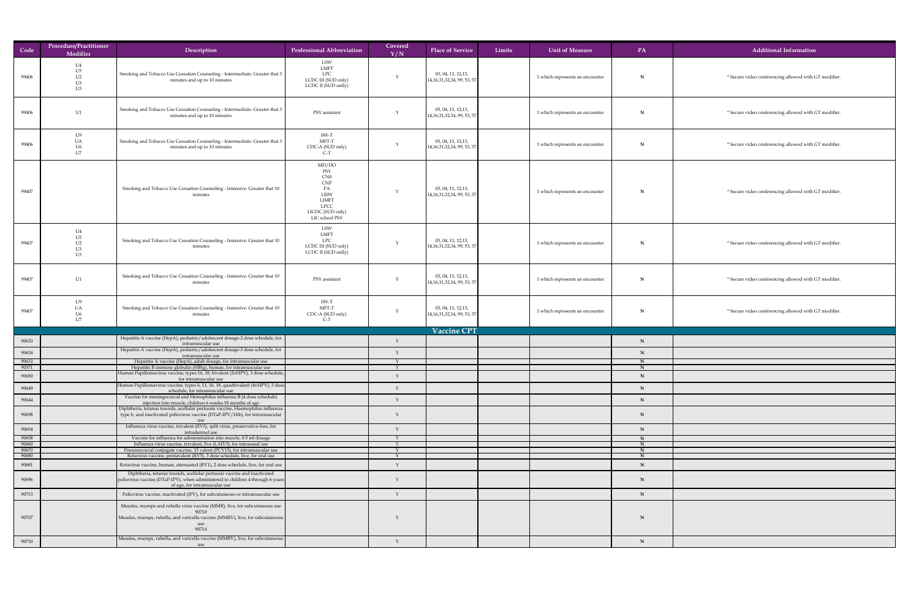| Code           | <b>Procedure/Practitioner</b><br>Modifier | Description                                                                                                                                                                                 | <b>Professional Abbreviation</b>                                                                                            | Covered<br>Y/N | <b>Place of Service</b>                                             | Limits | <b>Unit of Measure</b>          | <b>PA</b>   | Additional Information                                |
|----------------|-------------------------------------------|---------------------------------------------------------------------------------------------------------------------------------------------------------------------------------------------|-----------------------------------------------------------------------------------------------------------------------------|----------------|---------------------------------------------------------------------|--------|---------------------------------|-------------|-------------------------------------------------------|
| 99406          | U4<br>U <sub>5</sub><br>U2<br>U3<br>U3    | Smoking and Tobacco Use Cessation Counseling - Intermediate: Greater that 3<br>minutes and up to 10 minutes                                                                                 | LSW<br><b>LMFT</b><br><b>LPC</b><br>LCDC III (SUD only)<br>LCDC II (SUD onlly)                                              |                | 03, 04, 11, 12, 13,<br>$\vert 14, 16, 31, 32, 34, 99, 53, 57 \vert$ |        | 1 which represents an encounter | N           | * Secure video conferencing allowed with GT modifier  |
| 99406          | U1                                        | Smoking and Tobacco Use Cessation Counseling - Intermediate: Greater that 3<br>minutes and up to 10 minutes                                                                                 | PSY assistant                                                                                                               |                | 03, 04, 11, 12, 13,<br>14,16,31,32,34,99,53,57                      |        | 1 which represents an encounter | $\mathbf N$ | * Secure video conferencing allowed with GT modifier  |
| 99406          | U9<br>UA<br>U6<br>U7                      | Smoking and Tobacco Use Cessation Counseling - Intermediate: Greater that 3<br>minutes and up to 10 minutes                                                                                 | SW-T<br>MFT-T<br>CDC-A (SUD only)<br>$C-T$                                                                                  |                | 03, 04, 11, 12, 13,<br>14,16,31,32,34,99,53,57                      |        | 1 which represents an encounter | N           | * Secure video conferencing allowed with GT modifier  |
| 99407          |                                           | Smoking and Tobacco Use Cessation Counseling - Intensive: Greater that 10<br>minutes                                                                                                        | MD/DO<br>PSY<br><b>CNS</b><br>CNP<br>PA<br><b>LISW</b><br><b>LIMFT</b><br><b>LPCC</b><br>LICDC (SUD only)<br>LIC school PSY |                | 03, 04, 11, 12, 13,<br>$\left[14,16,31,32,34,99,53,57\right]$       |        | 1 which represents an encounter | N           | * Secure video conferencing allowed with GT modifier  |
| 99407          | U4<br>$U$ 5<br>U <sub>2</sub><br>U3<br>U3 | Smoking and Tobacco Use Cessation Counseling - Intensive: Greater that 10<br>minutes                                                                                                        | LSW<br><b>LMFT</b><br><b>LPC</b><br>LCDC III (SUD only)<br>LCDC II (SUD onlly)                                              |                | 03, 04, 11, 12, 13,<br>$\left[14,16,31,32,34,99,53,57\right]$       |        | 1 which represents an encounter | $\mathbf N$ | * Secure video conferencing allowed with GT modifier  |
| 99407          | U1                                        | Smoking and Tobacco Use Cessation Counseling - Intensive: Greater that 10<br>minutes                                                                                                        | PSY assistant                                                                                                               |                | 03, 04, 11, 12, 13,<br>$\left[14,16,31,32,34,99,53,57\right]$       |        | 1 which represents an encounter |             | * Secure video conferencing allowed with GT modifier. |
| 99407          | TTO<br>I J6                               | Smoking and Tobacco Use Cessation Counseling - Intensive: Greater that 10<br>minutes                                                                                                        | SW-T<br>MFT-T<br>CDC-A (SUD only)<br>$C-T$                                                                                  |                | 03, 04, 11, 12, 13,<br>14, 16, 31, 32, 34, 99, 53, 57               |        | 1 which represents an encounter |             | * Secure video conferencing allowed with GT modifier  |
|                |                                           |                                                                                                                                                                                             |                                                                                                                             |                | Vaccine CPT                                                         |        |                                 |             |                                                       |
| 90633          |                                           | Hepatitis A vaccine (HepA), pediatric/adolescent dosage-2 dose schedule, for<br>intramuscular use                                                                                           |                                                                                                                             |                |                                                                     |        |                                 |             |                                                       |
| 90634          |                                           | Hepatitis A vaccine (HepA), pediatric/adolescent dosage-3 dose schedule, for<br>intramuscular use                                                                                           |                                                                                                                             |                |                                                                     |        |                                 |             |                                                       |
| 90632          |                                           | Hepatitis A vaccine (HepA), adult dosage, for intramuscular use                                                                                                                             |                                                                                                                             |                |                                                                     |        |                                 |             |                                                       |
| 90371          |                                           | Hepatitis B immune globulin (HBIg), human, for intramuscular use<br>Human Papillomavirus vaccine, types 16, 18, bivalent (2vHPV), 3 dose schedule,                                          |                                                                                                                             |                |                                                                     |        |                                 |             |                                                       |
| 90650          |                                           | for intramuscular use                                                                                                                                                                       |                                                                                                                             |                |                                                                     |        |                                 |             |                                                       |
| 90649          |                                           | Human Papillomavirus vaccine, types 6, 11, 16, 18, quadrivalent (4vHPV), 3 dose<br>schedule, for intramuscular use                                                                          |                                                                                                                             |                |                                                                     |        |                                 |             |                                                       |
| 90644          |                                           | Vaccine for meningococcal and Hemophilus influenza B (4 dose schedule)<br>injection into muscle, children 6 weeks-18 months of age                                                          |                                                                                                                             |                |                                                                     |        |                                 |             |                                                       |
| 90698          |                                           | Diphtheria, tetanus toxoids, acellular pertussis vaccine, Haemophilus influenza<br>type b, and inactivated poliovirus vaccine (DTaP-IPV/Hib), for intramuscular                             |                                                                                                                             |                |                                                                     |        |                                 |             |                                                       |
| 90654          |                                           | Influenza virus vaccine, trivalent (IIV3), split virus, preservative-free, for                                                                                                              |                                                                                                                             |                |                                                                     |        |                                 |             |                                                       |
| 90658          |                                           | intradermal use<br>Vaccine for influenza for administration into muscle, 0.5 ml dosage                                                                                                      |                                                                                                                             |                |                                                                     |        |                                 |             |                                                       |
| 90660          |                                           | Influenza virus vaccine, trivalent, live (LAIV3), for intranasal use                                                                                                                        |                                                                                                                             |                |                                                                     |        |                                 |             |                                                       |
| 90670<br>90680 |                                           | Pneumococcal conjugate vaccine, 13 valent (PCV13), for intramuscular use<br>Rotavirus vaccine, pentavalent (RV5), 3 dose schedule, live, for oral use                                       |                                                                                                                             |                |                                                                     |        |                                 |             |                                                       |
| 90681          |                                           | Rotavirus vaccine, human, attenuated (RV1), 2 dose schedule, live, for oral use                                                                                                             |                                                                                                                             |                |                                                                     |        |                                 |             |                                                       |
| 90696          |                                           | Diphtheria, tetanus toxoids, acellular pertussis vaccine and inactivated<br>poliovirus vaccine (DTaP-IPV), when administered to children 4 through 6 years<br>of age, for intramuscular use |                                                                                                                             |                |                                                                     |        |                                 |             |                                                       |
| 90713          |                                           | Poliovirus vaccine, inactivated (IPV), for subcutaneous or intramuscular use                                                                                                                |                                                                                                                             |                |                                                                     |        |                                 |             |                                                       |
| 90707          |                                           | Measles, mumps and rubella virus vaccine (MMR), live, for subcutaneous use<br>90710<br>Measles, mumps, rubella, and varicella vaccine (MMRV), live, for subcutaneous                        |                                                                                                                             |                |                                                                     |        |                                 |             |                                                       |
| 90710          |                                           | 90714<br>Measles, mumps, rubella, and varicella vaccine (MMRV), live, for subcutaneous<br>use                                                                                               |                                                                                                                             |                |                                                                     |        |                                 |             |                                                       |